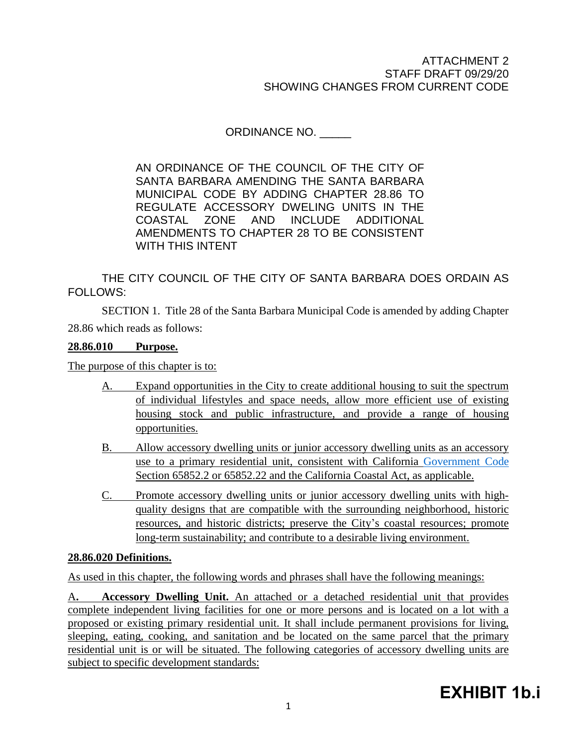ORDINANCE NO.

AN ORDINANCE OF THE COUNCIL OF THE CITY OF SANTA BARBARA AMENDING THE SANTA BARBARA MUNICIPAL CODE BY ADDING CHAPTER 28.86 TO REGULATE ACCESSORY DWELING UNITS IN THE COASTAL ZONE AND INCLUDE ADDITIONAL AMENDMENTS TO CHAPTER 28 TO BE CONSISTENT WITH THIS INTENT

THE CITY COUNCIL OF THE CITY OF SANTA BARBARA DOES ORDAIN AS FOLLOWS:

SECTION 1. Title 28 of the Santa Barbara Municipal Code is amended by adding Chapter 28.86 which reads as follows:

# **28.86.010 Purpose.**

The purpose of this chapter is to:

- A. Expand opportunities in the City to create additional housing to suit the spectrum of individual lifestyles and space needs, allow more efficient use of existing housing stock and public infrastructure, and provide a range of housing opportunities.
- B. Allow accessory dwelling units or junior accessory dwelling units as an accessory use to a primary residential unit, consistent with California [Government Code](http://qcode.us/codes/othercode.php?state=ca&code=gov) Section 65852.2 or 65852.22 and the California Coastal Act, as applicable.
- C. Promote accessory dwelling units or junior accessory dwelling units with highquality designs that are compatible with the surrounding neighborhood, historic resources, and historic districts; preserve the City's coastal resources; promote long-term sustainability; and contribute to a desirable living environment.

#### **28.86.020 Definitions.**

As used in this chapter, the following words and phrases shall have the following meanings:

A**. Accessory Dwelling Unit.** An attached or a detached residential unit that provides complete independent living facilities for one or more persons and is located on a lot with a proposed or existing primary residential unit. It shall include permanent provisions for living, sleeping, eating, cooking, and sanitation and be located on the same parcel that the primary residential unit is or will be situated. The following categories of accessory dwelling units are subject to specific development standards: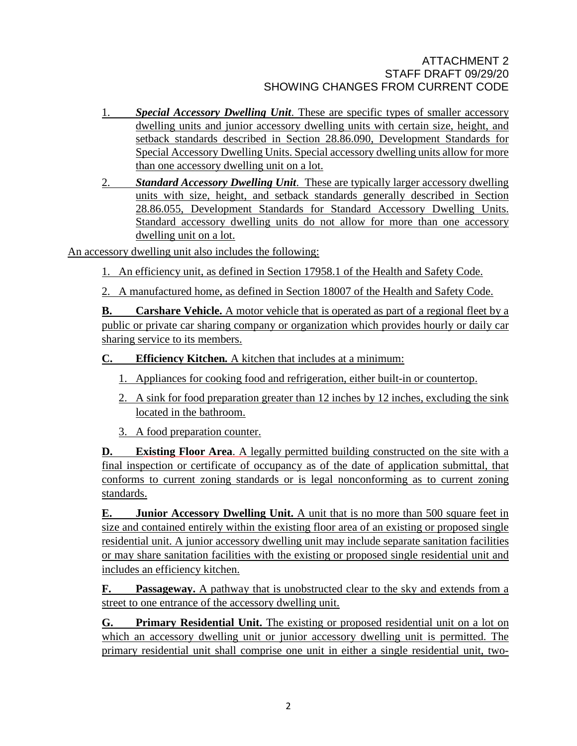- 1. *Special Accessory Dwelling Unit*. These are specific types of smaller accessory dwelling units and junior accessory dwelling units with certain size, height, and setback standards described in Section 28.86.090, Development Standards for Special Accessory Dwelling Units. Special accessory dwelling units allow for more than one accessory dwelling unit on a lot.
- 2. *Standard Accessory Dwelling Unit*. These are typically larger accessory dwelling units with size, height, and setback standards generally described in Section 28.86.055, Development Standards for Standard Accessory Dwelling Units. Standard accessory dwelling units do not allow for more than one accessory dwelling unit on a lot.

An accessory dwelling unit also includes the following:

1. An efficiency unit, as defined in Section 17958.1 of the [Health](http://qcode.us/codes/othercode.php?state=ca&code=heasaf) and Safety Code.

2. A manufactured home, as defined in Section 18007 of the [Health](http://qcode.us/codes/othercode.php?state=ca&code=heasaf) and Safety Code.

**B. Carshare Vehicle.** A motor vehicle that is operated as part of a regional fleet by a public or private car sharing company or organization which provides hourly or daily car sharing service to its members.

**C. Efficiency Kitchen***.* A kitchen that includes at a minimum:

- 1. Appliances for cooking food and refrigeration, either built-in or countertop.
- 2. A sink for food preparation greater than 12 inches by 12 inches, excluding the sink located in the bathroom.
- 3. A food preparation counter.

**D. Existing Floor Area**. A legally permitted building constructed on the site with a final inspection or certificate of occupancy as of the date of application submittal, that conforms to current zoning standards or is legal nonconforming as to current zoning standards.

**E. Junior Accessory Dwelling Unit.** A unit that is no more than 500 square feet in size and contained entirely within the existing floor area of an existing or proposed single residential unit. A junior accessory dwelling unit may include separate sanitation facilities or may share sanitation facilities with the existing or proposed single residential unit and includes an efficiency kitchen.

**F. Passageway.** A pathway that is unobstructed clear to the sky and extends from a street to one entrance of the accessory dwelling unit.

**G. Primary Residential Unit.** The existing or proposed residential unit on a lot on which an accessory dwelling unit or junior accessory dwelling unit is permitted. The primary residential unit shall comprise one unit in either a single residential unit, two-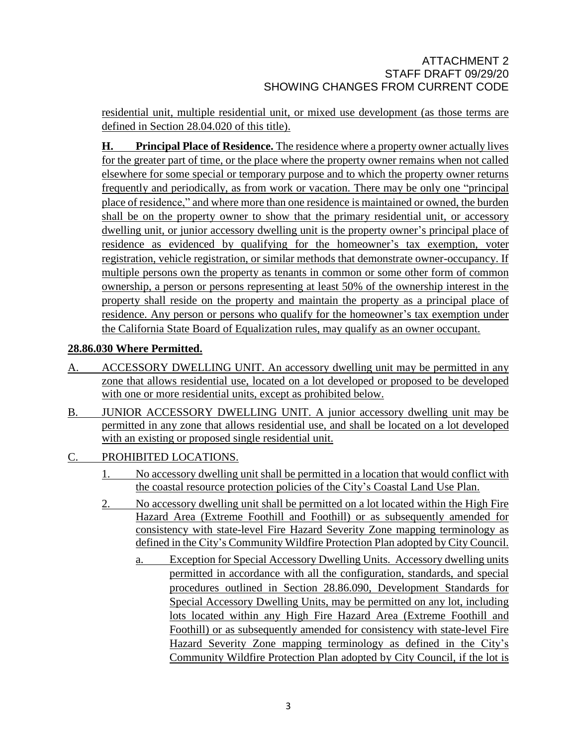residential unit, multiple residential unit, or mixed use development (as those terms are defined in Section 28.04.020 of this title).

**H. Principal Place of Residence.** The residence where a property owner actually lives for the greater part of time, or the place where the property owner remains when not called elsewhere for some special or temporary purpose and to which the property owner returns frequently and periodically, as from work or vacation. There may be only one "principal place of residence," and where more than one residence is maintained or owned, the burden shall be on the property owner to show that the primary residential unit, or accessory dwelling unit, or junior accessory dwelling unit is the property owner's principal place of residence as evidenced by qualifying for the homeowner's tax exemption, voter registration, vehicle registration, or similar methods that demonstrate owner-occupancy. If multiple persons own the property as tenants in common or some other form of common ownership, a person or persons representing at least 50% of the ownership interest in the property shall reside on the property and maintain the property as a principal place of residence. Any person or persons who qualify for the homeowner's tax exemption under the California State Board of Equalization rules, may qualify as an owner occupant.

# **28.86.030 Where Permitted.**

- A. ACCESSORY DWELLING UNIT. An accessory dwelling unit may be permitted in any zone that allows residential use, located on a lot developed or proposed to be developed with one or more residential units, except as prohibited below.
- B. JUNIOR ACCESSORY DWELLING UNIT. A junior accessory dwelling unit may be permitted in any zone that allows residential use, and shall be located on a lot developed with an existing or proposed single residential unit.
- C. PROHIBITED LOCATIONS.
	- 1. No accessory dwelling unit shall be permitted in a location that would conflict with the coastal resource protection policies of the City's Coastal Land Use Plan.
	- 2. No accessory dwelling unit shall be permitted on a lot located within the High Fire Hazard Area (Extreme Foothill and Foothill) or as subsequently amended for consistency with state-level Fire Hazard Severity Zone mapping terminology as defined in the City's Community Wildfire Protection Plan adopted by City Council.
		- a. Exception for Special Accessory Dwelling Units. Accessory dwelling units permitted in accordance with all the configuration, standards, and special procedures outlined in Section 28.86.090, Development Standards for Special Accessory Dwelling Units, may be permitted on any lot, including lots located within any High Fire Hazard Area (Extreme Foothill and Foothill) or as subsequently amended for consistency with state-level Fire Hazard Severity Zone mapping terminology as defined in the City's Community Wildfire Protection Plan adopted by City Council, if the lot is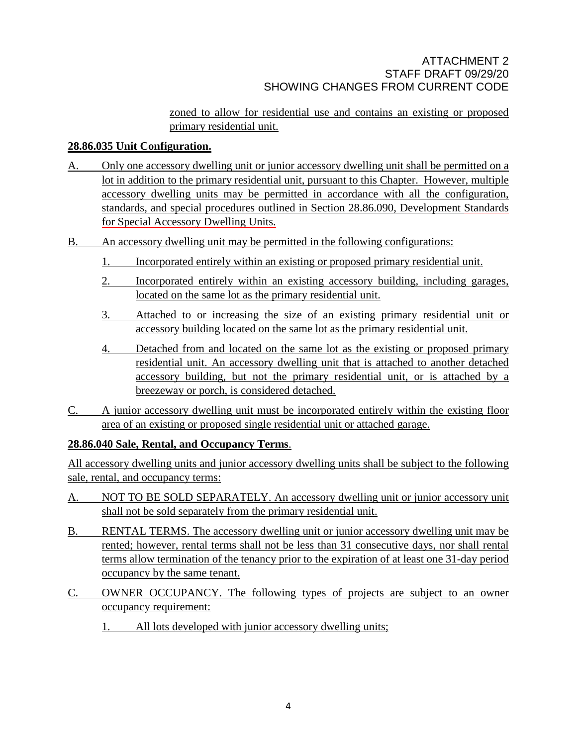zoned to allow for residential use and contains an existing or proposed primary residential unit.

# **28.86.035 Unit Configuration.**

- A. Only one accessory dwelling unit or junior accessory dwelling unit shall be permitted on a lot in addition to the primary residential unit, pursuant to this Chapter. However, multiple accessory dwelling units may be permitted in accordance with all the configuration, standards, and special procedures outlined in Section 28.86.090, Development Standards for Special Accessory Dwelling Units.
- B. An accessory dwelling unit may be permitted in the following configurations:
	- 1. Incorporated entirely within an existing or proposed primary residential unit.
	- 2. Incorporated entirely within an existing accessory building, including garages, located on the same lot as the primary residential unit.
	- 3. Attached to or increasing the size of an existing primary residential unit or accessory building located on the same lot as the primary residential unit.
	- 4. Detached from and located on the same lot as the existing or proposed primary residential unit. An accessory dwelling unit that is attached to another detached accessory building, but not the primary residential unit, or is attached by a breezeway or porch, is considered detached.
- C. A junior accessory dwelling unit must be incorporated entirely within the existing floor area of an existing or proposed single residential unit or attached garage.

# **28.86.040 Sale, Rental, and Occupancy Terms**.

All accessory dwelling units and junior accessory dwelling units shall be subject to the following sale, rental, and occupancy terms:

- A. NOT TO BE SOLD SEPARATELY. An accessory dwelling unit or junior accessory unit shall not be sold separately from the primary residential unit.
- B. RENTAL TERMS. The accessory dwelling unit or junior accessory dwelling unit may be rented; however, rental terms shall not be less than 31 consecutive days, nor shall rental terms allow termination of the tenancy prior to the expiration of at least one 31-day period occupancy by the same tenant.
- C. OWNER OCCUPANCY. The following types of projects are subject to an owner occupancy requirement:
	- 1. All lots developed with junior accessory dwelling units;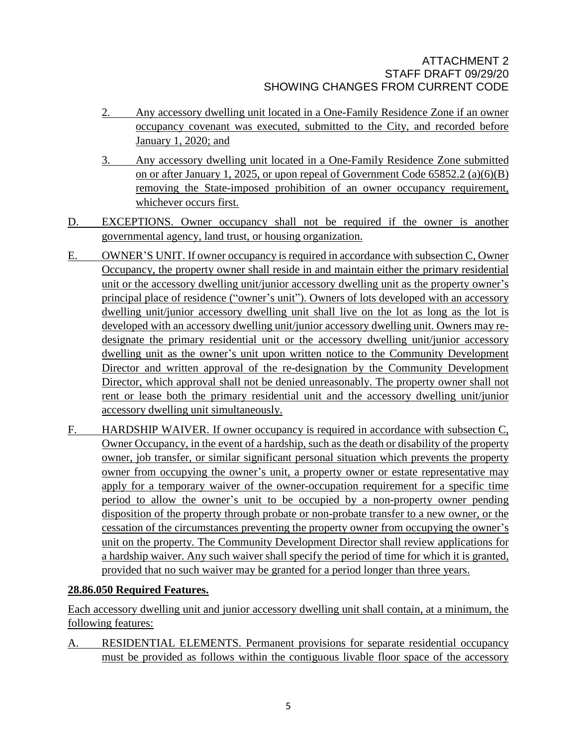- 2. Any accessory dwelling unit located in a One-Family Residence Zone if an owner occupancy covenant was executed, submitted to the City, and recorded before January 1, 2020; and
- 3. Any accessory dwelling unit located in a One-Family Residence Zone submitted on or after January 1, 2025, or upon repeal of Government Code 65852.2 (a)(6)(B) removing the State-imposed prohibition of an owner occupancy requirement, whichever occurs first.
- D. EXCEPTIONS. Owner occupancy shall not be required if the owner is another governmental agency, land trust, or housing organization.
- E. OWNER'S UNIT. If owner occupancy is required in accordance with subsection C, Owner Occupancy, the property owner shall reside in and maintain either the primary residential unit or the accessory dwelling unit/junior accessory dwelling unit as the property owner's principal place of residence ("owner's unit"). Owners of lots developed with an accessory dwelling unit/junior accessory dwelling unit shall live on the lot as long as the lot is developed with an accessory dwelling unit/junior accessory dwelling unit. Owners may redesignate the primary residential unit or the accessory dwelling unit/junior accessory dwelling unit as the owner's unit upon written notice to the Community Development Director and written approval of the re-designation by the Community Development Director, which approval shall not be denied unreasonably. The property owner shall not rent or lease both the primary residential unit and the accessory dwelling unit/junior accessory dwelling unit simultaneously.
- F. HARDSHIP WAIVER. If owner occupancy is required in accordance with subsection C, Owner Occupancy, in the event of a hardship, such as the death or disability of the property owner, job transfer, or similar significant personal situation which prevents the property owner from occupying the owner's unit, a property owner or estate representative may apply for a temporary waiver of the owner-occupation requirement for a specific time period to allow the owner's unit to be occupied by a non-property owner pending disposition of the property through probate or non-probate transfer to a new owner, or the cessation of the circumstances preventing the property owner from occupying the owner's unit on the property. The Community Development Director shall review applications for a hardship waiver. Any such waiver shall specify the period of time for which it is granted, provided that no such waiver may be granted for a period longer than three years.

# **28.86.050 Required Features.**

Each accessory dwelling unit and junior accessory dwelling unit shall contain, at a minimum, the following features:

A. RESIDENTIAL ELEMENTS. Permanent provisions for separate residential occupancy must be provided as follows within the contiguous livable floor space of the accessory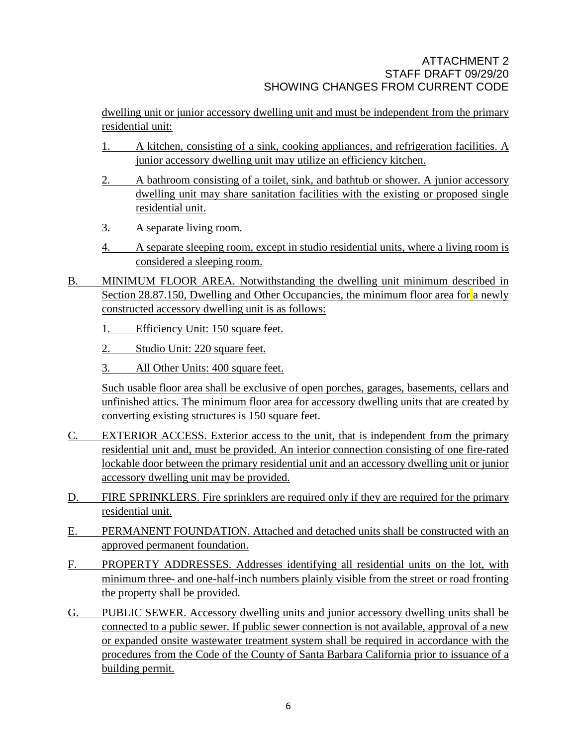dwelling unit or junior accessory dwelling unit and must be independent from the primary residential unit:

- 1. A kitchen, consisting of a sink, cooking appliances, and refrigeration facilities. A junior accessory dwelling unit may utilize an efficiency kitchen.
- 2. A bathroom consisting of a toilet, sink, and bathtub or shower. A junior accessory dwelling unit may share sanitation facilities with the existing or proposed single residential unit.
- 3. A separate living room.
- 4. A separate sleeping room, except in studio residential units, where a living room is considered a sleeping room.
- B. MINIMUM FLOOR AREA. Notwithstanding the dwelling unit minimum described in Section 28.87.150, Dwelling and Other Occupancies, the minimum floor area for a newly constructed accessory dwelling unit is as follows:
	- 1. Efficiency Unit: 150 square feet.
	- 2. Studio Unit: 220 square feet.
	- 3. All Other Units: 400 square feet.

Such usable floor area shall be exclusive of open porches, garages, basements, cellars and unfinished attics. The minimum floor area for accessory dwelling units that are created by converting existing structures is 150 square feet.

- C. EXTERIOR ACCESS. Exterior access to the unit, that is independent from the primary residential unit and, must be provided. An interior connection consisting of one fire-rated lockable door between the primary residential unit and an accessory dwelling unit or junior accessory dwelling unit may be provided.
- D. FIRE SPRINKLERS. Fire sprinklers are required only if they are required for the primary residential unit.
- E. PERMANENT FOUNDATION. Attached and detached units shall be constructed with an approved permanent foundation.
- F. PROPERTY ADDRESSES. Addresses identifying all residential units on the lot, with minimum three- and one-half-inch numbers plainly visible from the street or road fronting the property shall be provided.
- G. PUBLIC SEWER. Accessory dwelling units and junior accessory dwelling units shall be connected to a public sewer. If public sewer connection is not available, approval of a new or expanded onsite wastewater treatment system shall be required in accordance with the procedures from the Code of the County of Santa Barbara California prior to issuance of a building permit.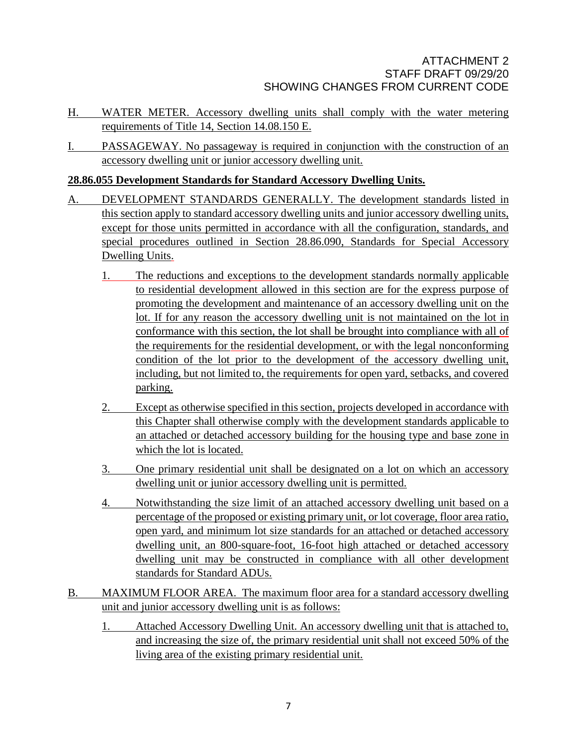- H. WATER METER. Accessory dwelling units shall comply with the water metering requirements of Title 14, Section 14.08.150 E.
- I. PASSAGEWAY. No passageway is required in conjunction with the construction of an accessory dwelling unit or junior accessory dwelling unit.

# **28.86.055 Development Standards for Standard Accessory Dwelling Units.**

- A. DEVELOPMENT STANDARDS GENERALLY. The development standards listed in this section apply to standard accessory dwelling units and junior accessory dwelling units, except for those units permitted in accordance with all the configuration, standards, and special procedures outlined in Section 28.86.090, Standards for Special Accessory Dwelling Units.
	- 1. The reductions and exceptions to the development standards normally applicable to residential development allowed in this section are for the express purpose of promoting the development and maintenance of an accessory dwelling unit on the lot. If for any reason the accessory dwelling unit is not maintained on the lot in conformance with this section, the lot shall be brought into compliance with all of the requirements for the residential development, or with the legal nonconforming condition of the lot prior to the development of the accessory dwelling unit, including, but not limited to, the requirements for open yard, setbacks, and covered parking.
	- 2. Except as otherwise specified in this section, projects developed in accordance with this Chapter shall otherwise comply with the development standards applicable to an attached or detached accessory building for the housing type and base zone in which the lot is located.
	- 3. One primary residential unit shall be designated on a lot on which an accessory dwelling unit or junior accessory dwelling unit is permitted.
	- 4. Notwithstanding the size limit of an attached accessory dwelling unit based on a percentage of the proposed or existing primary unit, or lot coverage, floor area ratio, open yard, and minimum lot size standards for an attached or detached accessory dwelling unit, an 800-square-foot, 16-foot high attached or detached accessory dwelling unit may be constructed in compliance with all other development standards for Standard ADUs.
- B. MAXIMUM FLOOR AREA. The maximum floor area for a standard accessory dwelling unit and junior accessory dwelling unit is as follows:
	- 1. Attached Accessory Dwelling Unit. An accessory dwelling unit that is attached to, and increasing the size of, the primary residential unit shall not exceed 50% of the living area of the existing primary residential unit.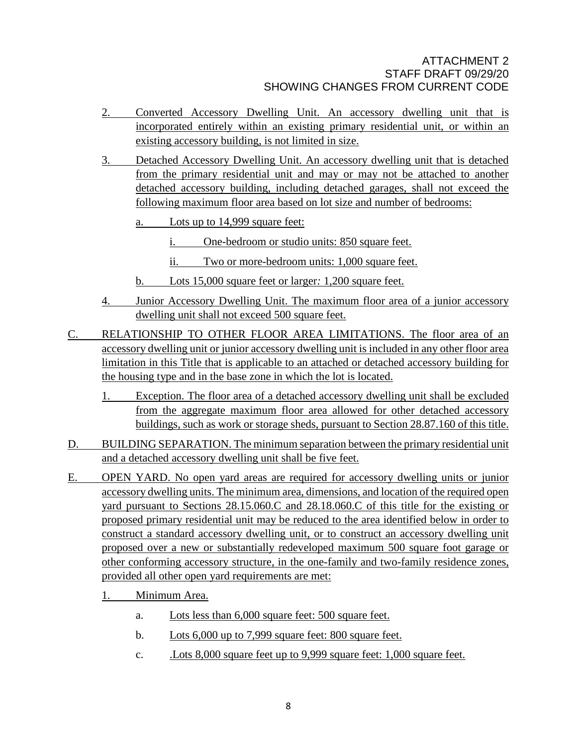- 2. Converted Accessory Dwelling Unit. An accessory dwelling unit that is incorporated entirely within an existing primary residential unit, or within an existing accessory building, is not limited in size.
- 3. Detached Accessory Dwelling Unit. An accessory dwelling unit that is detached from the primary residential unit and may or may not be attached to another detached accessory building, including detached garages, shall not exceed the following maximum floor area based on lot size and number of bedrooms:
	- a. Lots up to 14,999 square feet:
		- i. One-bedroom or studio units: 850 square feet.
		- ii. Two or more-bedroom units: 1,000 square feet.
	- b. Lots 15,000 square feet or larger*:* 1,200 square feet.
- 4. Junior Accessory Dwelling Unit. The maximum floor area of a junior accessory dwelling unit shall not exceed 500 square feet.
- C. RELATIONSHIP TO OTHER FLOOR AREA LIMITATIONS. The floor area of an accessory dwelling unit or junior accessory dwelling unit is included in any other floor area limitation in this Title that is applicable to an attached or detached accessory building for the housing type and in the base zone in which the lot is located.
	- 1. Exception. The floor area of a detached accessory dwelling unit shall be excluded from the aggregate maximum floor area allowed for other detached accessory buildings, such as work or storage sheds, pursuant to Section 28.87.160 of this title.
- D. BUILDING SEPARATION. The minimum separation between the primary residential unit and a detached accessory dwelling unit shall be five feet.
- E. OPEN YARD. No open yard areas are required for accessory dwelling units or junior accessory dwelling units. The minimum area, dimensions, and location of the required open yard pursuant to Sections 28.15.060.C and 28.18.060.C of this title for the existing or proposed primary residential unit may be reduced to the area identified below in order to construct a standard accessory dwelling unit, or to construct an accessory dwelling unit proposed over a new or substantially redeveloped maximum 500 square foot garage or other conforming accessory structure, in the one-family and two-family residence zones, provided all other open yard requirements are met:
	- 1. Minimum Area.
		- a. Lots less than 6,000 square feet: 500 square feet.
		- b. Lots 6,000 up to 7,999 square feet: 800 square feet.
		- c. .Lots 8,000 square feet up to 9,999 square feet: 1,000 square feet.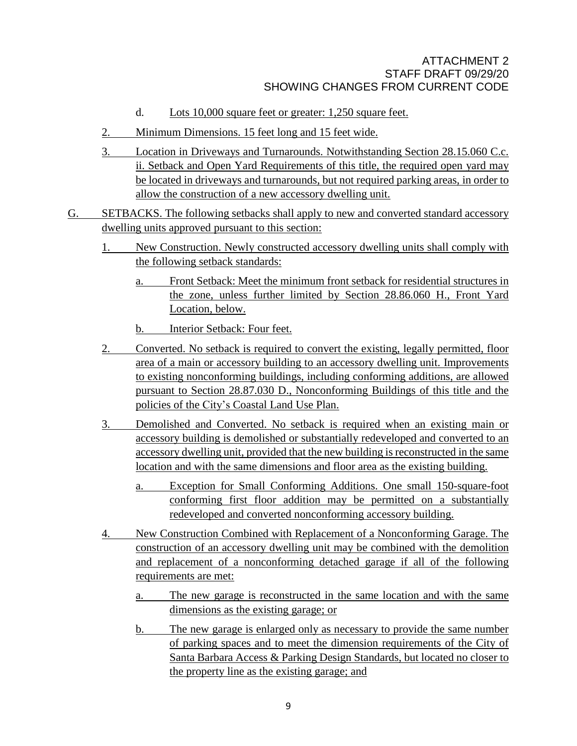- d. Lots 10,000 square feet or greater: 1,250 square feet.
- 2. Minimum Dimensions. 15 feet long and 15 feet wide.
- 3. Location in Driveways and Turnarounds. Notwithstanding Section 28.15.060 C.c. ii. Setback and Open Yard Requirements of this title, the required open yard may be located in driveways and turnarounds, but not required parking areas, in order to allow the construction of a new accessory dwelling unit.
- G. SETBACKS. The following setbacks shall apply to new and converted standard accessory dwelling units approved pursuant to this section:
	- 1. New Construction. Newly constructed accessory dwelling units shall comply with the following setback standards:
		- a. Front Setback: Meet the minimum front setback for residential structures in the zone, unless further limited by Section 28.86.060 H., Front Yard Location, below.
		- b. Interior Setback: Four feet.
	- 2. Converted. No setback is required to convert the existing, legally permitted, floor area of a main or accessory building to an accessory dwelling unit. Improvements to existing nonconforming buildings, including conforming additions, are allowed pursuant to Section 28.87.030 D., Nonconforming Buildings of this title and the policies of the City's Coastal Land Use Plan.
	- 3. Demolished and Converted. No setback is required when an existing main or accessory building is demolished or substantially redeveloped and converted to an accessory dwelling unit, provided that the new building is reconstructed in the same location and with the same dimensions and floor area as the existing building.
		- a. Exception for Small Conforming Additions. One small 150-square-foot conforming first floor addition may be permitted on a substantially redeveloped and converted nonconforming accessory building.
	- 4. New Construction Combined with Replacement of a Nonconforming Garage. The construction of an accessory dwelling unit may be combined with the demolition and replacement of a nonconforming detached garage if all of the following requirements are met:
		- a. The new garage is reconstructed in the same location and with the same dimensions as the existing garage; or
		- b. The new garage is enlarged only as necessary to provide the same number of parking spaces and to meet the dimension requirements of the City of Santa Barbara Access & Parking Design Standards, but located no closer to the property line as the existing garage; and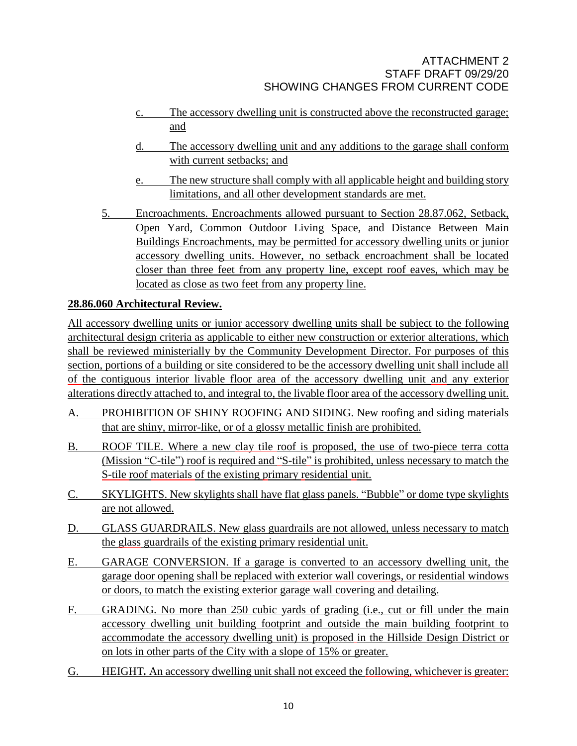- c. The accessory dwelling unit is constructed above the reconstructed garage; and
- d. The accessory dwelling unit and any additions to the garage shall conform with current setbacks; and
- e. The new structure shall comply with all applicable height and building story limitations, and all other development standards are met.
- 5. Encroachments. Encroachments allowed pursuant to Section [28.87.062,](http://qcode.us/codes/santabarbara/view.php?cite=section_30.140.090&confidence=6) Setback, Open Yard, Common Outdoor Living Space, and Distance Between Main Buildings Encroachments, may be permitted for accessory dwelling units or junior accessory dwelling units. However, no setback encroachment shall be located closer than three feet from any property line, except roof eaves, which may be located as close as two feet from any property line.

# **28.86.060 Architectural Review.**

All accessory dwelling units or junior accessory dwelling units shall be subject to the following architectural design criteria as applicable to either new construction or exterior alterations, which shall be reviewed ministerially by the Community Development Director. For purposes of this section, portions of a building or site considered to be the accessory dwelling unit shall include all of the contiguous interior livable floor area of the accessory dwelling unit and any exterior alterations directly attached to, and integral to, the livable floor area of the accessory dwelling unit.

- A. PROHIBITION OF SHINY ROOFING AND SIDING. New roofing and siding materials that are shiny, mirror-like, or of a glossy metallic finish are prohibited.
- B. ROOF TILE. Where a new clay tile roof is proposed, the use of two-piece terra cotta (Mission "C-tile") roof is required and "S-tile" is prohibited, unless necessary to match the S-tile roof materials of the existing primary residential unit.
- C. SKYLIGHTS. New skylights shall have flat glass panels. "Bubble" or dome type skylights are not allowed.
- D. GLASS GUARDRAILS. New glass guardrails are not allowed, unless necessary to match the glass guardrails of the existing primary residential unit.
- E. GARAGE CONVERSION. If a garage is converted to an accessory dwelling unit, the garage door opening shall be replaced with exterior wall coverings, or residential windows or doors, to match the existing exterior garage wall covering and detailing.
- F. GRADING. No more than 250 cubic yards of grading (i.e., cut or fill under the main accessory dwelling unit building footprint and outside the main building footprint to accommodate the accessory dwelling unit) is proposed in the Hillside Design District or on lots in other parts of the City with a slope of 15% or greater.
- G. HEIGHT*.* An accessory dwelling unit shall not exceed the following, whichever is greater: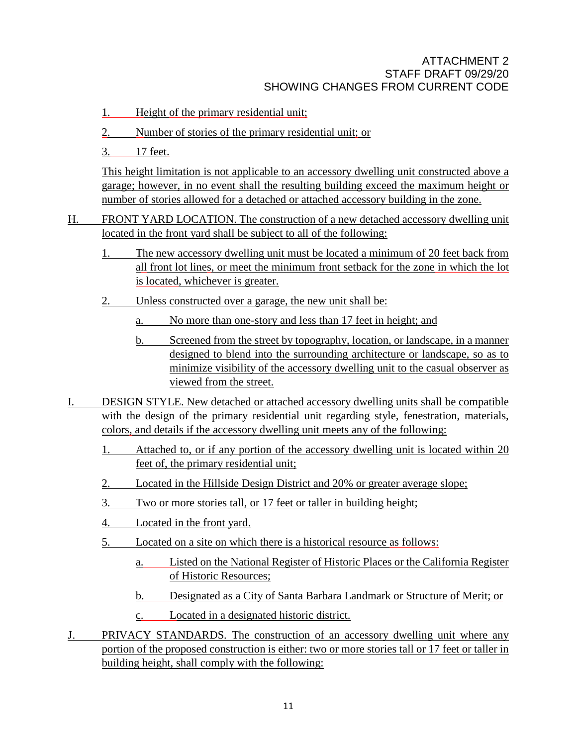- 1. Height of the primary residential unit;
- 2. Number of stories of the primary residential unit; or
- 3. 17 feet.

This height limitation is not applicable to an accessory dwelling unit constructed above a garage; however, in no event shall the resulting building exceed the maximum height or number of stories allowed for a detached or attached accessory building in the zone.

- H. FRONT YARD LOCATION. The construction of a new detached accessory dwelling unit located in the front yard shall be subject to all of the following:
	- 1. The new accessory dwelling unit must be located a minimum of 20 feet back from all front lot lines, or meet the minimum front setback for the zone in which the lot is located, whichever is greater.
	- 2. Unless constructed over a garage, the new unit shall be:
		- a. No more than one-story and less than 17 feet in height; and
		- b. Screened from the street by topography, location, or landscape, in a manner designed to blend into the surrounding architecture or landscape, so as to minimize visibility of the accessory dwelling unit to the casual observer as viewed from the street.
- I. DESIGN STYLE. New detached or attached accessory dwelling units shall be compatible with the design of the primary residential unit regarding style, fenestration, materials, colors, and details if the accessory dwelling unit meets any of the following:
	- 1. Attached to, or if any portion of the accessory dwelling unit is located within 20 feet of, the primary residential unit;
	- 2. Located in the Hillside Design District and 20% or greater average slope;
	- 3. Two or more stories tall, or 17 feet or taller in building height;
	- 4. Located in the front yard.
	- 5. Located on a site on which there is a historical resource as follows:
		- a. Listed on the National Register of Historic Places or the California Register of Historic Resources;
		- b. Designated as a City of Santa Barbara Landmark or Structure of Merit; or
		- c. Located in a designated historic district.
- J. PRIVACY STANDARDS*.* The construction of an accessory dwelling unit where any portion of the proposed construction is either: two or more stories tall or 17 feet or taller in building height, shall comply with the following: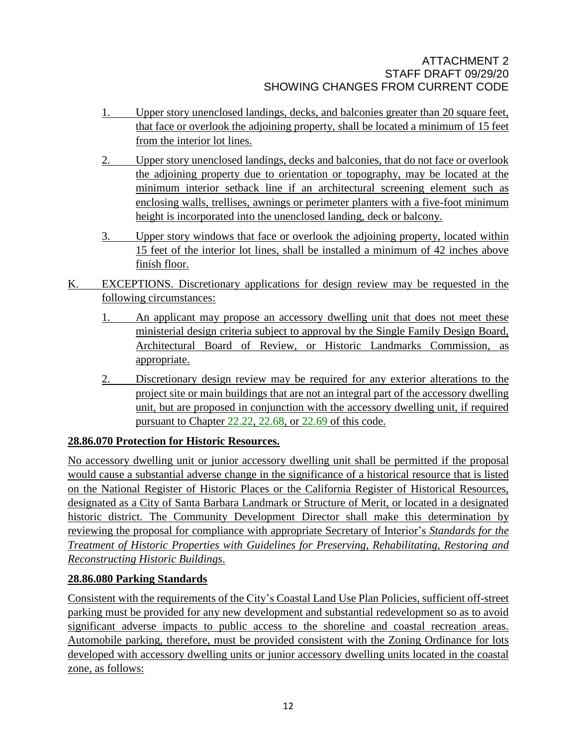- 1. Upper story unenclosed landings, decks, and balconies greater than 20 square feet, that face or overlook the adjoining property, shall be located a minimum of 15 feet from the interior lot lines.
- 2. Upper story unenclosed landings, decks and balconies, that do not face or overlook the adjoining property due to orientation or topography, may be located at the minimum interior setback line if an architectural screening element such as enclosing walls, trellises, awnings or perimeter planters with a five-foot minimum height is incorporated into the unenclosed landing, deck or balcony.
- 3. Upper story windows that face or overlook the adjoining property, located within 15 feet of the interior lot lines, shall be installed a minimum of 42 inches above finish floor.
- K. EXCEPTIONS. Discretionary applications for design review may be requested in the following circumstances:
	- 1. An applicant may propose an accessory dwelling unit that does not meet these ministerial design criteria subject to approval by the Single Family Design Board, Architectural Board of Review, or Historic Landmarks Commission, as appropriate.
	- 2. Discretionary design review may be required for any exterior alterations to the project site or main buildings that are not an integral part of the accessory dwelling unit, but are proposed in conjunction with the accessory dwelling unit, if required pursuant to Chapter [22.22,](http://qcode.us/codes/santabarbara/view.php?cite=chapter_22.22&confidence=8) [22.68,](http://qcode.us/codes/santabarbara/view.php?cite=chapter_22.68&confidence=8) or [22.69](http://qcode.us/codes/santabarbara/view.php?cite=chapter_22.69&confidence=8) of this code.

# **28.86.070 Protection for Historic Resources.**

No accessory dwelling unit or junior accessory dwelling unit shall be permitted if the proposal would cause a substantial adverse change in the significance of a historical resource that is listed on the National Register of Historic Places or the California Register of Historical Resources, designated as a City of Santa Barbara Landmark or Structure of Merit, or located in a designated historic district. The Community Development Director shall make this determination by reviewing the proposal for compliance with appropriate Secretary of Interior's *Standards for the Treatment of Historic Properties with Guidelines for Preserving, Rehabilitating, Restoring and Reconstructing Historic Buildings*.

# **28.86.080 Parking Standards**

Consistent with the requirements of the City's Coastal Land Use Plan Policies, sufficient off-street parking must be provided for any new development and substantial redevelopment so as to avoid significant adverse impacts to public access to the shoreline and coastal recreation areas. Automobile parking, therefore, must be provided consistent with the Zoning Ordinance for lots developed with accessory dwelling units or junior accessory dwelling units located in the coastal zone, as follows: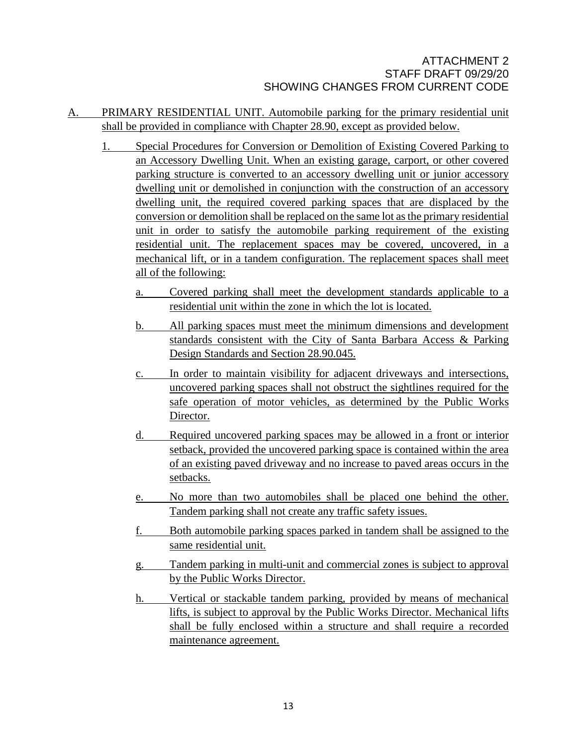- A. PRIMARY RESIDENTIAL UNIT. Automobile parking for the primary residential unit shall be provided in compliance with Chapter 28.90, except as provided below.
	- 1. Special Procedures for Conversion or Demolition of Existing Covered Parking to an Accessory Dwelling Unit. When an existing garage, carport, or other covered parking structure is converted to an accessory dwelling unit or junior accessory dwelling unit or demolished in conjunction with the construction of an accessory dwelling unit, the required covered parking spaces that are displaced by the conversion or demolition shall be replaced on the same lot asthe primary residential unit in order to satisfy the automobile parking requirement of the existing residential unit. The replacement spaces may be covered, uncovered, in a mechanical lift, or in a tandem configuration. The replacement spaces shall meet all of the following:
		- a. Covered parking shall meet the development standards applicable to a residential unit within the zone in which the lot is located.
		- b. All parking spaces must meet the minimum dimensions and development standards consistent with the City of Santa Barbara Access & Parking Design Standards and Section 28.90.045.
		- c. In order to maintain visibility for adjacent driveways and intersections, uncovered parking spaces shall not obstruct the sightlines required for the safe operation of motor vehicles, as determined by the Public Works Director.
		- d. Required uncovered parking spaces may be allowed in a front or interior setback, provided the uncovered parking space is contained within the area of an existing paved driveway and no increase to paved areas occurs in the setbacks.
		- e. No more than two automobiles shall be placed one behind the other. Tandem parking shall not create any traffic safety issues.
		- f. Both automobile parking spaces parked in tandem shall be assigned to the same residential unit.
		- g. Tandem parking in multi-unit and commercial zones is subject to approval by the Public Works Director.
		- h. Vertical or stackable tandem parking, provided by means of mechanical lifts, is subject to approval by the Public Works Director. Mechanical lifts shall be fully enclosed within a structure and shall require a recorded maintenance agreement.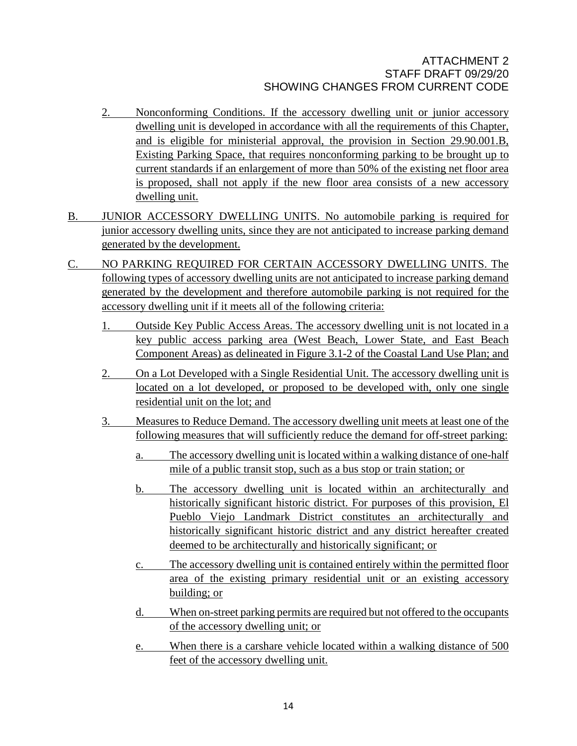- 2. Nonconforming Conditions. If the accessory dwelling unit or junior accessory dwelling unit is developed in accordance with all the requirements of this Chapter, and is eligible for ministerial approval, the provision in Section 29.90.001.B, Existing Parking Space, that requires nonconforming parking to be brought up to current standards if an enlargement of more than 50% of the existing net floor area is proposed, shall not apply if the new floor area consists of a new accessory dwelling unit.
- B. JUNIOR ACCESSORY DWELLING UNITS. No automobile parking is required for junior accessory dwelling units, since they are not anticipated to increase parking demand generated by the development.
- C. NO PARKING REQUIRED FOR CERTAIN ACCESSORY DWELLING UNITS. The following types of accessory dwelling units are not anticipated to increase parking demand generated by the development and therefore automobile parking is not required for the accessory dwelling unit if it meets all of the following criteria:
	- 1. Outside Key Public Access Areas. The accessory dwelling unit is not located in a key public access parking area (West Beach, Lower State, and East Beach Component Areas) as delineated in Figure 3.1-2 of the Coastal Land Use Plan; and
	- 2. On a Lot Developed with a Single Residential Unit. The accessory dwelling unit is located on a lot developed, or proposed to be developed with, only one single residential unit on the lot; and
	- 3. Measures to Reduce Demand. The accessory dwelling unit meets at least one of the following measures that will sufficiently reduce the demand for off-street parking:
		- a. The accessory dwelling unit is located within a walking distance of one-half mile of a public transit stop, such as a bus stop or train station; or
		- b. The accessory dwelling unit is located within an architecturally and historically significant historic district. For purposes of this provision, El Pueblo Viejo Landmark District constitutes an architecturally and historically significant historic district and any district hereafter created deemed to be architecturally and historically significant; or
		- c. The accessory dwelling unit is contained entirely within the permitted floor area of the existing primary residential unit or an existing accessory building; or
		- d. When on-street parking permits are required but not offered to the occupants of the accessory dwelling unit; or
		- e. When there is a carshare vehicle located within a walking distance of 500 feet of the accessory dwelling unit.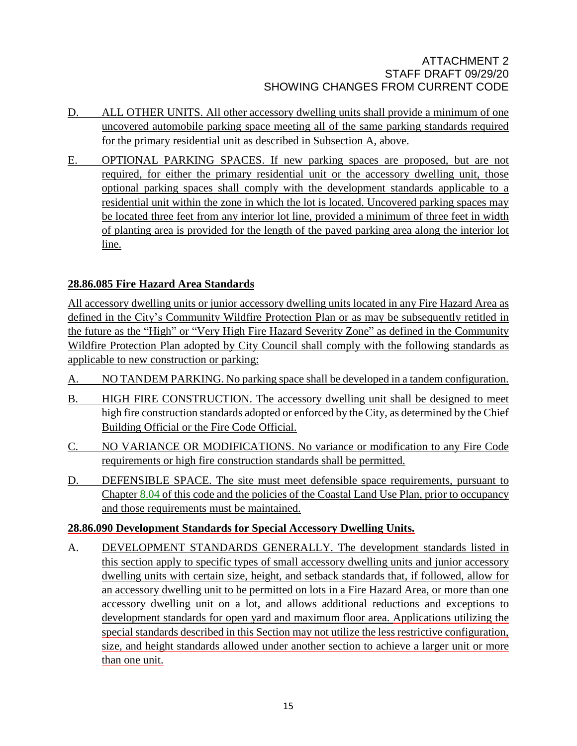- D. ALL OTHER UNITS. All other accessory dwelling units shall provide a minimum of one uncovered automobile parking space meeting all of the same parking standards required for the primary residential unit as described in Subsection A, above.
- E. OPTIONAL PARKING SPACES. If new parking spaces are proposed, but are not required, for either the primary residential unit or the accessory dwelling unit, those optional parking spaces shall comply with the development standards applicable to a residential unit within the zone in which the lot is located. Uncovered parking spaces may be located three feet from any interior lot line, provided a minimum of three feet in width of planting area is provided for the length of the paved parking area along the interior lot line.

# **28.86.085 Fire Hazard Area Standards**

All accessory dwelling units or junior accessory dwelling units located in any Fire Hazard Area as defined in the City's Community Wildfire Protection Plan or as may be subsequently retitled in the future as the "High" or "Very High Fire Hazard Severity Zone" as defined in the Community Wildfire Protection Plan adopted by City Council shall comply with the following standards as applicable to new construction or parking:

- A. NO TANDEM PARKING. No parking space shall be developed in a tandem configuration.
- B. HIGH FIRE CONSTRUCTION. The accessory dwelling unit shall be designed to meet high fire construction standards adopted or enforced by the City, as determined by the Chief Building Official or the Fire Code Official.
- C. NO VARIANCE OR MODIFICATIONS. No variance or modification to any Fire Code requirements or high fire construction standards shall be permitted.
- D. DEFENSIBLE SPACE. The site must meet defensible space requirements, pursuant to Chapter [8.04](http://qcode.us/codes/santabarbara/view.php?cite=chapter_8.04&confidence=8) of this code and the policies of the Coastal Land Use Plan, prior to occupancy and those requirements must be maintained.

# **28.86.090 Development Standards for Special Accessory Dwelling Units.**

A. DEVELOPMENT STANDARDS GENERALLY. The development standards listed in this section apply to specific types of small accessory dwelling units and junior accessory dwelling units with certain size, height, and setback standards that, if followed, allow for an accessory dwelling unit to be permitted on lots in a Fire Hazard Area, or more than one accessory dwelling unit on a lot, and allows additional reductions and exceptions to development standards for open yard and maximum floor area. Applications utilizing the special standards described in this Section may not utilize the less restrictive configuration, size, and height standards allowed under another section to achieve a larger unit or more than one unit.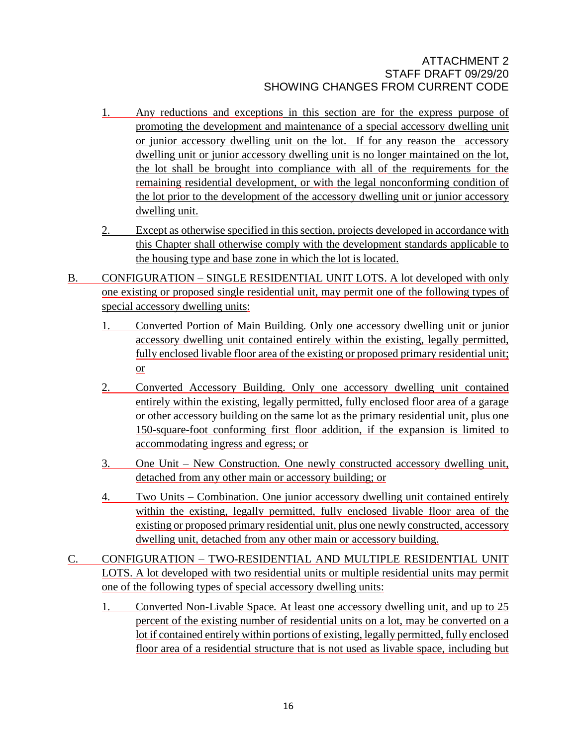- 1. Any reductions and exceptions in this section are for the express purpose of promoting the development and maintenance of a special accessory dwelling unit or junior accessory dwelling unit on the lot. If for any reason the accessory dwelling unit or junior accessory dwelling unit is no longer maintained on the lot, the lot shall be brought into compliance with all of the requirements for the remaining residential development, or with the legal nonconforming condition of the lot prior to the development of the accessory dwelling unit or junior accessory dwelling unit.
- 2. Except as otherwise specified in this section, projects developed in accordance with this Chapter shall otherwise comply with the development standards applicable to the housing type and base zone in which the lot is located.
- B. CONFIGURATION SINGLE RESIDENTIAL UNIT LOTS. A lot developed with only one existing or proposed single residential unit, may permit one of the following types of special accessory dwelling units:
	- 1. Converted Portion of Main Building*.* Only one accessory dwelling unit or junior accessory dwelling unit contained entirely within the existing, legally permitted, fully enclosed livable floor area of the existing or proposed primary residential unit; or
	- 2. Converted Accessory Building. Only one accessory dwelling unit contained entirely within the existing, legally permitted, fully enclosed floor area of a garage or other accessory building on the same lot as the primary residential unit, plus one 150-square-foot conforming first floor addition, if the expansion is limited to accommodating ingress and egress; or
	- 3. One Unit New Construction*.* One newly constructed accessory dwelling unit, detached from any other main or accessory building; or
	- 4. Two Units Combination*.* One junior accessory dwelling unit contained entirely within the existing, legally permitted, fully enclosed livable floor area of the existing or proposed primary residential unit, plus one newly constructed, accessory dwelling unit, detached from any other main or accessory building.
- C. CONFIGURATION TWO-RESIDENTIAL AND MULTIPLE RESIDENTIAL UNIT LOTS. A lot developed with two residential units or multiple residential units may permit one of the following types of special accessory dwelling units:
	- 1. Converted Non-Livable Space*.* At least one accessory dwelling unit, and up to 25 percent of the existing number of residential units on a lot, may be converted on a lot if contained entirely within portions of existing, legally permitted, fully enclosed floor area of a residential structure that is not used as livable space, including but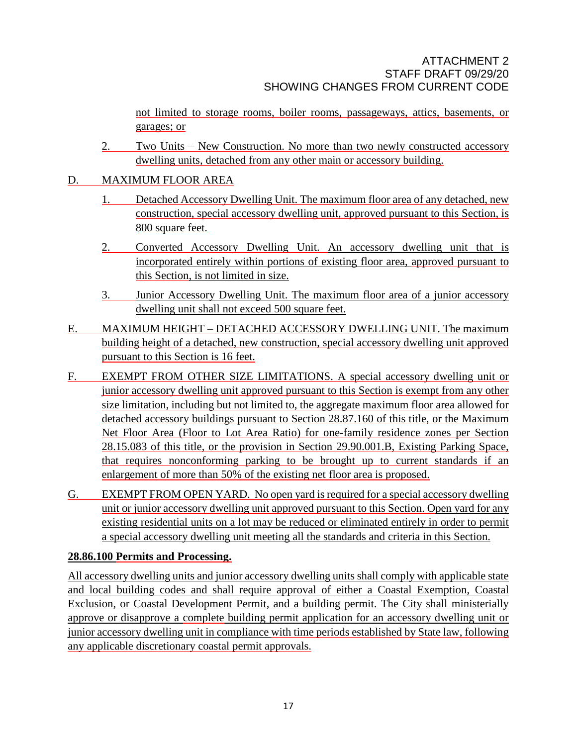not limited to storage rooms, boiler rooms, passageways, attics, basements, or garages; or

2. Two Units – New Construction. No more than two newly constructed accessory dwelling units, detached from any other main or accessory building.

# D. MAXIMUM FLOOR AREA

- 1. Detached Accessory Dwelling Unit. The maximum floor area of any detached, new construction, special accessory dwelling unit, approved pursuant to this Section, is 800 square feet.
- 2. Converted Accessory Dwelling Unit. An accessory dwelling unit that is incorporated entirely within portions of existing floor area, approved pursuant to this Section, is not limited in size.
- 3. Junior Accessory Dwelling Unit. The maximum floor area of a junior accessory dwelling unit shall not exceed 500 square feet.
- E. MAXIMUM HEIGHT DETACHED ACCESSORY DWELLING UNIT. The maximum building height of a detached, new construction, special accessory dwelling unit approved pursuant to this Section is 16 feet.
- F. EXEMPT FROM OTHER SIZE LIMITATIONS. A special accessory dwelling unit or junior accessory dwelling unit approved pursuant to this Section is exempt from any other size limitation, including but not limited to, the aggregate maximum floor area allowed for detached accessory buildings pursuant to Section 28.87.160 of this title, or the Maximum Net Floor Area (Floor to Lot Area Ratio) for one-family residence zones per Section 28.15.083 of this title, or the provision in Section 29.90.001.B, Existing Parking Space, that requires nonconforming parking to be brought up to current standards if an enlargement of more than 50% of the existing net floor area is proposed.
- G. EXEMPT FROM OPEN YARD. No open yard is required for a special accessory dwelling unit or junior accessory dwelling unit approved pursuant to this Section. Open yard for any existing residential units on a lot may be reduced or eliminated entirely in order to permit a special accessory dwelling unit meeting all the standards and criteria in this Section.

# **28.86.100 Permits and Processing.**

All accessory dwelling units and junior accessory dwelling units shall comply with applicable state and local building codes and shall require approval of either a Coastal Exemption, Coastal Exclusion, or Coastal Development Permit, and a building permit. The City shall ministerially approve or disapprove a complete building permit application for an accessory dwelling unit or junior accessory dwelling unit in compliance with time periods established by State law, following any applicable discretionary coastal permit approvals.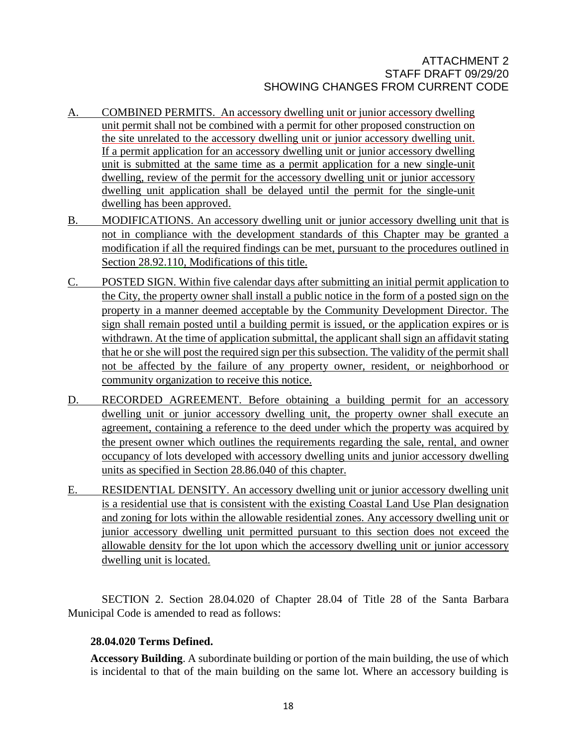- A. COMBINED PERMITS. An accessory dwelling unit or junior accessory dwelling unit permit shall not be combined with a permit for other proposed construction on the site unrelated to the accessory dwelling unit or junior accessory dwelling unit. If a permit application for an accessory dwelling unit or junior accessory dwelling unit is submitted at the same time as a permit application for a new single-unit dwelling, review of the permit for the accessory dwelling unit or junior accessory dwelling unit application shall be delayed until the permit for the single-unit dwelling has been approved.
- B. MODIFICATIONS. An accessory dwelling unit or junior accessory dwelling unit that is not in compliance with the development standards of this Chapter may be granted a modification if all the required findings can be met, pursuant to the procedures outlined in Section [28.92.110,](http://qcode.us/codes/santabarbara/view.php?cite=chapter_30.250&confidence=6) Modifications of this title.
- C. POSTED SIGN. Within five calendar days after submitting an initial permit application to the City, the property owner shall install a public notice in the form of a posted sign on the property in a manner deemed acceptable by the Community Development Director. The sign shall remain posted until a building permit is issued, or the application expires or is withdrawn. At the time of application submittal, the applicant shall sign an affidavit stating that he or she will post the required sign per this subsection. The validity of the permit shall not be affected by the failure of any property owner, resident, or neighborhood or community organization to receive this notice.
- D. RECORDED AGREEMENT. Before obtaining a building permit for an accessory dwelling unit or junior accessory dwelling unit, the property owner shall execute an agreement, containing a reference to the deed under which the property was acquired by the present owner which outlines the requirements regarding the sale, rental, and owner occupancy of lots developed with accessory dwelling units and junior accessory dwelling units as specified in Section 28.86.040 of this chapter.
- E. RESIDENTIAL DENSITY. An accessory dwelling unit or junior accessory dwelling unit is a residential use that is consistent with the existing Coastal Land Use Plan designation and zoning for lots within the allowable residential zones. Any accessory dwelling unit or junior accessory dwelling unit permitted pursuant to this section does not exceed the allowable density for the lot upon which the accessory dwelling unit or junior accessory dwelling unit is located.

SECTION 2. Section 28.04.020 of Chapter 28.04 of Title 28 of the Santa Barbara Municipal Code is amended to read as follows:

# **28.04.020 Terms Defined.**

**Accessory Building**. A subordinate building or portion of the main building, the use of which is incidental to that of the main building on the same lot. Where an accessory building is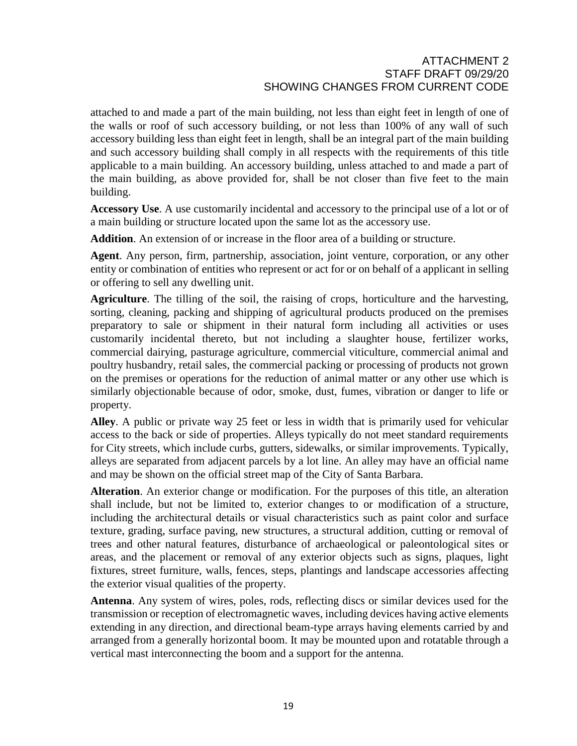attached to and made a part of the main building, not less than eight feet in length of one of the walls or roof of such accessory building, or not less than 100% of any wall of such accessory building less than eight feet in length, shall be an integral part of the main building and such accessory building shall comply in all respects with the requirements of this title applicable to a main building. An accessory building, unless attached to and made a part of the main building, as above provided for, shall be not closer than five feet to the main building.

**Accessory Use**. A use customarily incidental and accessory to the principal use of a lot or of a main building or structure located upon the same lot as the accessory use.

**Addition**. An extension of or increase in the floor area of a building or structure.

**Agent**. Any person, firm, partnership, association, joint venture, corporation, or any other entity or combination of entities who represent or act for or on behalf of a applicant in selling or offering to sell any dwelling unit.

**Agriculture**. The tilling of the soil, the raising of crops, horticulture and the harvesting, sorting, cleaning, packing and shipping of agricultural products produced on the premises preparatory to sale or shipment in their natural form including all activities or uses customarily incidental thereto, but not including a slaughter house, fertilizer works, commercial dairying, pasturage agriculture, commercial viticulture, commercial animal and poultry husbandry, retail sales, the commercial packing or processing of products not grown on the premises or operations for the reduction of animal matter or any other use which is similarly objectionable because of odor, smoke, dust, fumes, vibration or danger to life or property.

**Alley**. A public or private way 25 feet or less in width that is primarily used for vehicular access to the back or side of properties. Alleys typically do not meet standard requirements for City streets, which include curbs, gutters, sidewalks, or similar improvements. Typically, alleys are separated from adjacent parcels by a lot line. An alley may have an official name and may be shown on the official street map of the City of Santa Barbara.

**Alteration**. An exterior change or modification. For the purposes of this title, an alteration shall include, but not be limited to, exterior changes to or modification of a structure, including the architectural details or visual characteristics such as paint color and surface texture, grading, surface paving, new structures, a structural addition, cutting or removal of trees and other natural features, disturbance of archaeological or paleontological sites or areas, and the placement or removal of any exterior objects such as signs, plaques, light fixtures, street furniture, walls, fences, steps, plantings and landscape accessories affecting the exterior visual qualities of the property.

**Antenna**. Any system of wires, poles, rods, reflecting discs or similar devices used for the transmission or reception of electromagnetic waves, including devices having active elements extending in any direction, and directional beam-type arrays having elements carried by and arranged from a generally horizontal boom. It may be mounted upon and rotatable through a vertical mast interconnecting the boom and a support for the antenna.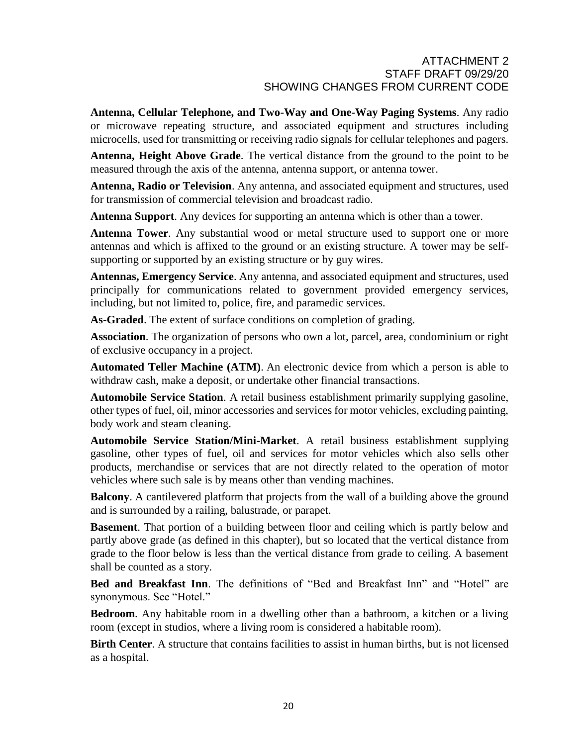**Antenna, Cellular Telephone, and Two-Way and One-Way Paging Systems**. Any radio or microwave repeating structure, and associated equipment and structures including microcells, used for transmitting or receiving radio signals for cellular telephones and pagers.

**Antenna, Height Above Grade**. The vertical distance from the ground to the point to be measured through the axis of the antenna, antenna support, or antenna tower.

**Antenna, Radio or Television**. Any antenna, and associated equipment and structures, used for transmission of commercial television and broadcast radio.

**Antenna Support**. Any devices for supporting an antenna which is other than a tower.

**Antenna Tower**. Any substantial wood or metal structure used to support one or more antennas and which is affixed to the ground or an existing structure. A tower may be selfsupporting or supported by an existing structure or by guy wires.

**Antennas, Emergency Service**. Any antenna, and associated equipment and structures, used principally for communications related to government provided emergency services, including, but not limited to, police, fire, and paramedic services.

**As-Graded**. The extent of surface conditions on completion of grading.

**Association**. The organization of persons who own a lot, parcel, area, condominium or right of exclusive occupancy in a project.

**Automated Teller Machine (ATM)**. An electronic device from which a person is able to withdraw cash, make a deposit, or undertake other financial transactions.

**Automobile Service Station**. A retail business establishment primarily supplying gasoline, other types of fuel, oil, minor accessories and services for motor vehicles, excluding painting, body work and steam cleaning.

**Automobile Service Station/Mini-Market**. A retail business establishment supplying gasoline, other types of fuel, oil and services for motor vehicles which also sells other products, merchandise or services that are not directly related to the operation of motor vehicles where such sale is by means other than vending machines.

**Balcony**. A cantilevered platform that projects from the wall of a building above the ground and is surrounded by a railing, balustrade, or parapet.

**Basement**. That portion of a building between floor and ceiling which is partly below and partly above grade (as defined in this chapter), but so located that the vertical distance from grade to the floor below is less than the vertical distance from grade to ceiling. A basement shall be counted as a story.

**Bed and Breakfast Inn**. The definitions of "Bed and Breakfast Inn" and "Hotel" are synonymous. See "Hotel."

**Bedroom**. Any habitable room in a dwelling other than a bathroom, a kitchen or a living room (except in studios, where a living room is considered a habitable room).

**Birth Center**. A structure that contains facilities to assist in human births, but is not licensed as a hospital.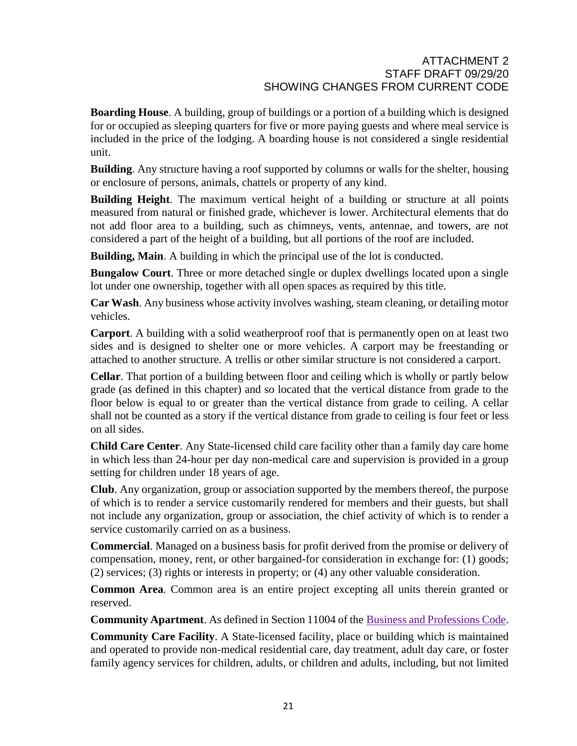**Boarding House**. A building, group of buildings or a portion of a building which is designed for or occupied as sleeping quarters for five or more paying guests and where meal service is included in the price of the lodging. A boarding house is not considered a single residential unit.

**Building**. Any structure having a roof supported by columns or walls for the shelter, housing or enclosure of persons, animals, chattels or property of any kind.

**Building Height**. The maximum vertical height of a building or structure at all points measured from natural or finished grade, whichever is lower. Architectural elements that do not add floor area to a building, such as chimneys, vents, antennae, and towers, are not considered a part of the height of a building, but all portions of the roof are included.

**Building, Main**. A building in which the principal use of the lot is conducted.

**Bungalow Court**. Three or more detached single or duplex dwellings located upon a single lot under one ownership, together with all open spaces as required by this title.

**Car Wash**. Any business whose activity involves washing, steam cleaning, or detailing motor vehicles.

**Carport**. A building with a solid weatherproof roof that is permanently open on at least two sides and is designed to shelter one or more vehicles. A carport may be freestanding or attached to another structure. A trellis or other similar structure is not considered a carport.

**Cellar**. That portion of a building between floor and ceiling which is wholly or partly below grade (as defined in this chapter) and so located that the vertical distance from grade to the floor below is equal to or greater than the vertical distance from grade to ceiling. A cellar shall not be counted as a story if the vertical distance from grade to ceiling is four feet or less on all sides.

**Child Care Center**. Any State-licensed child care facility other than a family day care home in which less than 24-hour per day non-medical care and supervision is provided in a group setting for children under 18 years of age.

**Club**. Any organization, group or association supported by the members thereof, the purpose of which is to render a service customarily rendered for members and their guests, but shall not include any organization, group or association, the chief activity of which is to render a service customarily carried on as a business.

**Commercial**. Managed on a business basis for profit derived from the promise or delivery of compensation, money, rent, or other bargained-for consideration in exchange for: (1) goods; (2) services; (3) rights or interests in property; or (4) any other valuable consideration.

**Common Area**. Common area is an entire project excepting all units therein granted or reserved.

**Community Apartment**. As defined in Section 11004 of the Business and [Professions](http://qcode.us/codes/othercode.php?state=ca&code=buspro) Code.

**Community Care Facility**. A State-licensed facility, place or building which is maintained and operated to provide non-medical residential care, day treatment, adult day care, or foster family agency services for children, adults, or children and adults, including, but not limited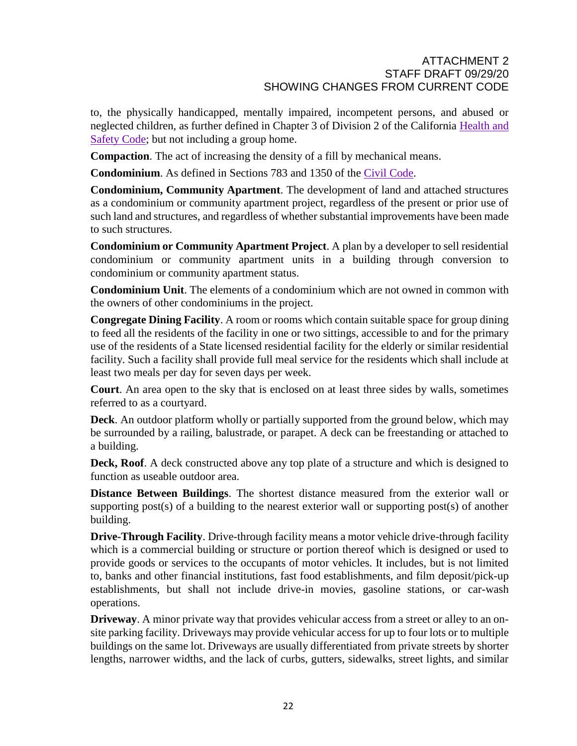to, the physically handicapped, mentally impaired, incompetent persons, and abused or neglected children, as further defined in Chapter 3 of Division 2 of the California [Health](http://qcode.us/codes/othercode.php?state=ca&code=heasaf) and [Safety](http://qcode.us/codes/othercode.php?state=ca&code=heasaf) Code; but not including a group home.

**Compaction**. The act of increasing the density of a fill by mechanical means.

**Condominium**. As defined in Sections 783 and 1350 of the Civil [Code.](http://qcode.us/codes/othercode.php?state=ca&code=civ)

**Condominium, Community Apartment**. The development of land and attached structures as a condominium or community apartment project, regardless of the present or prior use of such land and structures, and regardless of whether substantial improvements have been made to such structures.

**Condominium or Community Apartment Project**. A plan by a developer to sell residential condominium or community apartment units in a building through conversion to condominium or community apartment status.

**Condominium Unit**. The elements of a condominium which are not owned in common with the owners of other condominiums in the project.

**Congregate Dining Facility**. A room or rooms which contain suitable space for group dining to feed all the residents of the facility in one or two sittings, accessible to and for the primary use of the residents of a State licensed residential facility for the elderly or similar residential facility. Such a facility shall provide full meal service for the residents which shall include at least two meals per day for seven days per week.

**Court**. An area open to the sky that is enclosed on at least three sides by walls, sometimes referred to as a courtyard.

**Deck**. An outdoor platform wholly or partially supported from the ground below, which may be surrounded by a railing, balustrade, or parapet. A deck can be freestanding or attached to a building.

**Deck, Roof**. A deck constructed above any top plate of a structure and which is designed to function as useable outdoor area.

**Distance Between Buildings**. The shortest distance measured from the exterior wall or supporting post(s) of a building to the nearest exterior wall or supporting post(s) of another building.

**Drive-Through Facility**. Drive-through facility means a motor vehicle drive-through facility which is a commercial building or structure or portion thereof which is designed or used to provide goods or services to the occupants of motor vehicles. It includes, but is not limited to, banks and other financial institutions, fast food establishments, and film deposit/pick-up establishments, but shall not include drive-in movies, gasoline stations, or car-wash operations.

**Driveway**. A minor private way that provides vehicular access from a street or alley to an onsite parking facility. Driveways may provide vehicular access for up to four lots or to multiple buildings on the same lot. Driveways are usually differentiated from private streets by shorter lengths, narrower widths, and the lack of curbs, gutters, sidewalks, street lights, and similar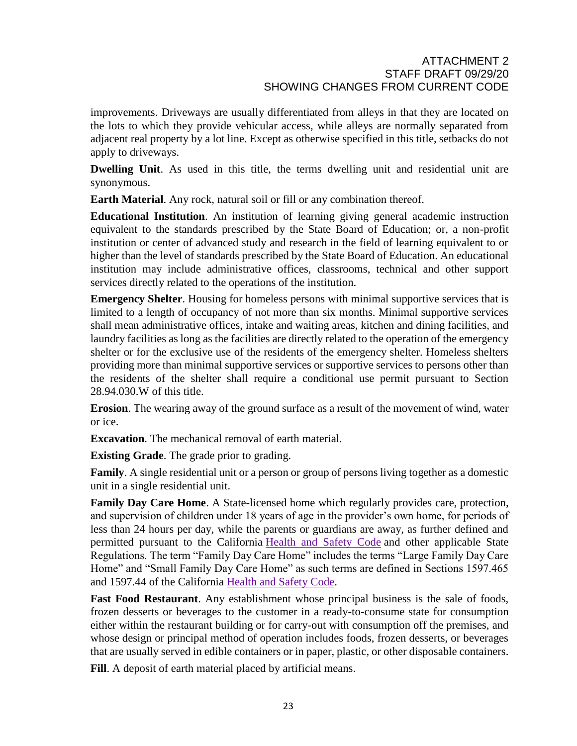improvements. Driveways are usually differentiated from alleys in that they are located on the lots to which they provide vehicular access, while alleys are normally separated from adjacent real property by a lot line. Except as otherwise specified in this title, setbacks do not apply to driveways.

**Dwelling Unit**. As used in this title, the terms dwelling unit and residential unit are synonymous.

**Earth Material**. Any rock, natural soil or fill or any combination thereof.

**Educational Institution**. An institution of learning giving general academic instruction equivalent to the standards prescribed by the State Board of Education; or, a non-profit institution or center of advanced study and research in the field of learning equivalent to or higher than the level of standards prescribed by the State Board of Education. An educational institution may include administrative offices, classrooms, technical and other support services directly related to the operations of the institution.

**Emergency Shelter**. Housing for homeless persons with minimal supportive services that is limited to a length of occupancy of not more than six months. Minimal supportive services shall mean administrative offices, intake and waiting areas, kitchen and dining facilities, and laundry facilities as long as the facilities are directly related to the operation of the emergency shelter or for the exclusive use of the residents of the emergency shelter. Homeless shelters providing more than minimal supportive services or supportive services to persons other than the residents of the shelter shall require a conditional use permit pursuant to Section 28.94.030.W of this title.

**Erosion**. The wearing away of the ground surface as a result of the movement of wind, water or ice.

**Excavation**. The mechanical removal of earth material.

**Existing Grade**. The grade prior to grading.

**Family**. A single residential unit or a person or group of persons living together as a domestic unit in a single residential unit.

**Family Day Care Home**. A State-licensed home which regularly provides care, protection, and supervision of children under 18 years of age in the provider's own home, for periods of less than 24 hours per day, while the parents or guardians are away, as further defined and permitted pursuant to the California Health and Safety Code and other applicable State Regulations. The term "Family Day Care Home" includes the terms "Large Family Day Care Home" and "Small Family Day Care Home" as such terms are defined in Sections 1597.465 and 1597.44 of the California Health and Safety Code.

**Fast Food Restaurant**. Any establishment whose principal business is the sale of foods, frozen desserts or beverages to the customer in a ready-to-consume state for consumption either within the restaurant building or for carry-out with consumption off the premises, and whose design or principal method of operation includes foods, frozen desserts, or beverages that are usually served in edible containers or in paper, plastic, or other disposable containers.

**Fill**. A deposit of earth material placed by artificial means.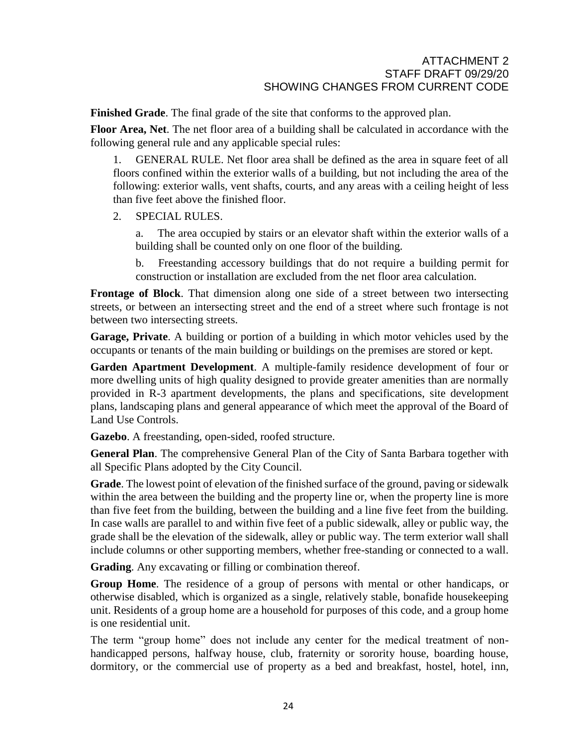**Finished Grade**. The final grade of the site that conforms to the approved plan.

**Floor Area, Net**. The net floor area of a building shall be calculated in accordance with the following general rule and any applicable special rules:

1. GENERAL RULE. Net floor area shall be defined as the area in square feet of all floors confined within the exterior walls of a building, but not including the area of the following: exterior walls, vent shafts, courts, and any areas with a ceiling height of less than five feet above the finished floor.

2. SPECIAL RULES.

a. The area occupied by stairs or an elevator shaft within the exterior walls of a building shall be counted only on one floor of the building.

b. Freestanding accessory buildings that do not require a building permit for construction or installation are excluded from the net floor area calculation.

**Frontage of Block**. That dimension along one side of a street between two intersecting streets, or between an intersecting street and the end of a street where such frontage is not between two intersecting streets.

**Garage, Private**. A building or portion of a building in which motor vehicles used by the occupants or tenants of the main building or buildings on the premises are stored or kept.

**Garden Apartment Development**. A multiple-family residence development of four or more dwelling units of high quality designed to provide greater amenities than are normally provided in R-3 apartment developments, the plans and specifications, site development plans, landscaping plans and general appearance of which meet the approval of the Board of Land Use Controls.

**Gazebo**. A freestanding, open-sided, roofed structure.

**General Plan**. The comprehensive General Plan of the City of Santa Barbara together with all Specific Plans adopted by the City Council.

**Grade**. The lowest point of elevation of the finished surface of the ground, paving or sidewalk within the area between the building and the property line or, when the property line is more than five feet from the building, between the building and a line five feet from the building. In case walls are parallel to and within five feet of a public sidewalk, alley or public way, the grade shall be the elevation of the sidewalk, alley or public way. The term exterior wall shall include columns or other supporting members, whether free-standing or connected to a wall.

**Grading**. Any excavating or filling or combination thereof.

**Group Home**. The residence of a group of persons with mental or other handicaps, or otherwise disabled, which is organized as a single, relatively stable, bonafide housekeeping unit. Residents of a group home are a household for purposes of this code, and a group home is one residential unit.

The term "group home" does not include any center for the medical treatment of nonhandicapped persons, halfway house, club, fraternity or sorority house, boarding house, dormitory, or the commercial use of property as a bed and breakfast, hostel, hotel, inn,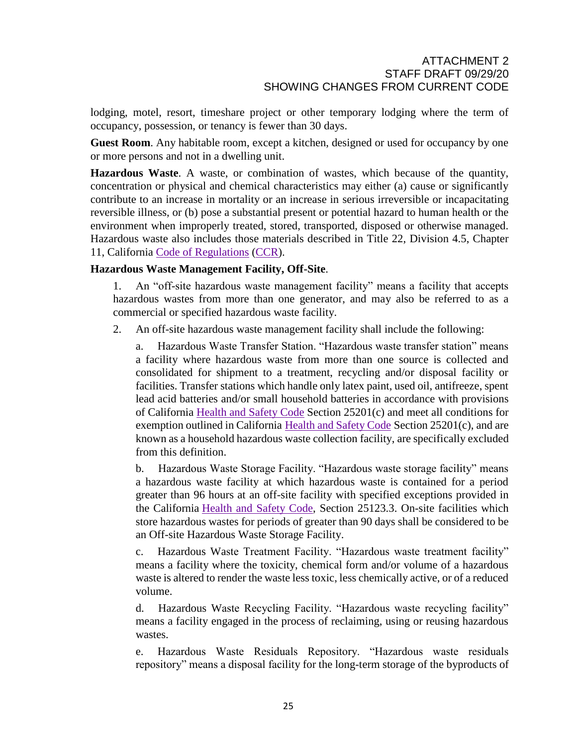lodging, motel, resort, timeshare project or other temporary lodging where the term of occupancy, possession, or tenancy is fewer than 30 days.

Guest Room. Any habitable room, except a kitchen, designed or used for occupancy by one or more persons and not in a dwelling unit.

**Hazardous Waste**. A waste, or combination of wastes, which because of the quantity, concentration or physical and chemical characteristics may either (a) cause or significantly contribute to an increase in mortality or an increase in serious irreversible or incapacitating reversible illness, or (b) pose a substantial present or potential hazard to human health or the environment when improperly treated, stored, transported, disposed or otherwise managed. Hazardous waste also includes those materials described in Title 22, Division 4.5, Chapter 11, California Code of [Regulations](http://qcode.us/codes/othercode.php?state=ca&code=reg) [\(CCR\)](http://qcode.us/codes/othercode.php?state=ca&code=ccr).

#### **Hazardous Waste Management Facility, Off-Site**.

1. An "off-site hazardous waste management facility" means a facility that accepts hazardous wastes from more than one generator, and may also be referred to as a commercial or specified hazardous waste facility.

2. An off-site hazardous waste management facility shall include the following:

a. Hazardous Waste Transfer Station. "Hazardous waste transfer station" means a facility where hazardous waste from more than one source is collected and consolidated for shipment to a treatment, recycling and/or disposal facility or facilities. Transfer stations which handle only latex paint, used oil, antifreeze, spent lead acid batteries and/or small household batteries in accordance with provisions of California [Health](http://qcode.us/codes/othercode.php?state=ca&code=heasaf) and Safety Code Section 25201(c) and meet all conditions for exemption outlined in California [Health](http://qcode.us/codes/othercode.php?state=ca&code=heasaf) and Safety Code Section 25201(c), and are known as a household hazardous waste collection facility, are specifically excluded from this definition.

b. Hazardous Waste Storage Facility. "Hazardous waste storage facility" means a hazardous waste facility at which hazardous waste is contained for a period greater than 96 hours at an off-site facility with specified exceptions provided in the California Health and Safety Code, Section 25123.3. On-site facilities which store hazardous wastes for periods of greater than 90 days shall be considered to be an Off-site Hazardous Waste Storage Facility.

c. Hazardous Waste Treatment Facility. "Hazardous waste treatment facility" means a facility where the toxicity, chemical form and/or volume of a hazardous waste is altered to render the waste less toxic, less chemically active, or of a reduced volume.

d. Hazardous Waste Recycling Facility. "Hazardous waste recycling facility" means a facility engaged in the process of reclaiming, using or reusing hazardous wastes.

e. Hazardous Waste Residuals Repository. "Hazardous waste residuals repository" means a disposal facility for the long-term storage of the byproducts of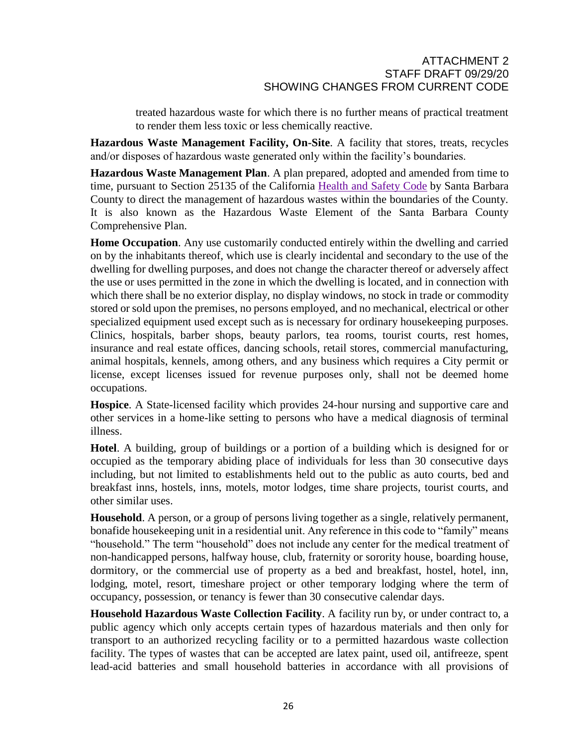treated hazardous waste for which there is no further means of practical treatment to render them less toxic or less chemically reactive.

**Hazardous Waste Management Facility, On-Site**. A facility that stores, treats, recycles and/or disposes of hazardous waste generated only within the facility's boundaries.

**Hazardous Waste Management Plan**. A plan prepared, adopted and amended from time to time, pursuant to Section 25135 of the California [Health](http://qcode.us/codes/othercode.php?state=ca&code=heasaf) and Safety Code by Santa Barbara County to direct the management of hazardous wastes within the boundaries of the County. It is also known as the Hazardous Waste Element of the Santa Barbara County Comprehensive Plan.

**Home Occupation**. Any use customarily conducted entirely within the dwelling and carried on by the inhabitants thereof, which use is clearly incidental and secondary to the use of the dwelling for dwelling purposes, and does not change the character thereof or adversely affect the use or uses permitted in the zone in which the dwelling is located, and in connection with which there shall be no exterior display, no display windows, no stock in trade or commodity stored or sold upon the premises, no persons employed, and no mechanical, electrical or other specialized equipment used except such as is necessary for ordinary housekeeping purposes. Clinics, hospitals, barber shops, beauty parlors, tea rooms, tourist courts, rest homes, insurance and real estate offices, dancing schools, retail stores, commercial manufacturing, animal hospitals, kennels, among others, and any business which requires a City permit or license, except licenses issued for revenue purposes only, shall not be deemed home occupations.

**Hospice**. A State-licensed facility which provides 24-hour nursing and supportive care and other services in a home-like setting to persons who have a medical diagnosis of terminal illness.

**Hotel**. A building, group of buildings or a portion of a building which is designed for or occupied as the temporary abiding place of individuals for less than 30 consecutive days including, but not limited to establishments held out to the public as auto courts, bed and breakfast inns, hostels, inns, motels, motor lodges, time share projects, tourist courts, and other similar uses.

**Household**. A person, or a group of persons living together as a single, relatively permanent, bonafide housekeeping unit in a residential unit. Any reference in this code to "family" means "household." The term "household" does not include any center for the medical treatment of non-handicapped persons, halfway house, club, fraternity or sorority house, boarding house, dormitory, or the commercial use of property as a bed and breakfast, hostel, hotel, inn, lodging, motel, resort, timeshare project or other temporary lodging where the term of occupancy, possession, or tenancy is fewer than 30 consecutive calendar days.

**Household Hazardous Waste Collection Facility**. A facility run by, or under contract to, a public agency which only accepts certain types of hazardous materials and then only for transport to an authorized recycling facility or to a permitted hazardous waste collection facility. The types of wastes that can be accepted are latex paint, used oil, antifreeze, spent lead-acid batteries and small household batteries in accordance with all provisions of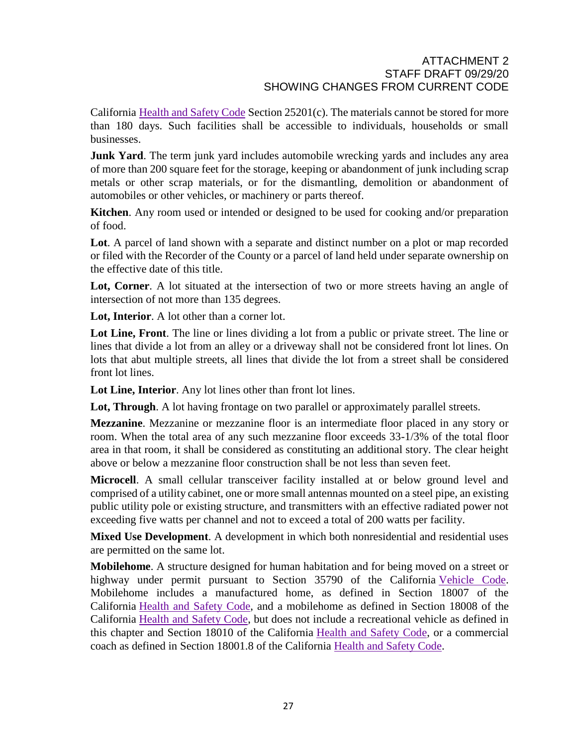California [Health](http://qcode.us/codes/othercode.php?state=ca&code=heasaf) and Safety Code Section 25201(c). The materials cannot be stored for more than 180 days. Such facilities shall be accessible to individuals, households or small businesses.

**Junk Yard**. The term junk yard includes automobile wrecking yards and includes any area of more than 200 square feet for the storage, keeping or abandonment of junk including scrap metals or other scrap materials, or for the dismantling, demolition or abandonment of automobiles or other vehicles, or machinery or parts thereof.

**Kitchen**. Any room used or intended or designed to be used for cooking and/or preparation of food.

**Lot**. A parcel of land shown with a separate and distinct number on a plot or map recorded or filed with the Recorder of the County or a parcel of land held under separate ownership on the effective date of this title.

Lot, Corner. A lot situated at the intersection of two or more streets having an angle of intersection of not more than 135 degrees.

**Lot, Interior**. A lot other than a corner lot.

**Lot Line, Front**. The line or lines dividing a lot from a public or private street. The line or lines that divide a lot from an alley or a driveway shall not be considered front lot lines. On lots that abut multiple streets, all lines that divide the lot from a street shall be considered front lot lines.

**Lot Line, Interior**. Any lot lines other than front lot lines.

**Lot, Through**. A lot having frontage on two parallel or approximately parallel streets.

**Mezzanine**. Mezzanine or mezzanine floor is an intermediate floor placed in any story or room. When the total area of any such mezzanine floor exceeds 33-1/3% of the total floor area in that room, it shall be considered as constituting an additional story. The clear height above or below a mezzanine floor construction shall be not less than seven feet.

**Microcell**. A small cellular transceiver facility installed at or below ground level and comprised of a utility cabinet, one or more small antennas mounted on a steel pipe, an existing public utility pole or existing structure, and transmitters with an effective radiated power not exceeding five watts per channel and not to exceed a total of 200 watts per facility.

**Mixed Use Development**. A development in which both nonresidential and residential uses are permitted on the same lot.

**Mobilehome**. A structure designed for human habitation and for being moved on a street or highway under permit pursuant to Section 35790 of the California [Vehicle](http://qcode.us/codes/othercode.php?state=ca&code=veh) Code. Mobilehome includes a manufactured home, as defined in Section 18007 of the California [Health](http://qcode.us/codes/othercode.php?state=ca&code=heasaf) and Safety Code, and a mobilehome as defined in Section 18008 of the California [Health](http://qcode.us/codes/othercode.php?state=ca&code=heasaf) and Safety Code, but does not include a recreational vehicle as defined in this chapter and Section 18010 of the California [Health](http://qcode.us/codes/othercode.php?state=ca&code=heasaf) and Safety Code, or a commercial coach as defined in Section 18001.8 of the California [Health](http://qcode.us/codes/othercode.php?state=ca&code=heasaf) and Safety Code.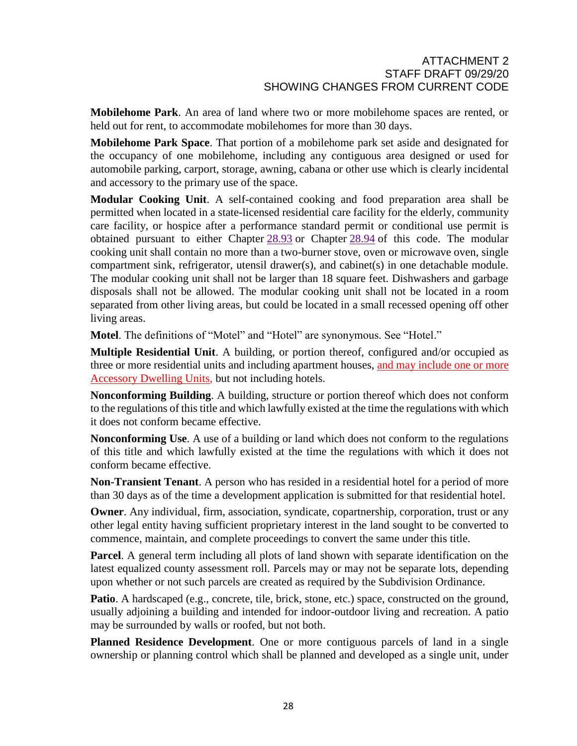**Mobilehome Park**. An area of land where two or more mobilehome spaces are rented, or held out for rent, to accommodate mobilehomes for more than 30 days.

**Mobilehome Park Space**. That portion of a mobilehome park set aside and designated for the occupancy of one mobilehome, including any contiguous area designed or used for automobile parking, carport, storage, awning, cabana or other use which is clearly incidental and accessory to the primary use of the space.

**Modular Cooking Unit**. A self-contained cooking and food preparation area shall be permitted when located in a state-licensed residential care facility for the elderly, community care facility, or hospice after a performance standard permit or conditional use permit is obtained pursuant to either Chapter [28.93](http://qcode.us/codes/santabarbara/view.php?cite=chapter_28.93&confidence=6) or Chapter [28.94](http://qcode.us/codes/santabarbara/view.php?cite=chapter_28.94&confidence=8) of this code. The modular cooking unit shall contain no more than a two-burner stove, oven or microwave oven, single compartment sink, refrigerator, utensil drawer(s), and cabinet(s) in one detachable module. The modular cooking unit shall not be larger than 18 square feet. Dishwashers and garbage disposals shall not be allowed. The modular cooking unit shall not be located in a room separated from other living areas, but could be located in a small recessed opening off other living areas.

**Motel**. The definitions of "Motel" and "Hotel" are synonymous. See "Hotel."

**Multiple Residential Unit**. A building, or portion thereof, configured and/or occupied as three or more residential units and including apartment houses, and may include one or more Accessory Dwelling Units, but not including hotels.

**Nonconforming Building**. A building, structure or portion thereof which does not conform to the regulations of this title and which lawfully existed at the time the regulations with which it does not conform became effective.

**Nonconforming Use**. A use of a building or land which does not conform to the regulations of this title and which lawfully existed at the time the regulations with which it does not conform became effective.

**Non-Transient Tenant**. A person who has resided in a residential hotel for a period of more than 30 days as of the time a development application is submitted for that residential hotel.

**Owner**. Any individual, firm, association, syndicate, copartnership, corporation, trust or any other legal entity having sufficient proprietary interest in the land sought to be converted to commence, maintain, and complete proceedings to convert the same under this title.

**Parcel**. A general term including all plots of land shown with separate identification on the latest equalized county assessment roll. Parcels may or may not be separate lots, depending upon whether or not such parcels are created as required by the Subdivision Ordinance.

**Patio**. A hardscaped (e.g., concrete, tile, brick, stone, etc.) space, constructed on the ground, usually adjoining a building and intended for indoor-outdoor living and recreation. A patio may be surrounded by walls or roofed, but not both.

**Planned Residence Development**. One or more contiguous parcels of land in a single ownership or planning control which shall be planned and developed as a single unit, under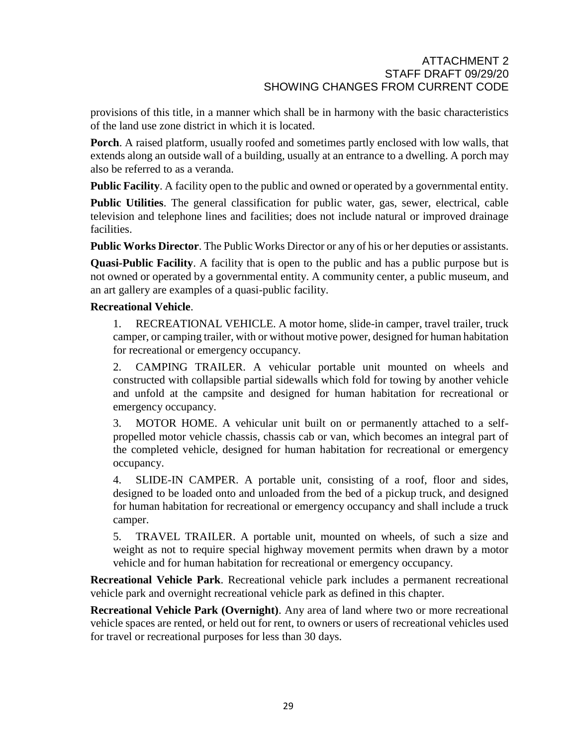provisions of this title, in a manner which shall be in harmony with the basic characteristics of the land use zone district in which it is located.

**Porch**. A raised platform, usually roofed and sometimes partly enclosed with low walls, that extends along an outside wall of a building, usually at an entrance to a dwelling. A porch may also be referred to as a veranda.

**Public Facility.** A facility open to the public and owned or operated by a governmental entity.

**Public Utilities**. The general classification for public water, gas, sewer, electrical, cable television and telephone lines and facilities; does not include natural or improved drainage facilities.

**Public Works Director**. The Public Works Director or any of his or her deputies or assistants.

**Quasi-Public Facility**. A facility that is open to the public and has a public purpose but is not owned or operated by a governmental entity. A community center, a public museum, and an art gallery are examples of a quasi-public facility.

# **Recreational Vehicle**.

1. RECREATIONAL VEHICLE. A motor home, slide-in camper, travel trailer, truck camper, or camping trailer, with or without motive power, designed for human habitation for recreational or emergency occupancy.

2. CAMPING TRAILER. A vehicular portable unit mounted on wheels and constructed with collapsible partial sidewalls which fold for towing by another vehicle and unfold at the campsite and designed for human habitation for recreational or emergency occupancy.

3. MOTOR HOME. A vehicular unit built on or permanently attached to a selfpropelled motor vehicle chassis, chassis cab or van, which becomes an integral part of the completed vehicle, designed for human habitation for recreational or emergency occupancy.

4. SLIDE-IN CAMPER. A portable unit, consisting of a roof, floor and sides, designed to be loaded onto and unloaded from the bed of a pickup truck, and designed for human habitation for recreational or emergency occupancy and shall include a truck camper.

5. TRAVEL TRAILER. A portable unit, mounted on wheels, of such a size and weight as not to require special highway movement permits when drawn by a motor vehicle and for human habitation for recreational or emergency occupancy.

**Recreational Vehicle Park**. Recreational vehicle park includes a permanent recreational vehicle park and overnight recreational vehicle park as defined in this chapter.

**Recreational Vehicle Park (Overnight)**. Any area of land where two or more recreational vehicle spaces are rented, or held out for rent, to owners or users of recreational vehicles used for travel or recreational purposes for less than 30 days.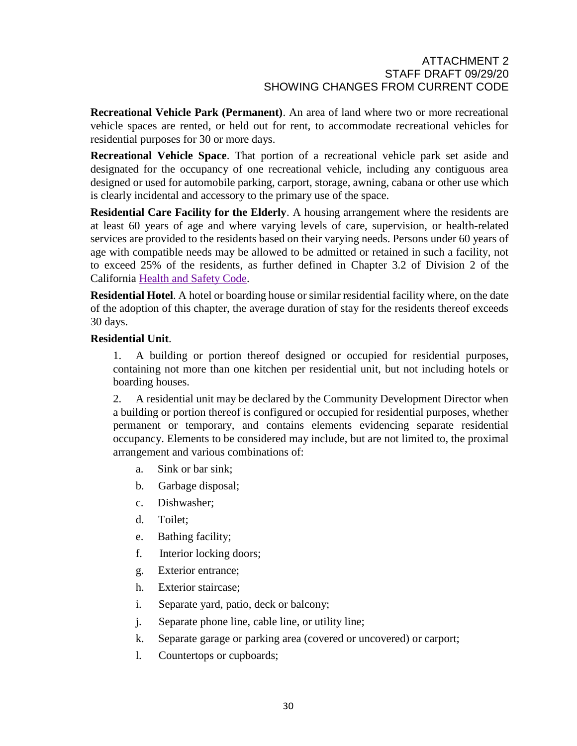**Recreational Vehicle Park (Permanent)**. An area of land where two or more recreational vehicle spaces are rented, or held out for rent, to accommodate recreational vehicles for residential purposes for 30 or more days.

**Recreational Vehicle Space**. That portion of a recreational vehicle park set aside and designated for the occupancy of one recreational vehicle, including any contiguous area designed or used for automobile parking, carport, storage, awning, cabana or other use which is clearly incidental and accessory to the primary use of the space.

**Residential Care Facility for the Elderly**. A housing arrangement where the residents are at least 60 years of age and where varying levels of care, supervision, or health-related services are provided to the residents based on their varying needs. Persons under 60 years of age with compatible needs may be allowed to be admitted or retained in such a facility, not to exceed 25% of the residents, as further defined in Chapter 3.2 of Division 2 of the California [Health](http://qcode.us/codes/othercode.php?state=ca&code=heasaf) and Safety Code.

**Residential Hotel**. A hotel or boarding house or similar residential facility where, on the date of the adoption of this chapter, the average duration of stay for the residents thereof exceeds 30 days.

#### **Residential Unit**.

1. A building or portion thereof designed or occupied for residential purposes, containing not more than one kitchen per residential unit, but not including hotels or boarding houses.

2. A residential unit may be declared by the Community Development Director when a building or portion thereof is configured or occupied for residential purposes, whether permanent or temporary, and contains elements evidencing separate residential occupancy. Elements to be considered may include, but are not limited to, the proximal arrangement and various combinations of:

- a. Sink or bar sink;
- b. Garbage disposal;
- c. Dishwasher;
- d. Toilet;
- e. Bathing facility;
- f. Interior locking doors;
- g. Exterior entrance;
- h. Exterior staircase;
- i. Separate yard, patio, deck or balcony;
- j. Separate phone line, cable line, or utility line;
- k. Separate garage or parking area (covered or uncovered) or carport;
- l. Countertops or cupboards;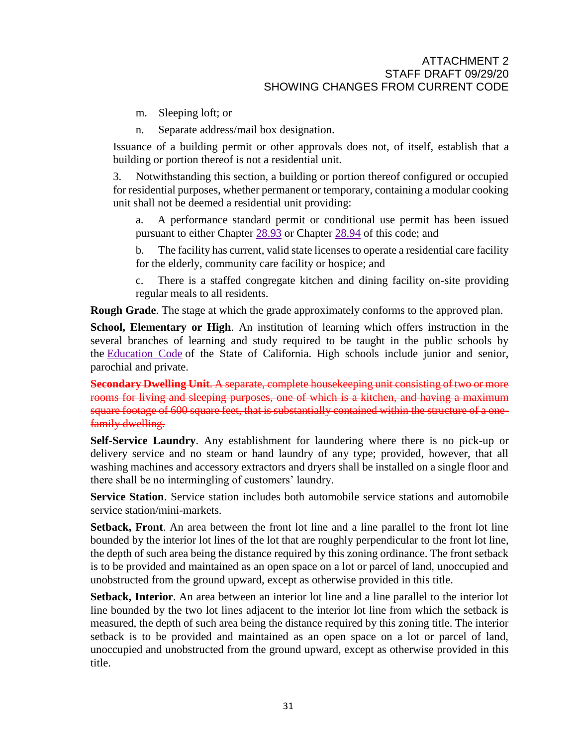- m. Sleeping loft; or
- n. Separate address/mail box designation.

Issuance of a building permit or other approvals does not, of itself, establish that a building or portion thereof is not a residential unit.

3. Notwithstanding this section, a building or portion thereof configured or occupied for residential purposes, whether permanent or temporary, containing a modular cooking unit shall not be deemed a residential unit providing:

a. A performance standard permit or conditional use permit has been issued pursuant to either Chapter [28.93](http://qcode.us/codes/santabarbara/view.php?cite=chapter_28.93&confidence=6) or Chapter [28.94](http://qcode.us/codes/santabarbara/view.php?cite=chapter_28.94&confidence=8) of this code; and

b. The facility has current, valid state licenses to operate a residential care facility for the elderly, community care facility or hospice; and

c. There is a staffed congregate kitchen and dining facility on-site providing regular meals to all residents.

**Rough Grade**. The stage at which the grade approximately conforms to the approved plan.

**School, Elementary or High**. An institution of learning which offers instruction in the several branches of learning and study required to be taught in the public schools by the [Education](http://qcode.us/codes/othercode.php?state=ca&code=edu) Code of the State of California. High schools include junior and senior, parochial and private.

**Secondary Dwelling Unit**. A separate, complete housekeeping unit consisting of two or more rooms for living and sleeping purposes, one of which is a kitchen, and having a maximum square footage of 600 square feet, that is substantially contained within the structure of a onefamily dwelling.

**Self-Service Laundry**. Any establishment for laundering where there is no pick-up or delivery service and no steam or hand laundry of any type; provided, however, that all washing machines and accessory extractors and dryers shall be installed on a single floor and there shall be no intermingling of customers' laundry.

**Service Station**. Service station includes both automobile service stations and automobile service station/mini-markets.

**Setback, Front**. An area between the front lot line and a line parallel to the front lot line bounded by the interior lot lines of the lot that are roughly perpendicular to the front lot line, the depth of such area being the distance required by this zoning ordinance. The front setback is to be provided and maintained as an open space on a lot or parcel of land, unoccupied and unobstructed from the ground upward, except as otherwise provided in this title.

**Setback, Interior**. An area between an interior lot line and a line parallel to the interior lot line bounded by the two lot lines adjacent to the interior lot line from which the setback is measured, the depth of such area being the distance required by this zoning title. The interior setback is to be provided and maintained as an open space on a lot or parcel of land, unoccupied and unobstructed from the ground upward, except as otherwise provided in this title.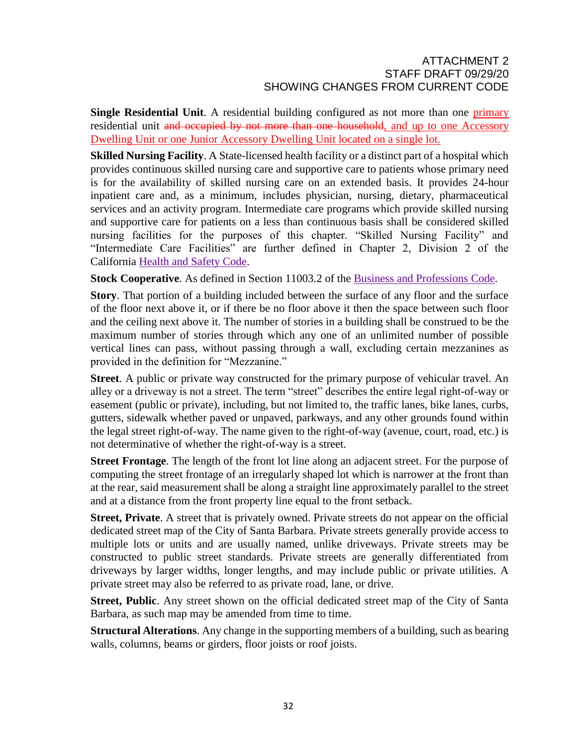**Single Residential Unit.** A residential building configured as not more than one primary residential unit and occupied by not more than one household, and up to one Accessory Dwelling Unit or one Junior Accessory Dwelling Unit located on a single lot.

**Skilled Nursing Facility**. A State-licensed health facility or a distinct part of a hospital which provides continuous skilled nursing care and supportive care to patients whose primary need is for the availability of skilled nursing care on an extended basis. It provides 24-hour inpatient care and, as a minimum, includes physician, nursing, dietary, pharmaceutical services and an activity program. Intermediate care programs which provide skilled nursing and supportive care for patients on a less than continuous basis shall be considered skilled nursing facilities for the purposes of this chapter. "Skilled Nursing Facility" and "Intermediate Care Facilities" are further defined in Chapter 2, Division 2 of the California [Health](http://qcode.us/codes/othercode.php?state=ca&code=heasaf) and Safety Code.

**Stock Cooperative.** As defined in Section 11003.2 of the **Business and [Professions](http://qcode.us/codes/othercode.php?state=ca&code=buspro) Code**.

**Story**. That portion of a building included between the surface of any floor and the surface of the floor next above it, or if there be no floor above it then the space between such floor and the ceiling next above it. The number of stories in a building shall be construed to be the maximum number of stories through which any one of an unlimited number of possible vertical lines can pass, without passing through a wall, excluding certain mezzanines as provided in the definition for "Mezzanine."

**Street**. A public or private way constructed for the primary purpose of vehicular travel. An alley or a driveway is not a street. The term "street" describes the entire legal right-of-way or easement (public or private), including, but not limited to, the traffic lanes, bike lanes, curbs, gutters, sidewalk whether paved or unpaved, parkways, and any other grounds found within the legal street right-of-way. The name given to the right-of-way (avenue, court, road, etc.) is not determinative of whether the right-of-way is a street.

**Street Frontage**. The length of the front lot line along an adjacent street. For the purpose of computing the street frontage of an irregularly shaped lot which is narrower at the front than at the rear, said measurement shall be along a straight line approximately parallel to the street and at a distance from the front property line equal to the front setback.

**Street, Private**. A street that is privately owned. Private streets do not appear on the official dedicated street map of the City of Santa Barbara. Private streets generally provide access to multiple lots or units and are usually named, unlike driveways. Private streets may be constructed to public street standards. Private streets are generally differentiated from driveways by larger widths, longer lengths, and may include public or private utilities. A private street may also be referred to as private road, lane, or drive.

**Street, Public**. Any street shown on the official dedicated street map of the City of Santa Barbara, as such map may be amended from time to time.

**Structural Alterations**. Any change in the supporting members of a building, such as bearing walls, columns, beams or girders, floor joists or roof joists.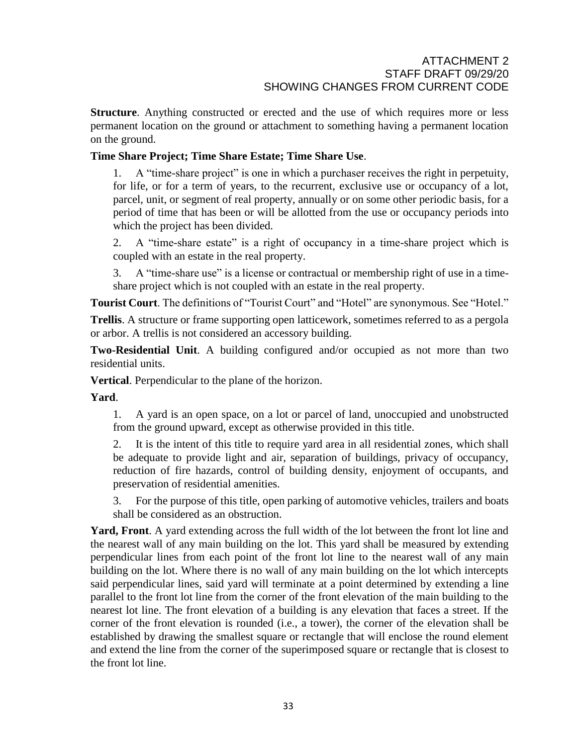**Structure**. Anything constructed or erected and the use of which requires more or less permanent location on the ground or attachment to something having a permanent location on the ground.

# **Time Share Project; Time Share Estate; Time Share Use**.

1. A "time-share project" is one in which a purchaser receives the right in perpetuity, for life, or for a term of years, to the recurrent, exclusive use or occupancy of a lot, parcel, unit, or segment of real property, annually or on some other periodic basis, for a period of time that has been or will be allotted from the use or occupancy periods into which the project has been divided.

2. A "time-share estate" is a right of occupancy in a time-share project which is coupled with an estate in the real property.

3. A "time-share use" is a license or contractual or membership right of use in a timeshare project which is not coupled with an estate in the real property.

**Tourist Court**. The definitions of "Tourist Court" and "Hotel" are synonymous. See "Hotel."

**Trellis**. A structure or frame supporting open latticework, sometimes referred to as a pergola or arbor. A trellis is not considered an accessory building.

**Two-Residential Unit**. A building configured and/or occupied as not more than two residential units.

**Vertical**. Perpendicular to the plane of the horizon.

**Yard**.

1. A yard is an open space, on a lot or parcel of land, unoccupied and unobstructed from the ground upward, except as otherwise provided in this title.

2. It is the intent of this title to require yard area in all residential zones, which shall be adequate to provide light and air, separation of buildings, privacy of occupancy, reduction of fire hazards, control of building density, enjoyment of occupants, and preservation of residential amenities.

3. For the purpose of this title, open parking of automotive vehicles, trailers and boats shall be considered as an obstruction.

**Yard, Front**. A yard extending across the full width of the lot between the front lot line and the nearest wall of any main building on the lot. This yard shall be measured by extending perpendicular lines from each point of the front lot line to the nearest wall of any main building on the lot. Where there is no wall of any main building on the lot which intercepts said perpendicular lines, said yard will terminate at a point determined by extending a line parallel to the front lot line from the corner of the front elevation of the main building to the nearest lot line. The front elevation of a building is any elevation that faces a street. If the corner of the front elevation is rounded (i.e., a tower), the corner of the elevation shall be established by drawing the smallest square or rectangle that will enclose the round element and extend the line from the corner of the superimposed square or rectangle that is closest to the front lot line.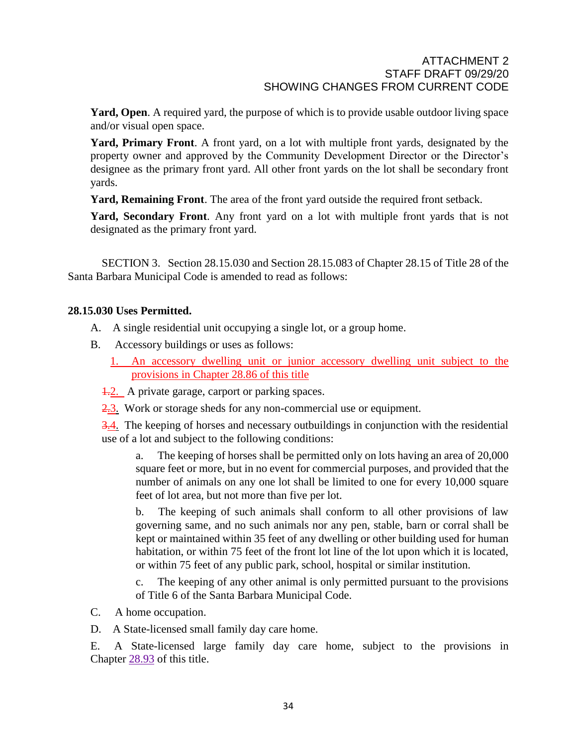**Yard, Open**. A required yard, the purpose of which is to provide usable outdoor living space and/or visual open space.

**Yard, Primary Front**. A front yard, on a lot with multiple front yards, designated by the property owner and approved by the Community Development Director or the Director's designee as the primary front yard. All other front yards on the lot shall be secondary front yards.

**Yard, Remaining Front**. The area of the front yard outside the required front setback.

**Yard, Secondary Front**. Any front yard on a lot with multiple front yards that is not designated as the primary front yard.

SECTION 3. Section 28.15.030 and Section 28.15.083 of Chapter 28.15 of Title 28 of the Santa Barbara Municipal Code is amended to read as follows:

# **28.15.030 Uses Permitted.**

- A. A single residential unit occupying a single lot, or a group home.
- B. Accessory buildings or uses as follows:
	- 1. An accessory dwelling unit or junior accessory dwelling unit subject to the provisions in Chapter 28.86 of this title
	- 4.2. A private garage, carport or parking spaces.
	- 2.3. Work or storage sheds for any non-commercial use or equipment.

3.4. The keeping of horses and necessary outbuildings in conjunction with the residential use of a lot and subject to the following conditions:

a. The keeping of horses shall be permitted only on lots having an area of 20,000 square feet or more, but in no event for commercial purposes, and provided that the number of animals on any one lot shall be limited to one for every 10,000 square feet of lot area, but not more than five per lot.

b. The keeping of such animals shall conform to all other provisions of law governing same, and no such animals nor any pen, stable, barn or corral shall be kept or maintained within 35 feet of any dwelling or other building used for human habitation, or within 75 feet of the front lot line of the lot upon which it is located, or within 75 feet of any public park, school, hospital or similar institution.

c. The keeping of any other animal is only permitted pursuant to the provisions of Title 6 of the Santa Barbara Municipal Code.

- C. A home occupation.
- D. A State-licensed small family day care home.

E. A State-licensed large family day care home, subject to the provisions in Chapter [28.93](http://qcode.us/codes/santabarbara/view.php?cite=chapter_28.93&confidence=8) of this title.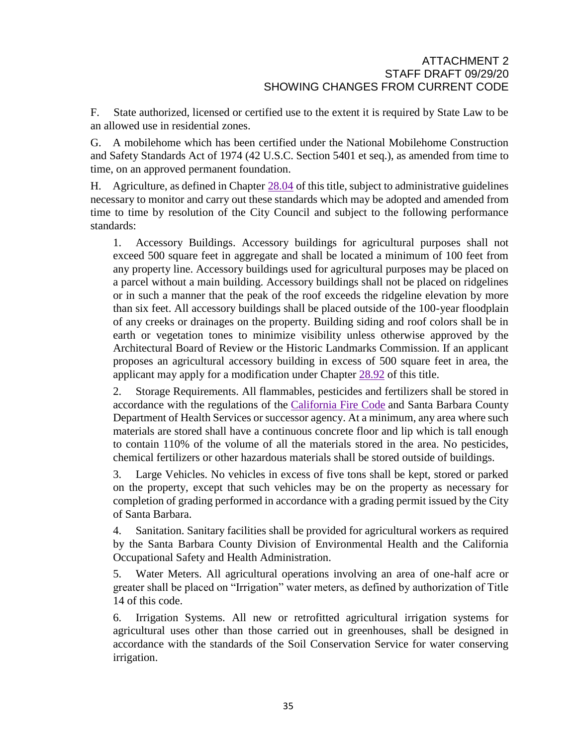F. State authorized, licensed or certified use to the extent it is required by State Law to be an allowed use in residential zones.

G. A mobilehome which has been certified under the National Mobilehome Construction and Safety Standards Act of 1974 (42 U.S.C. Section 5401 et seq.), as amended from time to time, on an approved permanent foundation.

H. Agriculture, as defined in Chapter [28.04](http://qcode.us/codes/santabarbara/view.php?cite=chapter_28.04&confidence=8) of this title, subject to administrative guidelines necessary to monitor and carry out these standards which may be adopted and amended from time to time by resolution of the City Council and subject to the following performance standards:

1. Accessory Buildings. Accessory buildings for agricultural purposes shall not exceed 500 square feet in aggregate and shall be located a minimum of 100 feet from any property line. Accessory buildings used for agricultural purposes may be placed on a parcel without a main building. Accessory buildings shall not be placed on ridgelines or in such a manner that the peak of the roof exceeds the ridgeline elevation by more than six feet. All accessory buildings shall be placed outside of the 100-year floodplain of any creeks or drainages on the property. Building siding and roof colors shall be in earth or vegetation tones to minimize visibility unless otherwise approved by the Architectural Board of Review or the Historic Landmarks Commission. If an applicant proposes an agricultural accessory building in excess of 500 square feet in area, the applicant may apply for a modification under Chapter [28.92](http://qcode.us/codes/santabarbara/view.php?cite=chapter_28.92&confidence=8) of this title.

2. Storage Requirements. All flammables, pesticides and fertilizers shall be stored in accordance with the regulations of the [California](http://qcode.us/codes/othercode.php?state=ca&code=calfir) Fire Code and Santa Barbara County Department of Health Services or successor agency. At a minimum, any area where such materials are stored shall have a continuous concrete floor and lip which is tall enough to contain 110% of the volume of all the materials stored in the area. No pesticides, chemical fertilizers or other hazardous materials shall be stored outside of buildings.

3. Large Vehicles. No vehicles in excess of five tons shall be kept, stored or parked on the property, except that such vehicles may be on the property as necessary for completion of grading performed in accordance with a grading permit issued by the City of Santa Barbara.

4. Sanitation. Sanitary facilities shall be provided for agricultural workers as required by the Santa Barbara County Division of Environmental Health and the California Occupational Safety and Health Administration.

5. Water Meters. All agricultural operations involving an area of one-half acre or greater shall be placed on "Irrigation" water meters, as defined by authorization of Title 14 of this code.

6. Irrigation Systems. All new or retrofitted agricultural irrigation systems for agricultural uses other than those carried out in greenhouses, shall be designed in accordance with the standards of the Soil Conservation Service for water conserving irrigation.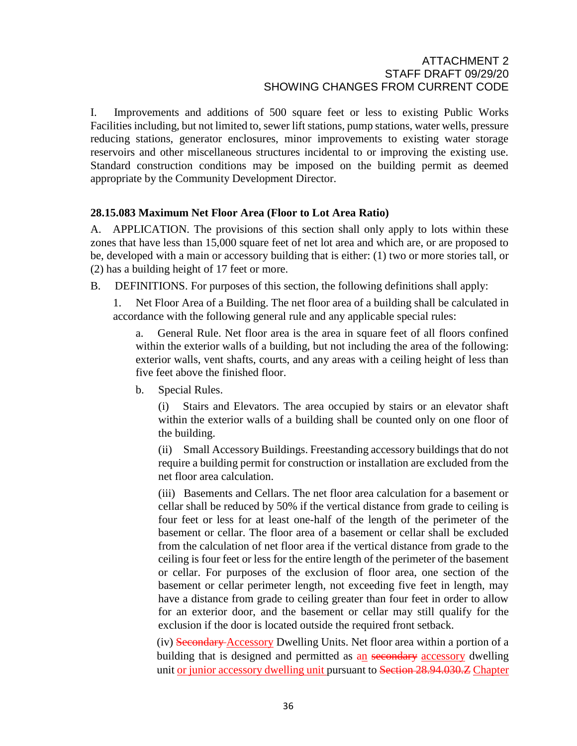I. Improvements and additions of 500 square feet or less to existing Public Works Facilities including, but not limited to, sewer lift stations, pump stations, water wells, pressure reducing stations, generator enclosures, minor improvements to existing water storage reservoirs and other miscellaneous structures incidental to or improving the existing use. Standard construction conditions may be imposed on the building permit as deemed appropriate by the Community Development Director.

# **28.15.083 Maximum Net Floor Area (Floor to Lot Area Ratio)**

A. APPLICATION. The provisions of this section shall only apply to lots within these zones that have less than 15,000 square feet of net lot area and which are, or are proposed to be, developed with a main or accessory building that is either: (1) two or more stories tall, or (2) has a building height of 17 feet or more.

B. DEFINITIONS. For purposes of this section, the following definitions shall apply:

1. Net Floor Area of a Building. The net floor area of a building shall be calculated in accordance with the following general rule and any applicable special rules:

General Rule. Net floor area is the area in square feet of all floors confined within the exterior walls of a building, but not including the area of the following: exterior walls, vent shafts, courts, and any areas with a ceiling height of less than five feet above the finished floor.

b. Special Rules.

(i) Stairs and Elevators. The area occupied by stairs or an elevator shaft within the exterior walls of a building shall be counted only on one floor of the building.

(ii) Small Accessory Buildings. Freestanding accessory buildings that do not require a building permit for construction or installation are excluded from the net floor area calculation.

(iii) Basements and Cellars. The net floor area calculation for a basement or cellar shall be reduced by 50% if the vertical distance from grade to ceiling is four feet or less for at least one-half of the length of the perimeter of the basement or cellar. The floor area of a basement or cellar shall be excluded from the calculation of net floor area if the vertical distance from grade to the ceiling is four feet or less for the entire length of the perimeter of the basement or cellar. For purposes of the exclusion of floor area, one section of the basement or cellar perimeter length, not exceeding five feet in length, may have a distance from grade to ceiling greater than four feet in order to allow for an exterior door, and the basement or cellar may still qualify for the exclusion if the door is located outside the required front setback.

(iv) Secondary Accessory Dwelling Units. Net floor area within a portion of a building that is designed and permitted as an secondary accessory dwelling unit or junior accessory dwelling unit pursuant to Section 28.94.030. Z Chapter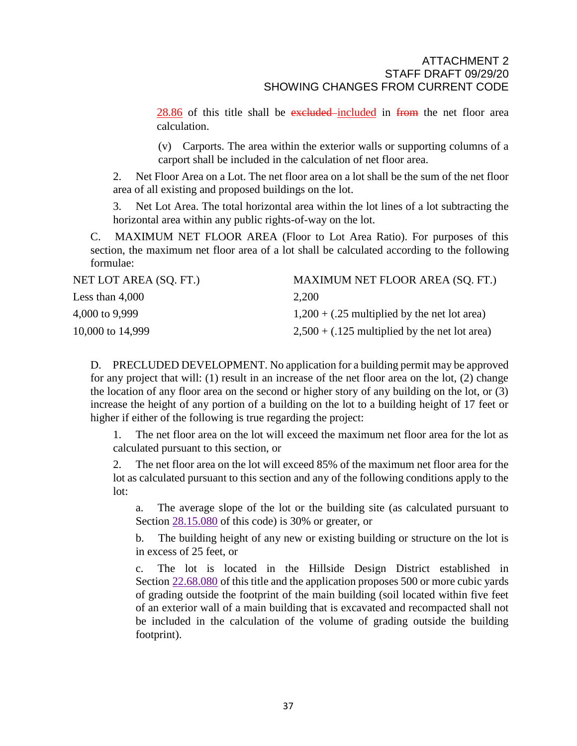$28.86$  of this title shall be excluded included in from the net floor area calculation.

(v) Carports. The area within the exterior walls or supporting columns of a carport shall be included in the calculation of net floor area.

2. Net Floor Area on a Lot. The net floor area on a lot shall be the sum of the net floor area of all existing and proposed buildings on the lot.

3. Net Lot Area. The total horizontal area within the lot lines of a lot subtracting the horizontal area within any public rights-of-way on the lot.

C. MAXIMUM NET FLOOR AREA (Floor to Lot Area Ratio). For purposes of this section, the maximum net floor area of a lot shall be calculated according to the following formulae:

| NET LOT AREA (SQ. FT.) | MAXIMUM NET FLOOR AREA (SQ. FT.)                |
|------------------------|-------------------------------------------------|
| Less than $4,000$      | 2,200                                           |
| 4,000 to 9,999         | $1,200 + (.25$ multiplied by the net lot area)  |
| 10,000 to 14,999       | $2,500 + (.125$ multiplied by the net lot area) |

D. PRECLUDED DEVELOPMENT. No application for a building permit may be approved for any project that will: (1) result in an increase of the net floor area on the lot, (2) change the location of any floor area on the second or higher story of any building on the lot, or (3) increase the height of any portion of a building on the lot to a building height of 17 feet or higher if either of the following is true regarding the project:

1. The net floor area on the lot will exceed the maximum net floor area for the lot as calculated pursuant to this section, or

2. The net floor area on the lot will exceed 85% of the maximum net floor area for the lot as calculated pursuant to this section and any of the following conditions apply to the lot:

a. The average slope of the lot or the building site (as calculated pursuant to Section [28.15.080](http://qcode.us/codes/santabarbara/view.php?cite=section_28.15.080&confidence=8) of this code) is 30% or greater, or

b. The building height of any new or existing building or structure on the lot is in excess of 25 feet, or

c. The lot is located in the Hillside Design District established in Section [22.68.080](http://qcode.us/codes/santabarbara/view.php?cite=section_22.68.080&confidence=8) of this title and the application proposes 500 or more cubic yards of grading outside the footprint of the main building (soil located within five feet of an exterior wall of a main building that is excavated and recompacted shall not be included in the calculation of the volume of grading outside the building footprint).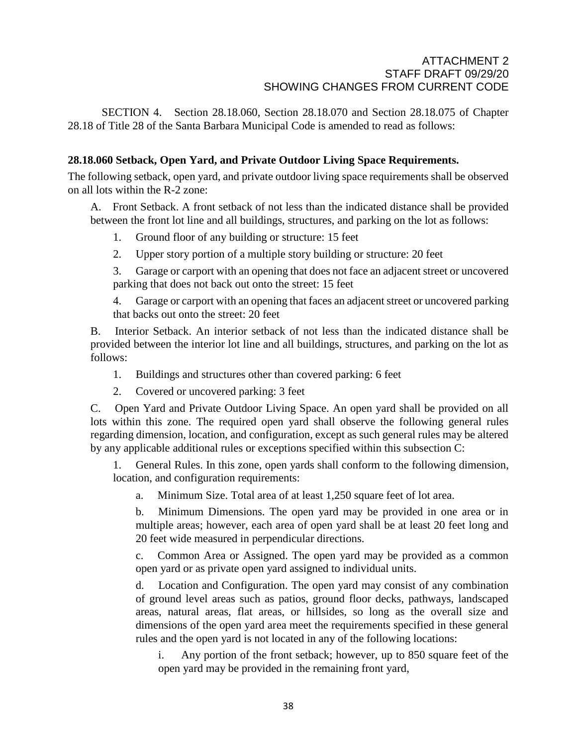SECTION 4. Section 28.18.060, Section 28.18.070 and Section 28.18.075 of Chapter 28.18 of Title 28 of the Santa Barbara Municipal Code is amended to read as follows:

# **28.18.060 Setback, Open Yard, and Private Outdoor Living Space Requirements.**

The following setback, open yard, and private outdoor living space requirements shall be observed on all lots within the R-2 zone:

A. Front Setback. A front setback of not less than the indicated distance shall be provided between the front lot line and all buildings, structures, and parking on the lot as follows:

- 1. Ground floor of any building or structure: 15 feet
- 2. Upper story portion of a multiple story building or structure: 20 feet

3. Garage or carport with an opening that does not face an adjacent street or uncovered parking that does not back out onto the street: 15 feet

4. Garage or carport with an opening that faces an adjacent street or uncovered parking that backs out onto the street: 20 feet

B. Interior Setback. An interior setback of not less than the indicated distance shall be provided between the interior lot line and all buildings, structures, and parking on the lot as follows:

- 1. Buildings and structures other than covered parking: 6 feet
- 2. Covered or uncovered parking: 3 feet

C. Open Yard and Private Outdoor Living Space. An open yard shall be provided on all lots within this zone. The required open yard shall observe the following general rules regarding dimension, location, and configuration, except as such general rules may be altered by any applicable additional rules or exceptions specified within this subsection C:

1. General Rules. In this zone, open yards shall conform to the following dimension, location, and configuration requirements:

a. Minimum Size. Total area of at least 1,250 square feet of lot area.

b. Minimum Dimensions. The open yard may be provided in one area or in multiple areas; however, each area of open yard shall be at least 20 feet long and 20 feet wide measured in perpendicular directions.

c. Common Area or Assigned. The open yard may be provided as a common open yard or as private open yard assigned to individual units.

d. Location and Configuration. The open yard may consist of any combination of ground level areas such as patios, ground floor decks, pathways, landscaped areas, natural areas, flat areas, or hillsides, so long as the overall size and dimensions of the open yard area meet the requirements specified in these general rules and the open yard is not located in any of the following locations:

i. Any portion of the front setback; however, up to 850 square feet of the open yard may be provided in the remaining front yard,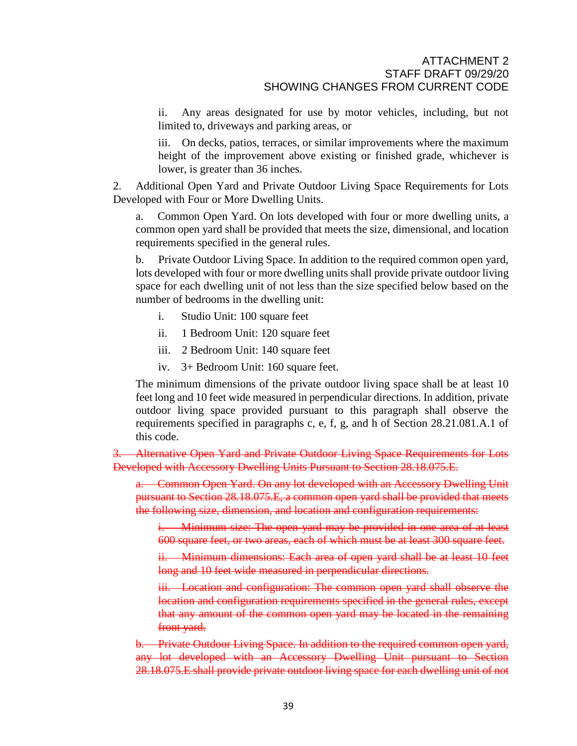ii. Any areas designated for use by motor vehicles, including, but not limited to, driveways and parking areas, or

iii. On decks, patios, terraces, or similar improvements where the maximum height of the improvement above existing or finished grade, whichever is lower, is greater than 36 inches.

2. Additional Open Yard and Private Outdoor Living Space Requirements for Lots Developed with Four or More Dwelling Units.

Common Open Yard. On lots developed with four or more dwelling units, a common open yard shall be provided that meets the size, dimensional, and location requirements specified in the general rules.

b. Private Outdoor Living Space. In addition to the required common open yard, lots developed with four or more dwelling units shall provide private outdoor living space for each dwelling unit of not less than the size specified below based on the number of bedrooms in the dwelling unit:

- i. Studio Unit: 100 square feet
- ii. 1 Bedroom Unit: 120 square feet
- iii. 2 Bedroom Unit: 140 square feet
- iv. 3+ Bedroom Unit: 160 square feet.

The minimum dimensions of the private outdoor living space shall be at least 10 feet long and 10 feet wide measured in perpendicular directions. In addition, private outdoor living space provided pursuant to this paragraph shall observe the requirements specified in paragraphs c, e, f, g, and h of Section 28.21.081.A.1 of this code.

Alternative Open Yard and Private Outdoor Living Space Requirements for Lots Developed with Accessory Dwelling Units Pursuant to Section 28.18.075.E.

a. Common Open Yard. On any lot developed with an Accessory Dwelling Unit pursuant to Section 28.18.075.E, a common open yard shall be provided that meets the following size, dimension, and location and configuration requirements:

i. Minimum size: The open yard may be provided in one area of at least 600 square feet, or two areas, each of which must be at least 300 square feet.

ii. Minimum dimensions: Each area of open yard shall be at least 10 feet long and 10 feet wide measured in perpendicular directions.

iii. Location and configuration: The common open yard shall observe the location and configuration requirements specified in the general rules, except that any amount of the common open yard may be located in the remaining front yard.

b. Private Outdoor Living Space. In addition to the required common open yard, any lot developed with an Accessory Dwelling Unit pursuant to Section 28.18.075.E shall provide private outdoor living space for each dwelling unit of not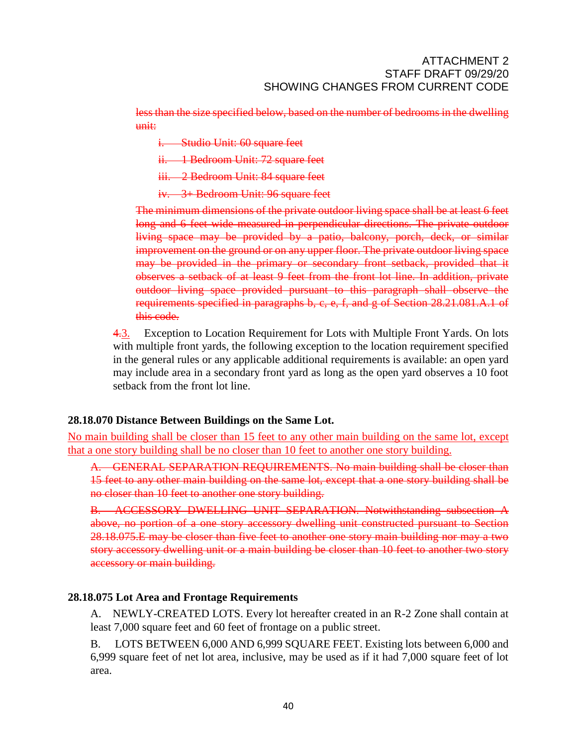less than the size specified below, based on the number of bedrooms in the dwelling unit:

i. Studio Unit: 60 square feet

ii. 1 Bedroom Unit: 72 square feet

iii. 2 Bedroom Unit: 84 square feet

iv. 3+ Bedroom Unit: 96 square feet

The minimum dimensions of the private outdoor living space shall be at least 6 feet long and 6 feet wide measured in perpendicular directions. The private outdoor living space may be provided by a patio, balcony, porch, deck, or similar improvement on the ground or on any upper floor. The private outdoor living space may be provided in the primary or secondary front setback, provided that it observes a setback of at least 9 feet from the front lot line. In addition, private outdoor living space provided pursuant to this paragraph shall observe the requirements specified in paragraphs b, c, e, f, and g of Section 28.21.081.A.1 of this code.

4.3. Exception to Location Requirement for Lots with Multiple Front Yards. On lots with multiple front yards, the following exception to the location requirement specified in the general rules or any applicable additional requirements is available: an open yard may include area in a secondary front yard as long as the open yard observes a 10 foot setback from the front lot line.

# **28.18.070 Distance Between Buildings on the Same Lot.**

No main building shall be closer than 15 feet to any other main building on the same lot, except that a one story building shall be no closer than 10 feet to another one story building.

A. GENERAL SEPARATION REQUIREMENTS. No main building shall be closer than 15 feet to any other main building on the same lot, except that a one story building shall be no closer than 10 feet to another one story building.

B. ACCESSORY DWELLING UNIT SEPARATION. Notwithstanding subsection A above, no portion of a one story accessory dwelling unit constructed pursuant to Section 28.18.075.E may be closer than five feet to another one story main building nor may a two story accessory dwelling unit or a main building be closer than 10 feet to another two story accessory or main building.

# **28.18.075 Lot Area and Frontage Requirements**

A. NEWLY-CREATED LOTS. Every lot hereafter created in an R-2 Zone shall contain at least 7,000 square feet and 60 feet of frontage on a public street.

B. LOTS BETWEEN 6,000 AND 6,999 SQUARE FEET. Existing lots between 6,000 and 6,999 square feet of net lot area, inclusive, may be used as if it had 7,000 square feet of lot area.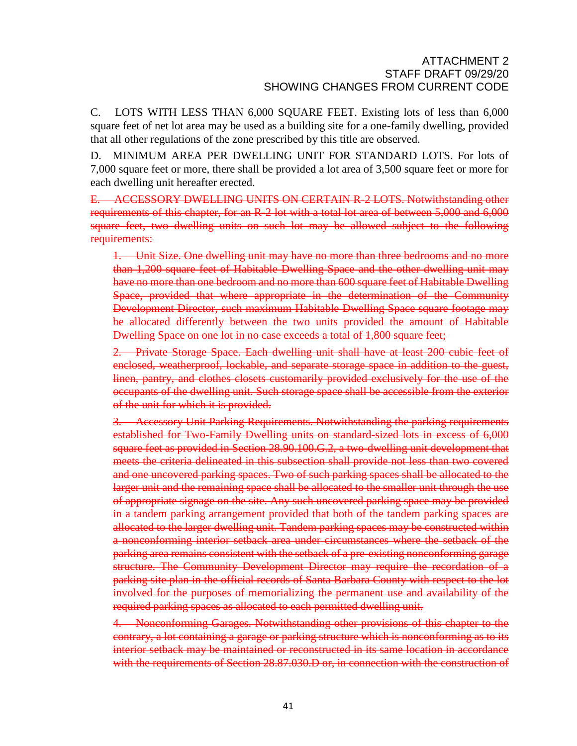C. LOTS WITH LESS THAN 6,000 SQUARE FEET. Existing lots of less than 6,000 square feet of net lot area may be used as a building site for a one-family dwelling, provided that all other regulations of the zone prescribed by this title are observed.

D. MINIMUM AREA PER DWELLING UNIT FOR STANDARD LOTS. For lots of 7,000 square feet or more, there shall be provided a lot area of 3,500 square feet or more for each dwelling unit hereafter erected.

E. ACCESSORY DWELLING UNITS ON CERTAIN R-2 LOTS. Notwithstanding other requirements of this chapter, for an R-2 lot with a total lot area of between 5,000 and 6,000 square feet, two dwelling units on such lot may be allowed subject to the following requirements:

1. Unit Size. One dwelling unit may have no more than three bedrooms and no more than 1,200 square feet of Habitable Dwelling Space and the other dwelling unit may have no more than one bedroom and no more than 600 square feet of Habitable Dwelling Space, provided that where appropriate in the determination of the Community Development Director, such maximum Habitable Dwelling Space square footage may be allocated differently between the two units provided the amount of Habitable Dwelling Space on one lot in no case exceeds a total of 1,800 square feet;

2. Private Storage Space. Each dwelling unit shall have at least 200 cubic feet of enclosed, weatherproof, lockable, and separate storage space in addition to the guest, linen, pantry, and clothes closets customarily provided exclusively for the use of the occupants of the dwelling unit. Such storage space shall be accessible from the exterior of the unit for which it is provided.

3. Accessory Unit Parking Requirements. Notwithstanding the parking requirements established for Two-Family Dwelling units on standard-sized lots in excess of 6,000 square feet as provided in Section 28.90.100.G.2, a two-dwelling unit development that meets the criteria delineated in this subsection shall provide not less than two covered and one uncovered parking spaces. Two of such parking spaces shall be allocated to the larger unit and the remaining space shall be allocated to the smaller unit through the use of appropriate signage on the site. Any such uncovered parking space may be provided in a tandem parking arrangement provided that both of the tandem parking spaces are allocated to the larger dwelling unit. Tandem parking spaces may be constructed within a nonconforming interior setback area under circumstances where the setback of the parking area remains consistent with the setback of a pre-existing nonconforming garage structure. The Community Development Director may require the recordation of a parking site plan in the official records of Santa Barbara County with respect to the lot involved for the purposes of memorializing the permanent use and availability of the required parking spaces as allocated to each permitted dwelling unit.

4. Nonconforming Garages. Notwithstanding other provisions of this chapter to the contrary, a lot containing a garage or parking structure which is nonconforming as to its interior setback may be maintained or reconstructed in its same location in accordance with the requirements of Section 28.87.030.D or, in connection with the construction of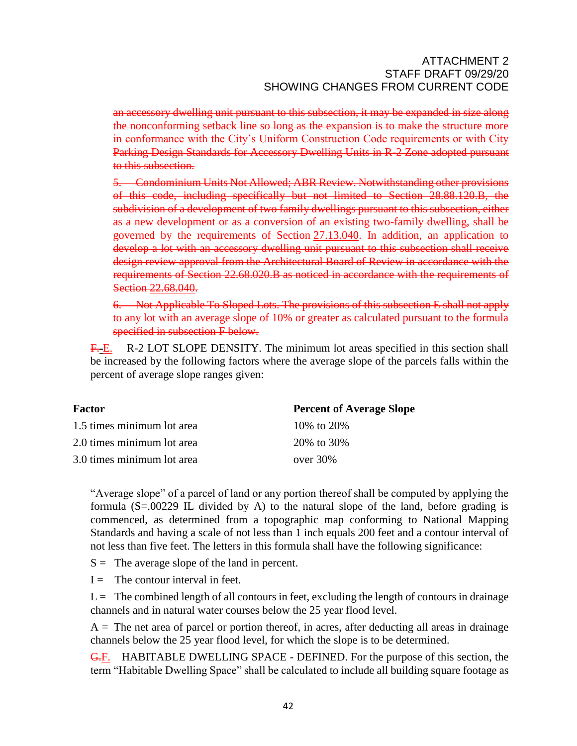an accessory dwelling unit pursuant to this subsection, it may be expanded in size along the nonconforming setback line so long as the expansion is to make the structure more in conformance with the City's Uniform Construction Code requirements or with City Parking Design Standards for Accessory Dwelling Units in R-2 Zone adopted pursuant to this subsection.

5. Condominium Units Not Allowed; ABR Review. Notwithstanding other provisions of this code, including specifically but not limited to Section 28.88.120.B, the subdivision of a development of two family dwellings pursuant to this subsection, either as a new development or as a conversion of an existing two-family dwelling, shall be governed by the requirements of Section [27.13.040.](http://qcode.us/codes/santabarbara/view.php?cite=section_27.13.040&confidence=6) In addition, an application to develop a lot with an accessory dwelling unit pursuant to this subsection shall receive design review approval from the Architectural Board of Review in accordance with the requirements of Section 22.68.020.B as noticed in accordance with the requirements of Section [22.68.040.](http://qcode.us/codes/santabarbara/view.php?cite=section_22.68.040&confidence=6)

6. Not Applicable To Sloped Lots. The provisions of this subsection E shall not apply to any lot with an average slope of 10% or greater as calculated pursuant to the formula specified in subsection F below.

F.E. R-2 LOT SLOPE DENSITY. The minimum lot areas specified in this section shall be increased by the following factors where the average slope of the parcels falls within the percent of average slope ranges given:

| Factor                     | <b>Percent of Average Slope</b> |
|----------------------------|---------------------------------|
| 1.5 times minimum lot area | 10\% to 20\%                    |
| 2.0 times minimum lot area | 20\% to 30\%                    |
| 3.0 times minimum lot area | over $30\%$                     |

"Average slope" of a parcel of land or any portion thereof shall be computed by applying the formula  $(S=.00229$  IL divided by A) to the natural slope of the land, before grading is commenced, as determined from a topographic map conforming to National Mapping Standards and having a scale of not less than 1 inch equals 200 feet and a contour interval of not less than five feet. The letters in this formula shall have the following significance:

 $S =$  The average slope of the land in percent.

 $I =$  The contour interval in feet.

 $L =$  The combined length of all contours in feet, excluding the length of contours in drainage channels and in natural water courses below the 25 year flood level.

 $A =$ The net area of parcel or portion thereof, in acres, after deducting all areas in drainage channels below the 25 year flood level, for which the slope is to be determined.

G.F. HABITABLE DWELLING SPACE - DEFINED. For the purpose of this section, the term "Habitable Dwelling Space" shall be calculated to include all building square footage as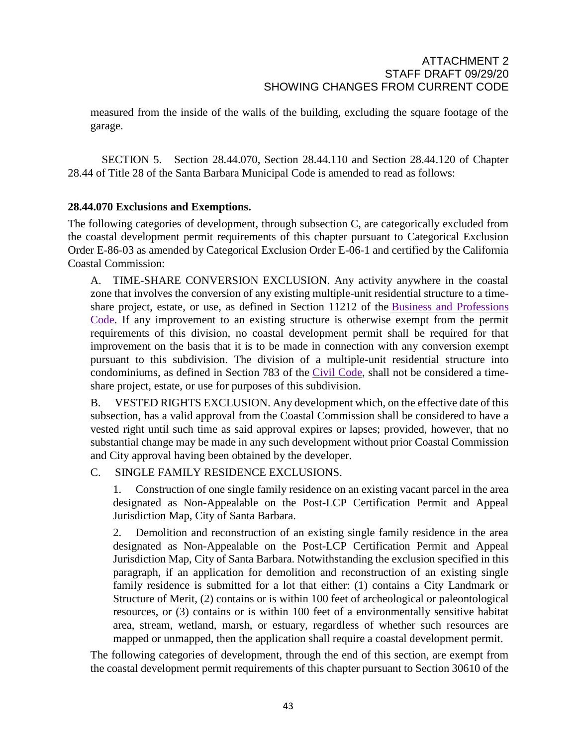measured from the inside of the walls of the building, excluding the square footage of the garage.

SECTION 5. Section 28.44.070, Section 28.44.110 and Section 28.44.120 of Chapter 28.44 of Title 28 of the Santa Barbara Municipal Code is amended to read as follows:

# **28.44.070 Exclusions and Exemptions.**

The following categories of development, through subsection C, are categorically excluded from the coastal development permit requirements of this chapter pursuant to Categorical Exclusion Order E-86-03 as amended by Categorical Exclusion Order E-06-1 and certified by the California Coastal Commission:

A. TIME-SHARE CONVERSION EXCLUSION. Any activity anywhere in the coastal zone that involves the conversion of any existing multiple-unit residential structure to a timeshare project, estate, or use, as defined in Section 11212 of the Business and [Professions](http://qcode.us/codes/othercode.php?state=ca&code=buspro) [Code.](http://qcode.us/codes/othercode.php?state=ca&code=buspro) If any improvement to an existing structure is otherwise exempt from the permit requirements of this division, no coastal development permit shall be required for that improvement on the basis that it is to be made in connection with any conversion exempt pursuant to this subdivision. The division of a multiple-unit residential structure into condominiums, as defined in Section 783 of the Civil [Code,](http://qcode.us/codes/othercode.php?state=ca&code=civ) shall not be considered a timeshare project, estate, or use for purposes of this subdivision.

B. VESTED RIGHTS EXCLUSION. Any development which, on the effective date of this subsection, has a valid approval from the Coastal Commission shall be considered to have a vested right until such time as said approval expires or lapses; provided, however, that no substantial change may be made in any such development without prior Coastal Commission and City approval having been obtained by the developer.

# C. SINGLE FAMILY RESIDENCE EXCLUSIONS.

1. Construction of one single family residence on an existing vacant parcel in the area designated as Non-Appealable on the Post-LCP Certification Permit and Appeal Jurisdiction Map, City of Santa Barbara.

2. Demolition and reconstruction of an existing single family residence in the area designated as Non-Appealable on the Post-LCP Certification Permit and Appeal Jurisdiction Map, City of Santa Barbara. Notwithstanding the exclusion specified in this paragraph, if an application for demolition and reconstruction of an existing single family residence is submitted for a lot that either: (1) contains a City Landmark or Structure of Merit, (2) contains or is within 100 feet of archeological or paleontological resources, or (3) contains or is within 100 feet of a environmentally sensitive habitat area, stream, wetland, marsh, or estuary, regardless of whether such resources are mapped or unmapped, then the application shall require a coastal development permit.

The following categories of development, through the end of this section, are exempt from the coastal development permit requirements of this chapter pursuant to Section 30610 of the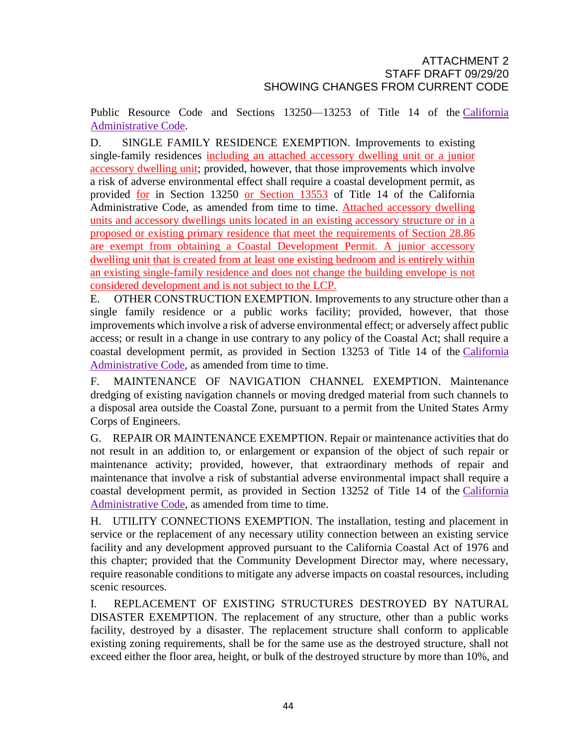Public Resource Code and Sections 13250—13253 of Title 14 of the [California](http://qcode.us/codes/othercode.php?state=ca&code=caladm) [Administrative](http://qcode.us/codes/othercode.php?state=ca&code=caladm) Code.

D. SINGLE FAMILY RESIDENCE EXEMPTION. Improvements to existing single-family residences including an attached accessory dwelling unit or a junior accessory dwelling unit; provided, however, that those improvements which involve a risk of adverse environmental effect shall require a coastal development permit, as provided for in Section 13250 or Section 13553 of Title 14 of the California Administrative Code, as amended from time to time. Attached accessory dwelling units and accessory dwellings units located in an existing accessory structure or in a proposed or existing primary residence that meet the requirements of Section 28.86 are exempt from obtaining a Coastal Development Permit. A junior accessory dwelling unit that is created from at least one existing bedroom and is entirely within an existing single-family residence and does not change the building envelope is not considered development and is not subject to the LCP.

E. OTHER CONSTRUCTION EXEMPTION. Improvements to any structure other than a single family residence or a public works facility; provided, however, that those improvements which involve a risk of adverse environmental effect; or adversely affect public access; or result in a change in use contrary to any policy of the Coastal Act; shall require a coastal development permit, as provided in Section 13253 of Title 14 of the [California](http://qcode.us/codes/othercode.php?state=ca&code=caladm) [Administrative](http://qcode.us/codes/othercode.php?state=ca&code=caladm) Code, as amended from time to time.

F. MAINTENANCE OF NAVIGATION CHANNEL EXEMPTION. Maintenance dredging of existing navigation channels or moving dredged material from such channels to a disposal area outside the Coastal Zone, pursuant to a permit from the United States Army Corps of Engineers.

G. REPAIR OR MAINTENANCE EXEMPTION. Repair or maintenance activities that do not result in an addition to, or enlargement or expansion of the object of such repair or maintenance activity; provided, however, that extraordinary methods of repair and maintenance that involve a risk of substantial adverse environmental impact shall require a coastal development permit, as provided in Section 13252 of Title 14 of the [California](http://qcode.us/codes/othercode.php?state=ca&code=caladm) [Administrative](http://qcode.us/codes/othercode.php?state=ca&code=caladm) Code, as amended from time to time.

H. UTILITY CONNECTIONS EXEMPTION. The installation, testing and placement in service or the replacement of any necessary utility connection between an existing service facility and any development approved pursuant to the California Coastal Act of 1976 and this chapter; provided that the Community Development Director may, where necessary, require reasonable conditions to mitigate any adverse impacts on coastal resources, including scenic resources.

I. REPLACEMENT OF EXISTING STRUCTURES DESTROYED BY NATURAL DISASTER EXEMPTION. The replacement of any structure, other than a public works facility, destroyed by a disaster. The replacement structure shall conform to applicable existing zoning requirements, shall be for the same use as the destroyed structure, shall not exceed either the floor area, height, or bulk of the destroyed structure by more than 10%, and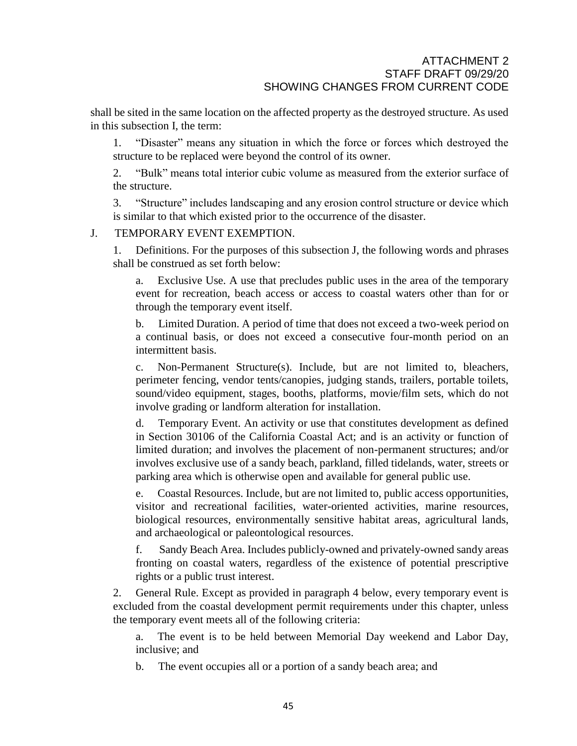shall be sited in the same location on the affected property as the destroyed structure. As used in this subsection I, the term:

1. "Disaster" means any situation in which the force or forces which destroyed the structure to be replaced were beyond the control of its owner.

2. "Bulk" means total interior cubic volume as measured from the exterior surface of the structure.

3. "Structure" includes landscaping and any erosion control structure or device which is similar to that which existed prior to the occurrence of the disaster.

#### J. TEMPORARY EVENT EXEMPTION.

1. Definitions. For the purposes of this subsection J, the following words and phrases shall be construed as set forth below:

a. Exclusive Use. A use that precludes public uses in the area of the temporary event for recreation, beach access or access to coastal waters other than for or through the temporary event itself.

b. Limited Duration. A period of time that does not exceed a two-week period on a continual basis, or does not exceed a consecutive four-month period on an intermittent basis.

c. Non-Permanent Structure(s). Include, but are not limited to, bleachers, perimeter fencing, vendor tents/canopies, judging stands, trailers, portable toilets, sound/video equipment, stages, booths, platforms, movie/film sets, which do not involve grading or landform alteration for installation.

d. Temporary Event. An activity or use that constitutes development as defined in Section 30106 of the California Coastal Act; and is an activity or function of limited duration; and involves the placement of non-permanent structures; and/or involves exclusive use of a sandy beach, parkland, filled tidelands, water, streets or parking area which is otherwise open and available for general public use.

e. Coastal Resources. Include, but are not limited to, public access opportunities, visitor and recreational facilities, water-oriented activities, marine resources, biological resources, environmentally sensitive habitat areas, agricultural lands, and archaeological or paleontological resources.

f. Sandy Beach Area. Includes publicly-owned and privately-owned sandy areas fronting on coastal waters, regardless of the existence of potential prescriptive rights or a public trust interest.

2. General Rule. Except as provided in paragraph 4 below, every temporary event is excluded from the coastal development permit requirements under this chapter, unless the temporary event meets all of the following criteria:

a. The event is to be held between Memorial Day weekend and Labor Day, inclusive; and

b. The event occupies all or a portion of a sandy beach area; and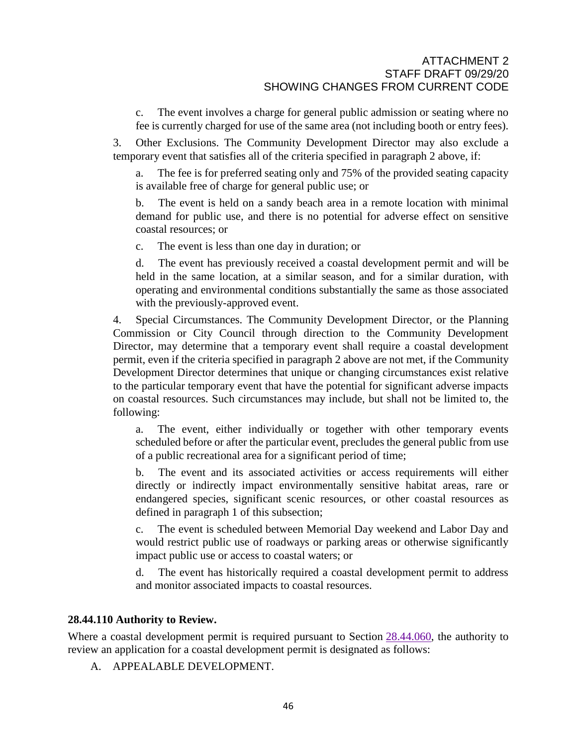c. The event involves a charge for general public admission or seating where no fee is currently charged for use of the same area (not including booth or entry fees).

3. Other Exclusions. The Community Development Director may also exclude a temporary event that satisfies all of the criteria specified in paragraph 2 above, if:

a. The fee is for preferred seating only and 75% of the provided seating capacity is available free of charge for general public use; or

b. The event is held on a sandy beach area in a remote location with minimal demand for public use, and there is no potential for adverse effect on sensitive coastal resources; or

c. The event is less than one day in duration; or

d. The event has previously received a coastal development permit and will be held in the same location, at a similar season, and for a similar duration, with operating and environmental conditions substantially the same as those associated with the previously-approved event.

4. Special Circumstances. The Community Development Director, or the Planning Commission or City Council through direction to the Community Development Director, may determine that a temporary event shall require a coastal development permit, even if the criteria specified in paragraph 2 above are not met, if the Community Development Director determines that unique or changing circumstances exist relative to the particular temporary event that have the potential for significant adverse impacts on coastal resources. Such circumstances may include, but shall not be limited to, the following:

a. The event, either individually or together with other temporary events scheduled before or after the particular event, precludes the general public from use of a public recreational area for a significant period of time;

b. The event and its associated activities or access requirements will either directly or indirectly impact environmentally sensitive habitat areas, rare or endangered species, significant scenic resources, or other coastal resources as defined in paragraph 1 of this subsection;

c. The event is scheduled between Memorial Day weekend and Labor Day and would restrict public use of roadways or parking areas or otherwise significantly impact public use or access to coastal waters; or

d. The event has historically required a coastal development permit to address and monitor associated impacts to coastal resources.

#### **28.44.110 Authority to Review.**

Where a coastal development permit is required pursuant to Section  $28.44.060$ , the authority to review an application for a coastal development permit is designated as follows:

A. APPEALABLE DEVELOPMENT.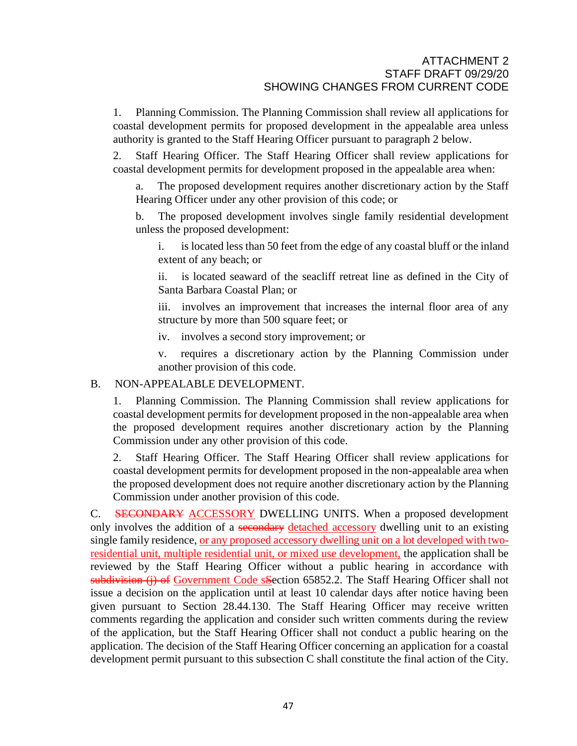1. Planning Commission. The Planning Commission shall review all applications for coastal development permits for proposed development in the appealable area unless authority is granted to the Staff Hearing Officer pursuant to paragraph 2 below.

2. Staff Hearing Officer. The Staff Hearing Officer shall review applications for coastal development permits for development proposed in the appealable area when:

The proposed development requires another discretionary action by the Staff Hearing Officer under any other provision of this code; or

b. The proposed development involves single family residential development unless the proposed development:

i. is located less than 50 feet from the edge of any coastal bluff or the inland extent of any beach; or

ii. is located seaward of the seacliff retreat line as defined in the City of Santa Barbara Coastal Plan; or

iii. involves an improvement that increases the internal floor area of any structure by more than 500 square feet; or

iv. involves a second story improvement; or

v. requires a discretionary action by the Planning Commission under another provision of this code.

#### B. NON-APPEALABLE DEVELOPMENT.

1. Planning Commission. The Planning Commission shall review applications for coastal development permits for development proposed in the non-appealable area when the proposed development requires another discretionary action by the Planning Commission under any other provision of this code.

2. Staff Hearing Officer. The Staff Hearing Officer shall review applications for coastal development permits for development proposed in the non-appealable area when the proposed development does not require another discretionary action by the Planning Commission under another provision of this code.

C. SECONDARY ACCESSORY DWELLING UNITS. When a proposed development only involves the addition of a secondary detached accessory dwelling unit to an existing single family residence, or any proposed accessory dwelling unit on a lot developed with tworesidential unit, multiple residential unit, or mixed use development, the application shall be reviewed by the Staff Hearing Officer without a public hearing in accordance with subdivision (j) of Government Code sSection 65852.2. The Staff Hearing Officer shall not issue a decision on the application until at least 10 calendar days after notice having been given pursuant to Section [28.44.130.](http://qcode.us/codes/santabarbara/view.php?cite=section_28.44.130&confidence=6) The Staff Hearing Officer may receive written comments regarding the application and consider such written comments during the review of the application, but the Staff Hearing Officer shall not conduct a public hearing on the application. The decision of the Staff Hearing Officer concerning an application for a coastal development permit pursuant to this subsection C shall constitute the final action of the City.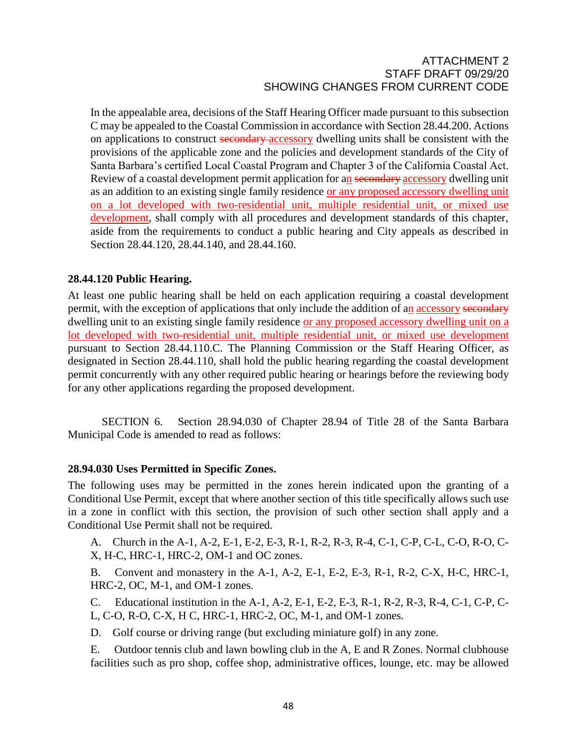In the appealable area, decisions of the Staff Hearing Officer made pursuant to this subsection C may be appealed to the Coastal Commission in accordance with Section [28.44.200.](http://qcode.us/codes/santabarbara/view.php?cite=section_28.44.200&confidence=6) Actions on applications to construct secondary accessory dwelling units shall be consistent with the provisions of the applicable zone and the policies and development standards of the City of Santa Barbara's certified Local Coastal Program and Chapter 3 of the California Coastal Act. Review of a coastal development permit application for an secondary accessory dwelling unit as an addition to an existing single family residence or any proposed accessory dwelling unit on a lot developed with two-residential unit, multiple residential unit, or mixed use development, shall comply with all procedures and development standards of this chapter, aside from the requirements to conduct a public hearing and City appeals as described in Section [28.44.120,](http://qcode.us/codes/santabarbara/view.php?cite=section_28.44.120&confidence=6) [28.44.140,](http://qcode.us/codes/santabarbara/view.php?cite=section_28.44.140&confidence=6) and [28.44.160.](http://qcode.us/codes/santabarbara/view.php?cite=section_28.44.160&confidence=6)

#### **28.44.120 Public Hearing.**

At least one public hearing shall be held on each application requiring a coastal development permit, with the exception of applications that only include the addition of an accessory secondary dwelling unit to an existing single family residence or any proposed accessory dwelling unit on a lot developed with two-residential unit, multiple residential unit, or mixed use development pursuant to Section 28.44.110.C. The Planning Commission or the Staff Hearing Officer, as designated in Section [28.44.110,](http://qcode.us/codes/santabarbara/view.php?cite=section_28.44.110&confidence=6) shall hold the public hearing regarding the coastal development permit concurrently with any other required public hearing or hearings before the reviewing body for any other applications regarding the proposed development.

SECTION 6. Section 28.94.030 of Chapter 28.94 of Title 28 of the Santa Barbara Municipal Code is amended to read as follows:

#### **28.94.030 Uses Permitted in Specific Zones.**

The following uses may be permitted in the zones herein indicated upon the granting of a Conditional Use Permit, except that where another section of this title specifically allows such use in a zone in conflict with this section, the provision of such other section shall apply and a Conditional Use Permit shall not be required.

A. Church in the A-1, A-2, E-1, E-2, E-3, R-1, R-2, R-3, R-4, C-1, C-P, C-L, C-O, R-O, C-X, H-C, HRC-1, HRC-2, OM-1 and OC zones.

B. Convent and monastery in the A-1, A-2, E-1, E-2, E-3, R-1, R-2, C-X, H-C, HRC-1, HRC-2, OC, M-1, and OM-1 zones.

C. Educational institution in the A-1, A-2, E-1, E-2, E-3, R-1, R-2, R-3, R-4, C-1, C-P, C-L, C-O, R-O, C-X, H C, HRC-1, HRC-2, OC, M-1, and OM-1 zones.

D. Golf course or driving range (but excluding miniature golf) in any zone.

E. Outdoor tennis club and lawn bowling club in the A, E and R Zones. Normal clubhouse facilities such as pro shop, coffee shop, administrative offices, lounge, etc. may be allowed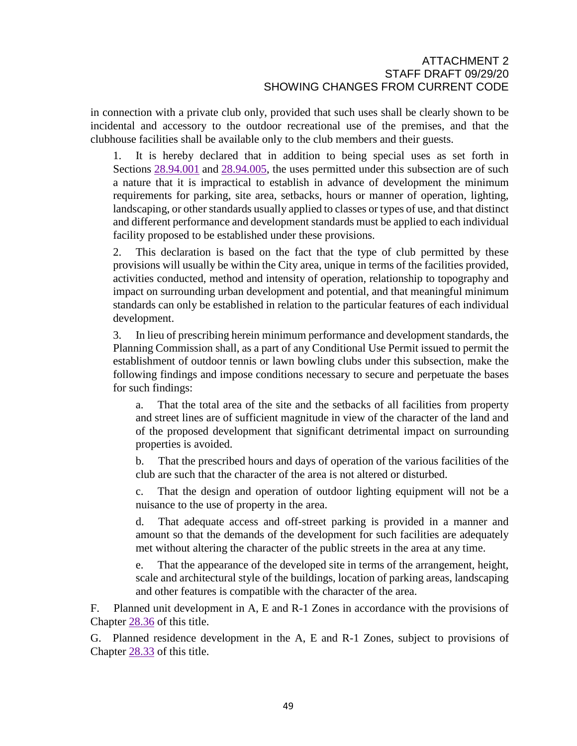in connection with a private club only, provided that such uses shall be clearly shown to be incidental and accessory to the outdoor recreational use of the premises, and that the clubhouse facilities shall be available only to the club members and their guests.

1. It is hereby declared that in addition to being special uses as set forth in Sections  $28.94.001$  and  $28.94.005$ , the uses permitted under this subsection are of such a nature that it is impractical to establish in advance of development the minimum requirements for parking, site area, setbacks, hours or manner of operation, lighting, landscaping, or other standards usually applied to classes or types of use, and that distinct and different performance and development standards must be applied to each individual facility proposed to be established under these provisions.

2. This declaration is based on the fact that the type of club permitted by these provisions will usually be within the City area, unique in terms of the facilities provided, activities conducted, method and intensity of operation, relationship to topography and impact on surrounding urban development and potential, and that meaningful minimum standards can only be established in relation to the particular features of each individual development.

3. In lieu of prescribing herein minimum performance and development standards, the Planning Commission shall, as a part of any Conditional Use Permit issued to permit the establishment of outdoor tennis or lawn bowling clubs under this subsection, make the following findings and impose conditions necessary to secure and perpetuate the bases for such findings:

a. That the total area of the site and the setbacks of all facilities from property and street lines are of sufficient magnitude in view of the character of the land and of the proposed development that significant detrimental impact on surrounding properties is avoided.

b. That the prescribed hours and days of operation of the various facilities of the club are such that the character of the area is not altered or disturbed.

c. That the design and operation of outdoor lighting equipment will not be a nuisance to the use of property in the area.

d. That adequate access and off-street parking is provided in a manner and amount so that the demands of the development for such facilities are adequately met without altering the character of the public streets in the area at any time.

e. That the appearance of the developed site in terms of the arrangement, height, scale and architectural style of the buildings, location of parking areas, landscaping and other features is compatible with the character of the area.

F. Planned unit development in A, E and R-1 Zones in accordance with the provisions of Chapter [28.36](http://qcode.us/codes/santabarbara/view.php?cite=chapter_28.36&confidence=8) of this title.

G. Planned residence development in the A, E and R-1 Zones, subject to provisions of Chapter [28.33](http://qcode.us/codes/santabarbara/view.php?cite=chapter_28.33&confidence=8) of this title.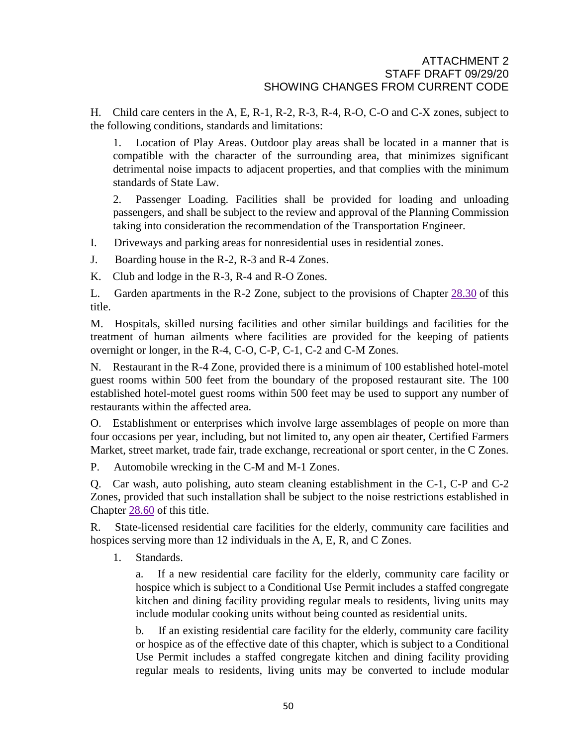H. Child care centers in the A, E, R-1, R-2, R-3, R-4, R-O, C-O and C-X zones, subject to the following conditions, standards and limitations:

1. Location of Play Areas. Outdoor play areas shall be located in a manner that is compatible with the character of the surrounding area, that minimizes significant detrimental noise impacts to adjacent properties, and that complies with the minimum standards of State Law.

2. Passenger Loading. Facilities shall be provided for loading and unloading passengers, and shall be subject to the review and approval of the Planning Commission taking into consideration the recommendation of the Transportation Engineer.

I. Driveways and parking areas for nonresidential uses in residential zones.

J. Boarding house in the R-2, R-3 and R-4 Zones.

K. Club and lodge in the R-3, R-4 and R-O Zones.

L. Garden apartments in the R-2 Zone, subject to the provisions of Chapter [28.30](http://qcode.us/codes/santabarbara/view.php?cite=chapter_28.30&confidence=8) of this title.

M. Hospitals, skilled nursing facilities and other similar buildings and facilities for the treatment of human ailments where facilities are provided for the keeping of patients overnight or longer, in the R-4, C-O, C-P, C-1, C-2 and C-M Zones.

N. Restaurant in the R-4 Zone, provided there is a minimum of 100 established hotel-motel guest rooms within 500 feet from the boundary of the proposed restaurant site. The 100 established hotel-motel guest rooms within 500 feet may be used to support any number of restaurants within the affected area.

O. Establishment or enterprises which involve large assemblages of people on more than four occasions per year, including, but not limited to, any open air theater, Certified Farmers Market, street market, trade fair, trade exchange, recreational or sport center, in the C Zones.

P. Automobile wrecking in the C-M and M-1 Zones.

Q. Car wash, auto polishing, auto steam cleaning establishment in the C-1, C-P and C-2 Zones, provided that such installation shall be subject to the noise restrictions established in Chapter [28.60](http://qcode.us/codes/santabarbara/view.php?cite=chapter_28.60&confidence=8) of this title.

R. State-licensed residential care facilities for the elderly, community care facilities and hospices serving more than 12 individuals in the A, E, R, and C Zones.

1. Standards.

a. If a new residential care facility for the elderly, community care facility or hospice which is subject to a Conditional Use Permit includes a staffed congregate kitchen and dining facility providing regular meals to residents, living units may include modular cooking units without being counted as residential units.

b. If an existing residential care facility for the elderly, community care facility or hospice as of the effective date of this chapter, which is subject to a Conditional Use Permit includes a staffed congregate kitchen and dining facility providing regular meals to residents, living units may be converted to include modular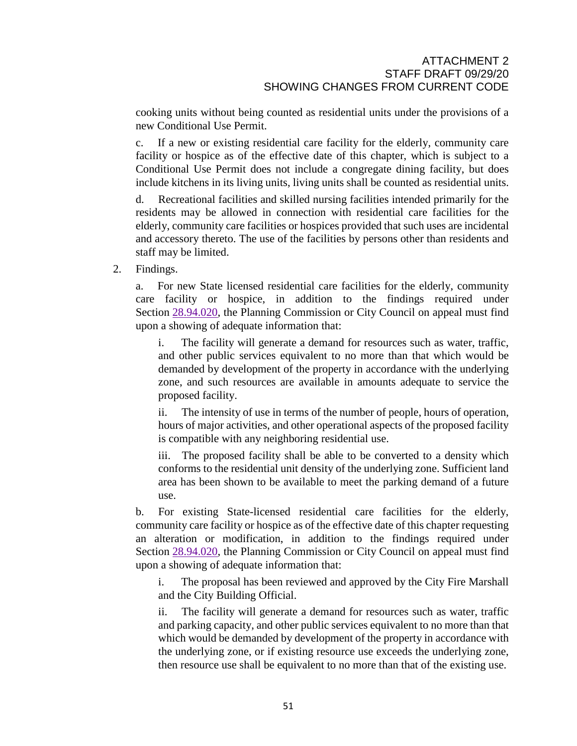cooking units without being counted as residential units under the provisions of a new Conditional Use Permit.

c. If a new or existing residential care facility for the elderly, community care facility or hospice as of the effective date of this chapter, which is subject to a Conditional Use Permit does not include a congregate dining facility, but does include kitchens in its living units, living units shall be counted as residential units.

d. Recreational facilities and skilled nursing facilities intended primarily for the residents may be allowed in connection with residential care facilities for the elderly, community care facilities or hospices provided that such uses are incidental and accessory thereto. The use of the facilities by persons other than residents and staff may be limited.

2. Findings.

a. For new State licensed residential care facilities for the elderly, community care facility or hospice, in addition to the findings required under Section [28.94.020,](http://qcode.us/codes/santabarbara/view.php?cite=section_28.94.020&confidence=6) the Planning Commission or City Council on appeal must find upon a showing of adequate information that:

i. The facility will generate a demand for resources such as water, traffic, and other public services equivalent to no more than that which would be demanded by development of the property in accordance with the underlying zone, and such resources are available in amounts adequate to service the proposed facility.

ii. The intensity of use in terms of the number of people, hours of operation, hours of major activities, and other operational aspects of the proposed facility is compatible with any neighboring residential use.

iii. The proposed facility shall be able to be converted to a density which conforms to the residential unit density of the underlying zone. Sufficient land area has been shown to be available to meet the parking demand of a future use.

b. For existing State-licensed residential care facilities for the elderly, community care facility or hospice as of the effective date of this chapter requesting an alteration or modification, in addition to the findings required under Section [28.94.020,](http://qcode.us/codes/santabarbara/view.php?cite=section_28.94.020&confidence=6) the Planning Commission or City Council on appeal must find upon a showing of adequate information that:

i. The proposal has been reviewed and approved by the City Fire Marshall and the City Building Official.

ii. The facility will generate a demand for resources such as water, traffic and parking capacity, and other public services equivalent to no more than that which would be demanded by development of the property in accordance with the underlying zone, or if existing resource use exceeds the underlying zone, then resource use shall be equivalent to no more than that of the existing use.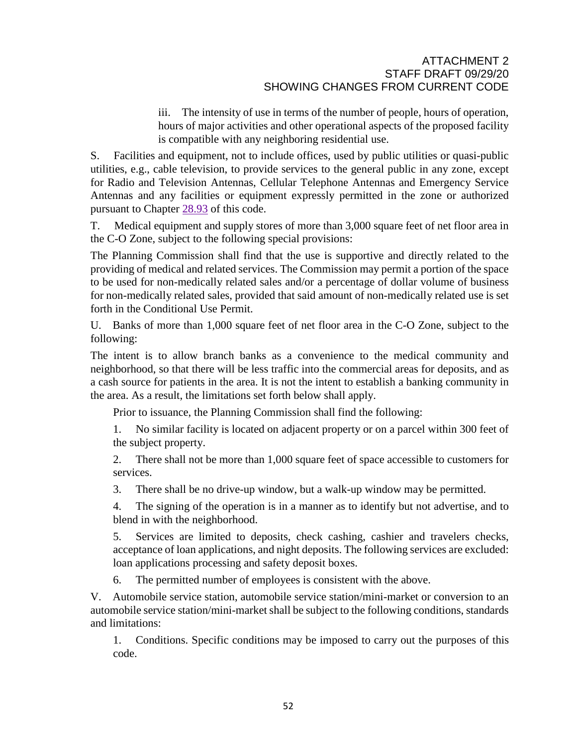iii. The intensity of use in terms of the number of people, hours of operation, hours of major activities and other operational aspects of the proposed facility is compatible with any neighboring residential use.

S. Facilities and equipment, not to include offices, used by public utilities or quasi-public utilities, e.g., cable television, to provide services to the general public in any zone, except for Radio and Television Antennas, Cellular Telephone Antennas and Emergency Service Antennas and any facilities or equipment expressly permitted in the zone or authorized pursuant to Chapter [28.93](http://qcode.us/codes/santabarbara/view.php?cite=chapter_28.93&confidence=8) of this code.

T. Medical equipment and supply stores of more than 3,000 square feet of net floor area in the C-O Zone, subject to the following special provisions:

The Planning Commission shall find that the use is supportive and directly related to the providing of medical and related services. The Commission may permit a portion of the space to be used for non-medically related sales and/or a percentage of dollar volume of business for non-medically related sales, provided that said amount of non-medically related use is set forth in the Conditional Use Permit.

U. Banks of more than 1,000 square feet of net floor area in the C-O Zone, subject to the following:

The intent is to allow branch banks as a convenience to the medical community and neighborhood, so that there will be less traffic into the commercial areas for deposits, and as a cash source for patients in the area. It is not the intent to establish a banking community in the area. As a result, the limitations set forth below shall apply.

Prior to issuance, the Planning Commission shall find the following:

1. No similar facility is located on adjacent property or on a parcel within 300 feet of the subject property.

2. There shall not be more than 1,000 square feet of space accessible to customers for services.

3. There shall be no drive-up window, but a walk-up window may be permitted.

4. The signing of the operation is in a manner as to identify but not advertise, and to blend in with the neighborhood.

5. Services are limited to deposits, check cashing, cashier and travelers checks, acceptance of loan applications, and night deposits. The following services are excluded: loan applications processing and safety deposit boxes.

6. The permitted number of employees is consistent with the above.

V. Automobile service station, automobile service station/mini-market or conversion to an automobile service station/mini-market shall be subject to the following conditions, standards and limitations:

1. Conditions. Specific conditions may be imposed to carry out the purposes of this code.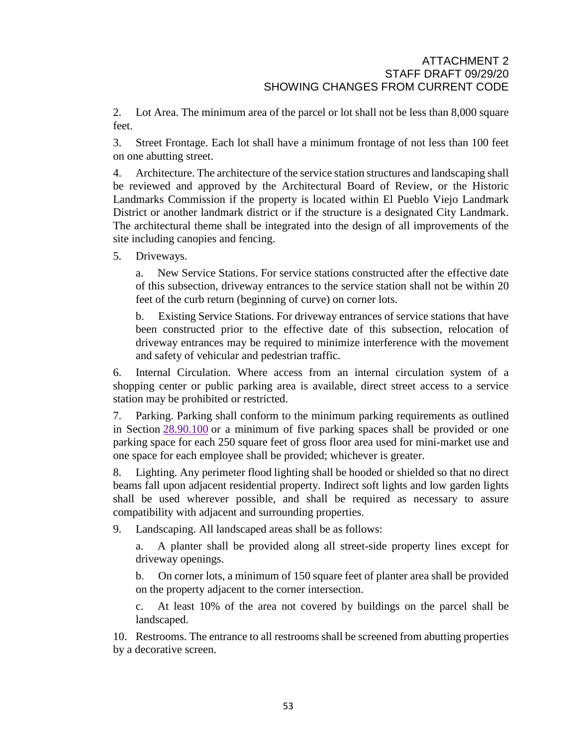2. Lot Area. The minimum area of the parcel or lot shall not be less than 8,000 square feet.

3. Street Frontage. Each lot shall have a minimum frontage of not less than 100 feet on one abutting street.

4. Architecture. The architecture of the service station structures and landscaping shall be reviewed and approved by the Architectural Board of Review, or the Historic Landmarks Commission if the property is located within El Pueblo Viejo Landmark District or another landmark district or if the structure is a designated City Landmark. The architectural theme shall be integrated into the design of all improvements of the site including canopies and fencing.

5. Driveways.

a. New Service Stations. For service stations constructed after the effective date of this subsection, driveway entrances to the service station shall not be within 20 feet of the curb return (beginning of curve) on corner lots.

b. Existing Service Stations. For driveway entrances of service stations that have been constructed prior to the effective date of this subsection, relocation of driveway entrances may be required to minimize interference with the movement and safety of vehicular and pedestrian traffic.

6. Internal Circulation. Where access from an internal circulation system of a shopping center or public parking area is available, direct street access to a service station may be prohibited or restricted.

7. Parking. Parking shall conform to the minimum parking requirements as outlined in Section [28.90.100](http://qcode.us/codes/santabarbara/view.php?cite=section_28.90.100&confidence=6) or a minimum of five parking spaces shall be provided or one parking space for each 250 square feet of gross floor area used for mini-market use and one space for each employee shall be provided; whichever is greater.

8. Lighting. Any perimeter flood lighting shall be hooded or shielded so that no direct beams fall upon adjacent residential property. Indirect soft lights and low garden lights shall be used wherever possible, and shall be required as necessary to assure compatibility with adjacent and surrounding properties.

9. Landscaping. All landscaped areas shall be as follows:

a. A planter shall be provided along all street-side property lines except for driveway openings.

b. On corner lots, a minimum of 150 square feet of planter area shall be provided on the property adjacent to the corner intersection.

c. At least 10% of the area not covered by buildings on the parcel shall be landscaped.

10. Restrooms. The entrance to all restrooms shall be screened from abutting properties by a decorative screen.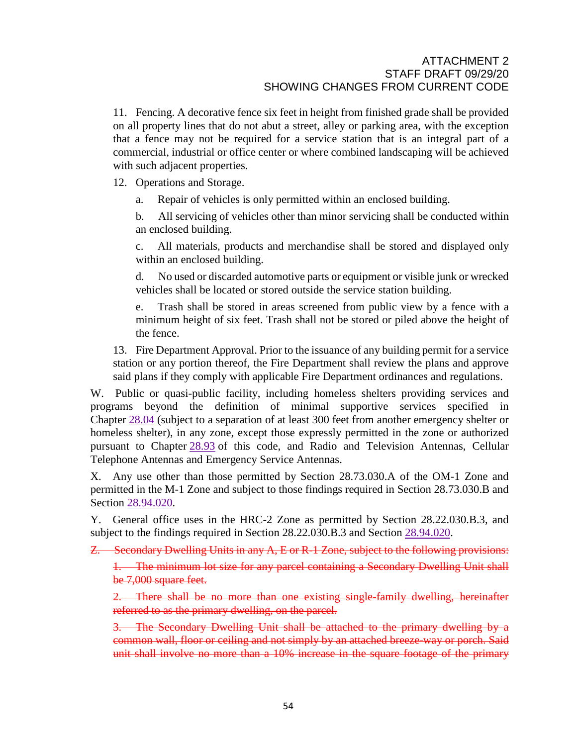11. Fencing. A decorative fence six feet in height from finished grade shall be provided on all property lines that do not abut a street, alley or parking area, with the exception that a fence may not be required for a service station that is an integral part of a commercial, industrial or office center or where combined landscaping will be achieved with such adjacent properties.

12. Operations and Storage.

a. Repair of vehicles is only permitted within an enclosed building.

b. All servicing of vehicles other than minor servicing shall be conducted within an enclosed building.

c. All materials, products and merchandise shall be stored and displayed only within an enclosed building.

d. No used or discarded automotive parts or equipment or visible junk or wrecked vehicles shall be located or stored outside the service station building.

e. Trash shall be stored in areas screened from public view by a fence with a minimum height of six feet. Trash shall not be stored or piled above the height of the fence.

13. Fire Department Approval. Prior to the issuance of any building permit for a service station or any portion thereof, the Fire Department shall review the plans and approve said plans if they comply with applicable Fire Department ordinances and regulations.

W. Public or quasi-public facility, including homeless shelters providing services and programs beyond the definition of minimal supportive services specified in Chapter [28.04](http://qcode.us/codes/santabarbara/view.php?cite=chapter_28.04&confidence=6) (subject to a separation of at least 300 feet from another emergency shelter or homeless shelter), in any zone, except those expressly permitted in the zone or authorized pursuant to Chapter [28.93](http://qcode.us/codes/santabarbara/view.php?cite=chapter_28.93&confidence=8) of this code, and Radio and Television Antennas, Cellular Telephone Antennas and Emergency Service Antennas.

X. Any use other than those permitted by Section 28.73.030.A of the OM-1 Zone and permitted in the M-1 Zone and subject to those findings required in Section 28.73.030.B and Section [28.94.020.](http://qcode.us/codes/santabarbara/view.php?cite=section_28.94.020&confidence=6)

Y. General office uses in the HRC-2 Zone as permitted by Section 28.22.030.B.3, and subject to the findings required in Section 28.22.030.B.3 and Section [28.94.020.](http://qcode.us/codes/santabarbara/view.php?cite=section_28.94.020&confidence=6)

Z. Secondary Dwelling Units in any A, E or R-1 Zone, subject to the following provisions:

1. The minimum lot size for any parcel containing a Secondary Dwelling Unit shall be 7,000 square feet.

2. There shall be no more than one existing single-family dwelling, hereinafter referred to as the primary dwelling, on the parcel.

3. The Secondary Dwelling Unit shall be attached to the primary dwelling by a common wall, floor or ceiling and not simply by an attached breeze-way or porch. Said unit shall involve no more than a 10% increase in the square footage of the primary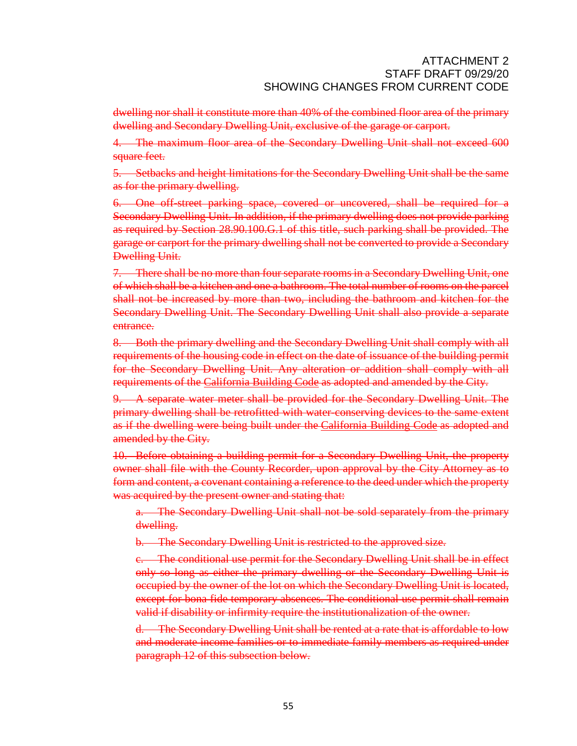dwelling nor shall it constitute more than 40% of the combined floor area of the primary dwelling and Secondary Dwelling Unit, exclusive of the garage or carport.

4. The maximum floor area of the Secondary Dwelling Unit shall not exceed 600 square feet.

5. Setbacks and height limitations for the Secondary Dwelling Unit shall be the same as for the primary dwelling.

6. One off-street parking space, covered or uncovered, shall be required for a Secondary Dwelling Unit. In addition, if the primary dwelling does not provide parking as required by Section 28.90.100.G.1 of this title, such parking shall be provided. The garage or carport for the primary dwelling shall not be converted to provide a Secondary Dwelling Unit.

7. There shall be no more than four separate rooms in a Secondary Dwelling Unit, one of which shall be a kitchen and one a bathroom. The total number of rooms on the parcel shall not be increased by more than two, including the bathroom and kitchen for the Secondary Dwelling Unit. The Secondary Dwelling Unit shall also provide a separate entrance.

8. Both the primary dwelling and the Secondary Dwelling Unit shall comply with all requirements of the housing code in effect on the date of issuance of the building permit for the Secondary Dwelling Unit. Any alteration or addition shall comply with all requirements of the [California](http://qcode.us/codes/othercode.php?state=ca&code=calbui) Building Code as adopted and amended by the City.

9. A separate water meter shall be provided for the Secondary Dwelling Unit. The primary dwelling shall be retrofitted with water-conserving devices to the same extent as if the dwelling were being built under the [California](http://qcode.us/codes/othercode.php?state=ca&code=calbui) Building Code as adopted and amended by the City.

10. Before obtaining a building permit for a Secondary Dwelling Unit, the property owner shall file with the County Recorder, upon approval by the City Attorney as to form and content, a covenant containing a reference to the deed under which the property was acquired by the present owner and stating that:

a. The Secondary Dwelling Unit shall not be sold separately from the primary dwelling.

b. The Secondary Dwelling Unit is restricted to the approved size.

c. The conditional use permit for the Secondary Dwelling Unit shall be in effect only so long as either the primary dwelling or the Secondary Dwelling Unit is occupied by the owner of the lot on which the Secondary Dwelling Unit is located, except for bona fide temporary absences. The conditional use permit shall remain valid if disability or infirmity require the institutionalization of the owner.

d. The Secondary Dwelling Unit shall be rented at a rate that is affordable to low and moderate income families or to immediate family members as required under paragraph 12 of this subsection below.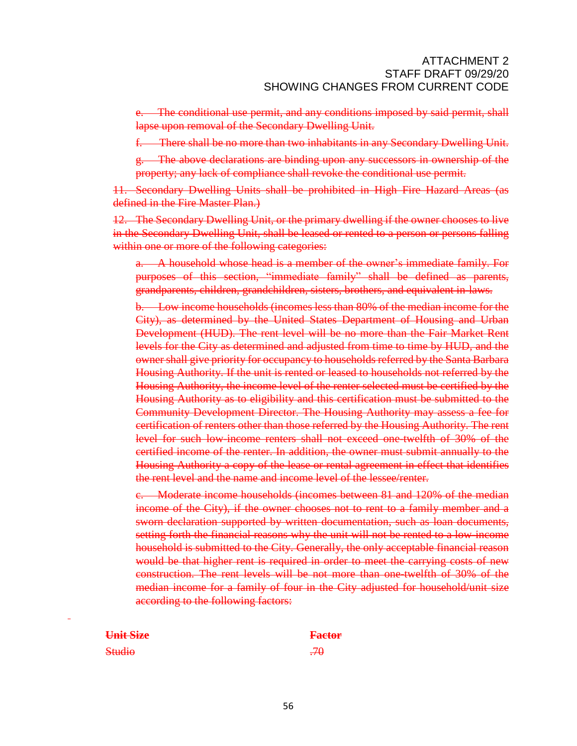e. The conditional use permit, and any conditions imposed by said permit, shall lapse upon removal of the Secondary Dwelling Unit.

f. There shall be no more than two inhabitants in any Secondary Dwelling Unit.

g. The above declarations are binding upon any successors in ownership of the property; any lack of compliance shall revoke the conditional use permit.

11. Secondary Dwelling Units shall be prohibited in High Fire Hazard Areas (as defined in the Fire Master Plan.)

12. The Secondary Dwelling Unit, or the primary dwelling if the owner chooses to live in the Secondary Dwelling Unit, shall be leased or rented to a person or persons falling within one or more of the following categories:

a. A household whose head is a member of the owner's immediate family. For purposes of this section, "immediate family" shall be defined as parents, grandparents, children, grandchildren, sisters, brothers, and equivalent in-laws.

b. Low income households (incomes less than 80% of the median income for the City), as determined by the United States Department of Housing and Urban Development (HUD). The rent level will be no more than the Fair Market Rent levels for the City as determined and adjusted from time to time by HUD, and the owner shall give priority for occupancy to households referred by the Santa Barbara Housing Authority. If the unit is rented or leased to households not referred by the Housing Authority, the income level of the renter selected must be certified by the Housing Authority as to eligibility and this certification must be submitted to the Community Development Director. The Housing Authority may assess a fee for certification of renters other than those referred by the Housing Authority. The rent level for such low income renters shall not exceed one twelfth of 30% of the certified income of the renter. In addition, the owner must submit annually to the Housing Authority a copy of the lease or rental agreement in effect that identifies the rent level and the name and income level of the lessee/renter.

c. Moderate income households (incomes between 81 and 120% of the median income of the City), if the owner chooses not to rent to a family member and a sworn declaration supported by written documentation, such as loan documents, setting forth the financial reasons why the unit will not be rented to a low income household is submitted to the City. Generally, the only acceptable financial reason would be that higher rent is required in order to meet the carrying costs of new construction. The rent levels will be not more than one-twelfth of 30% of the median income for a family of four in the City adjusted for household/unit size according to the following factors:

| Unit Size                              | <b>Factor</b>  |
|----------------------------------------|----------------|
| $\mathbf{C}$ tudio<br><del>otuuo</del> | $\overline{H}$ |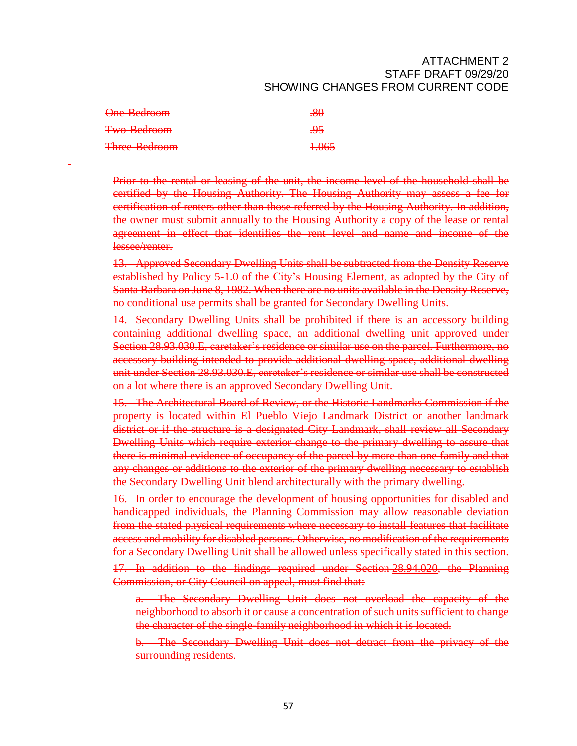| One-Bedroom          | $-80$            |
|----------------------|------------------|
| Two-Bedroom          | <del>.95</del>   |
| <b>Three-Bedroom</b> | <del>1.065</del> |

Prior to the rental or leasing of the unit, the income level of the household shall be certified by the Housing Authority. The Housing Authority may assess a fee for certification of renters other than those referred by the Housing Authority. In addition, the owner must submit annually to the Housing Authority a copy of the lease or rental agreement in effect that identifies the rent level and name and income of the lessee/renter.

13. Approved Secondary Dwelling Units shall be subtracted from the Density Reserve established by Policy 5-1.0 of the City's Housing Element, as adopted by the City of Santa Barbara on June 8, 1982. When there are no units available in the Density Reserve, no conditional use permits shall be granted for Secondary Dwelling Units.

14. Secondary Dwelling Units shall be prohibited if there is an accessory building containing additional dwelling space, an additional dwelling unit approved under Section 28.93.030.E, caretaker's residence or similar use on the parcel. Furthermore, no accessory building intended to provide additional dwelling space, additional dwelling unit under Section 28.93.030.E, caretaker's residence or similar use shall be constructed on a lot where there is an approved Secondary Dwelling Unit.

15. The Architectural Board of Review, or the Historic Landmarks Commission if the property is located within El Pueblo Viejo Landmark District or another landmark district or if the structure is a designated City Landmark, shall review all Secondary Dwelling Units which require exterior change to the primary dwelling to assure that there is minimal evidence of occupancy of the parcel by more than one family and that any changes or additions to the exterior of the primary dwelling necessary to establish the Secondary Dwelling Unit blend architecturally with the primary dwelling.

16. In order to encourage the development of housing opportunities for disabled and handicapped individuals, the Planning Commission may allow reasonable deviation from the stated physical requirements where necessary to install features that facilitate access and mobility for disabled persons. Otherwise, no modification of the requirements for a Secondary Dwelling Unit shall be allowed unless specifically stated in this section.

17. In addition to the findings required under Section [28.94.020,](http://qcode.us/codes/santabarbara/view.php?cite=section_28.94.020&confidence=6) the Planning Commission, or City Council on appeal, must find that:

a. The Secondary Dwelling Unit does not overload the capacity of the neighborhood to absorb it or cause a concentration of such units sufficient to change the character of the single-family neighborhood in which it is located.

The Secondary Dwelling Unit does not detract from the privacy of the surrounding residents.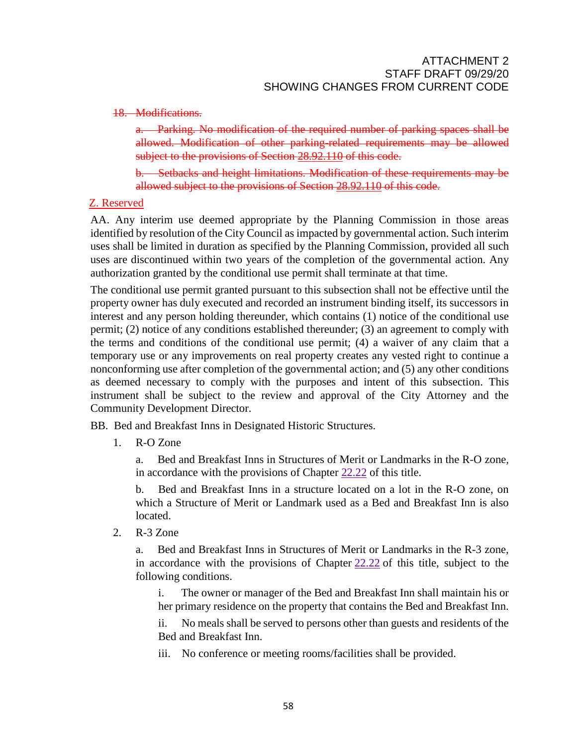### 18. Modifications.

a. Parking. No modification of the required number of parking spaces shall be allowed. Modification of other parking-related requirements may be allowed subject to the provisions of Section [28.92.110](http://qcode.us/codes/santabarbara/view.php?cite=section_28.92.110&confidence=8) of this code.

b. Setbacks and height limitations. Modification of these requirements may be allowed subject to the provisions of Section [28.92.110](http://qcode.us/codes/santabarbara/view.php?cite=section_28.92.110&confidence=8) of this code.

# Z. Reserved

AA. Any interim use deemed appropriate by the Planning Commission in those areas identified by resolution of the City Council as impacted by governmental action. Such interim uses shall be limited in duration as specified by the Planning Commission, provided all such uses are discontinued within two years of the completion of the governmental action. Any authorization granted by the conditional use permit shall terminate at that time.

The conditional use permit granted pursuant to this subsection shall not be effective until the property owner has duly executed and recorded an instrument binding itself, its successors in interest and any person holding thereunder, which contains (1) notice of the conditional use permit; (2) notice of any conditions established thereunder; (3) an agreement to comply with the terms and conditions of the conditional use permit; (4) a waiver of any claim that a temporary use or any improvements on real property creates any vested right to continue a nonconforming use after completion of the governmental action; and (5) any other conditions as deemed necessary to comply with the purposes and intent of this subsection. This instrument shall be subject to the review and approval of the City Attorney and the Community Development Director.

BB. Bed and Breakfast Inns in Designated Historic Structures.

1. R-O Zone

a. Bed and Breakfast Inns in Structures of Merit or Landmarks in the R-O zone, in accordance with the provisions of Chapter [22.22](http://qcode.us/codes/santabarbara/view.php?cite=chapter_22.22&confidence=8) of this title.

b. Bed and Breakfast Inns in a structure located on a lot in the R-O zone, on which a Structure of Merit or Landmark used as a Bed and Breakfast Inn is also located.

2. R-3 Zone

a. Bed and Breakfast Inns in Structures of Merit or Landmarks in the R-3 zone, in accordance with the provisions of Chapter  $22.22$  of this title, subject to the following conditions.

i. The owner or manager of the Bed and Breakfast Inn shall maintain his or her primary residence on the property that contains the Bed and Breakfast Inn.

ii. No meals shall be served to persons other than guests and residents of the Bed and Breakfast Inn.

iii. No conference or meeting rooms/facilities shall be provided.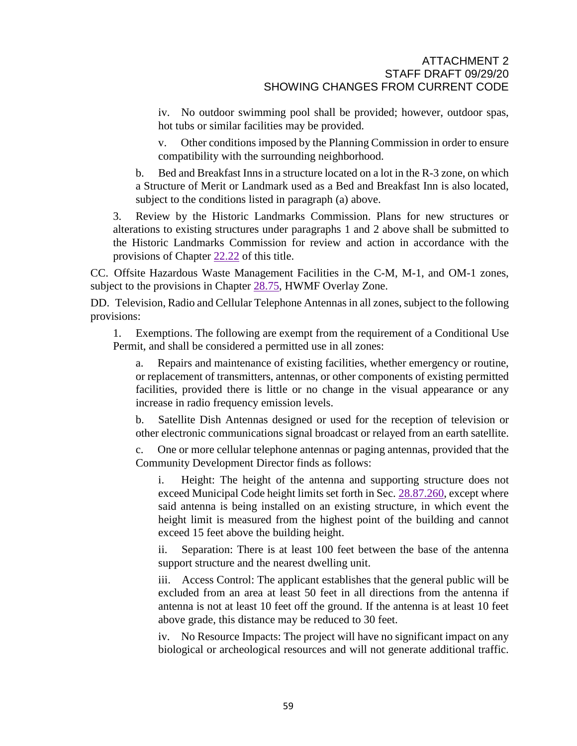iv. No outdoor swimming pool shall be provided; however, outdoor spas, hot tubs or similar facilities may be provided.

v. Other conditions imposed by the Planning Commission in order to ensure compatibility with the surrounding neighborhood.

b. Bed and Breakfast Inns in a structure located on a lot in the R-3 zone, on which a Structure of Merit or Landmark used as a Bed and Breakfast Inn is also located, subject to the conditions listed in paragraph (a) above.

3. Review by the Historic Landmarks Commission. Plans for new structures or alterations to existing structures under paragraphs 1 and 2 above shall be submitted to the Historic Landmarks Commission for review and action in accordance with the provisions of Chapter [22.22](http://qcode.us/codes/santabarbara/view.php?cite=chapter_22.22&confidence=8) of this title.

CC. Offsite Hazardous Waste Management Facilities in the C-M, M-1, and OM-1 zones, subject to the provisions in Chapter [28.75,](http://qcode.us/codes/santabarbara/view.php?cite=chapter_28.75&confidence=6) HWMF Overlay Zone.

DD. Television, Radio and Cellular Telephone Antennas in all zones, subject to the following provisions:

1. Exemptions. The following are exempt from the requirement of a Conditional Use Permit, and shall be considered a permitted use in all zones:

a. Repairs and maintenance of existing facilities, whether emergency or routine, or replacement of transmitters, antennas, or other components of existing permitted facilities, provided there is little or no change in the visual appearance or any increase in radio frequency emission levels.

b. Satellite Dish Antennas designed or used for the reception of television or other electronic communications signal broadcast or relayed from an earth satellite.

One or more cellular telephone antennas or paging antennas, provided that the Community Development Director finds as follows:

i. Height: The height of the antenna and supporting structure does not exceed Municipal Code height limits set forth in Sec. [28.87.260,](http://qcode.us/codes/santabarbara/view.php?cite=_28.87.260&confidence=5) except where said antenna is being installed on an existing structure, in which event the height limit is measured from the highest point of the building and cannot exceed 15 feet above the building height.

ii. Separation: There is at least 100 feet between the base of the antenna support structure and the nearest dwelling unit.

iii. Access Control: The applicant establishes that the general public will be excluded from an area at least 50 feet in all directions from the antenna if antenna is not at least 10 feet off the ground. If the antenna is at least 10 feet above grade, this distance may be reduced to 30 feet.

iv. No Resource Impacts: The project will have no significant impact on any biological or archeological resources and will not generate additional traffic.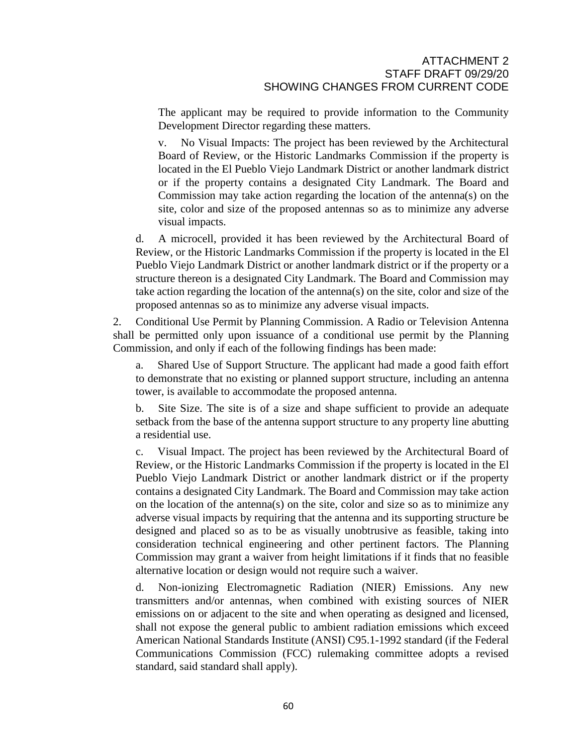The applicant may be required to provide information to the Community Development Director regarding these matters.

v. No Visual Impacts: The project has been reviewed by the Architectural Board of Review, or the Historic Landmarks Commission if the property is located in the El Pueblo Viejo Landmark District or another landmark district or if the property contains a designated City Landmark. The Board and Commission may take action regarding the location of the antenna(s) on the site, color and size of the proposed antennas so as to minimize any adverse visual impacts.

d. A microcell, provided it has been reviewed by the Architectural Board of Review, or the Historic Landmarks Commission if the property is located in the El Pueblo Viejo Landmark District or another landmark district or if the property or a structure thereon is a designated City Landmark. The Board and Commission may take action regarding the location of the antenna(s) on the site, color and size of the proposed antennas so as to minimize any adverse visual impacts.

2. Conditional Use Permit by Planning Commission. A Radio or Television Antenna shall be permitted only upon issuance of a conditional use permit by the Planning Commission, and only if each of the following findings has been made:

a. Shared Use of Support Structure. The applicant had made a good faith effort to demonstrate that no existing or planned support structure, including an antenna tower, is available to accommodate the proposed antenna.

b. Site Size. The site is of a size and shape sufficient to provide an adequate setback from the base of the antenna support structure to any property line abutting a residential use.

c. Visual Impact. The project has been reviewed by the Architectural Board of Review, or the Historic Landmarks Commission if the property is located in the El Pueblo Viejo Landmark District or another landmark district or if the property contains a designated City Landmark. The Board and Commission may take action on the location of the antenna(s) on the site, color and size so as to minimize any adverse visual impacts by requiring that the antenna and its supporting structure be designed and placed so as to be as visually unobtrusive as feasible, taking into consideration technical engineering and other pertinent factors. The Planning Commission may grant a waiver from height limitations if it finds that no feasible alternative location or design would not require such a waiver.

d. Non-ionizing Electromagnetic Radiation (NIER) Emissions. Any new transmitters and/or antennas, when combined with existing sources of NIER emissions on or adjacent to the site and when operating as designed and licensed, shall not expose the general public to ambient radiation emissions which exceed American National Standards Institute (ANSI) C95.1-1992 standard (if the Federal Communications Commission (FCC) rulemaking committee adopts a revised standard, said standard shall apply).